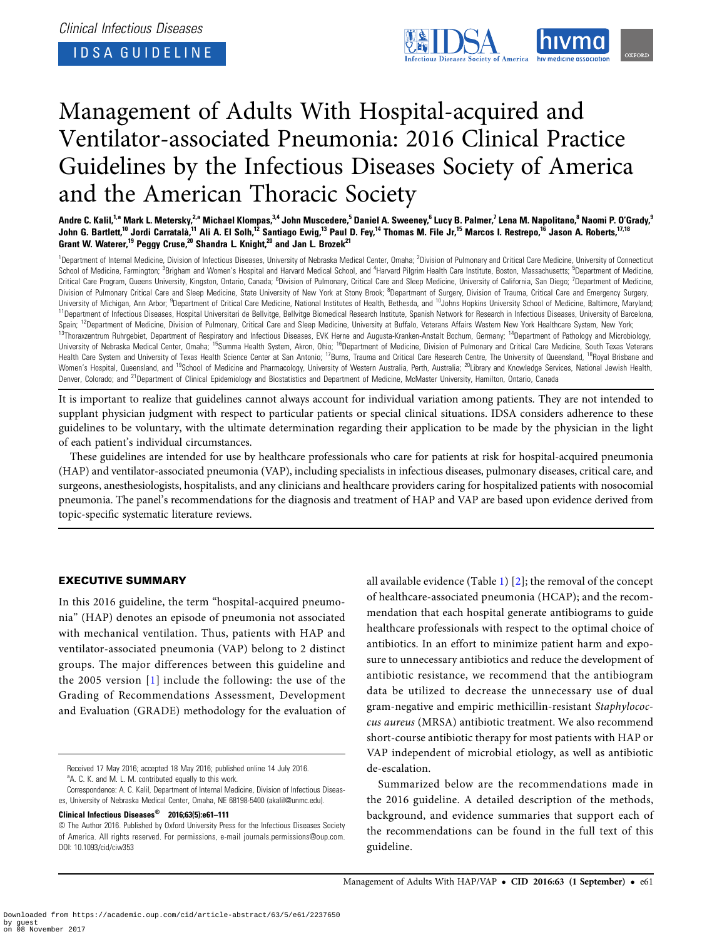IDSA GUIDELINE



# Management of Adults With Hospital-acquired and Ventilator-associated Pneumonia: 2016 Clinical Practice Guidelines by the Infectious Diseases Society of America and the American Thoracic Society

Andre C. Kalil,<sup>1,a</sup> Mark L. Metersky,<sup>2,a</sup> Michael Klompas,<sup>3,4</sup> John Muscedere,<sup>5</sup> Daniel A. Sweeney,<sup>6</sup> Lucy B. Palmer,<sup>7</sup> Lena M. Napolitano,<sup>8</sup> Naomi P. O'Grady,<sup>9</sup> John G. Bartlett,<sup>10</sup> Jordi Carratalà,<sup>11</sup> Ali A. El Solh,<sup>12</sup> Santiago Ewig,<sup>13</sup> Paul D. Fey,<sup>14</sup> Thomas M. File Jr,<sup>15</sup> Marcos I. Restrepo,<sup>16</sup> Jason A. Roberts,<sup>17,18</sup> Grant W. Waterer,<sup>19</sup> Peggy Cruse,<sup>20</sup> Shandra L. Knight,<sup>20</sup> and Jan L. Brozek<sup>21</sup>

<sup>1</sup>Department of Internal Medicine, Division of Infectious Diseases, University of Nebraska Medical Center, Omaha; <sup>2</sup>Division of Pulmonary and Critical Care Medicine, University of Connecticut School of Medicine, Farmington; <sup>3</sup>Brigham and Women's Hospital and Harvard Medical School, and <sup>4</sup>Harvard Pilgrim Health Care Institute, Boston, Massachusetts; <sup>5</sup>Department of Medicine, Critical Care Program, Queens University, Kingston, Ontario, Canada; <sup>6</sup>Division of Pulmonary, Critical Care and Sleep Medicine, University of California, San Diego; <sup>7</sup>Department of Medicine, Division of Pulmonary Critical Care and Sleep Medicine, State University of New York at Stony Brook; <sup>8</sup>Department of Surgery, Division of Trauma, Critical Care and Emergency Surgery, University of Michigan, Ann Arbor; <sup>9</sup>Department of Critical Care Medicine, National Institutes of Health, Bethesda, and <sup>10</sup>Johns Hopkins University School of Medicine, Baltimore, Maryland; 11Department of Infectious Diseases, Hospital Universitari de Bellvitge, Bellvitge Biomedical Research Institute, Spanish Network for Research in Infectious Diseases, University of Barcelona, Spain; <sup>12</sup>Department of Medicine, Division of Pulmonary, Critical Care and Sleep Medicine, University at Buffalo, Veterans Affairs Western New York Healthcare System, New York; <sup>13</sup>Thoraxzentrum Ruhrgebiet, Department of Respiratory and Infectious Diseases, EVK Herne and Augusta-Kranken-Anstalt Bochum, Germany; <sup>14</sup>Department of Pathology and Microbiology,

University of Nebraska Medical Center, Omaha; <sup>15</sup>Summa Health System, Akron, Ohio; <sup>16</sup>Department of Medicine, Division of Pulmonary and Critical Care Medicine, South Texas Veterans Health Care System and University of Texas Health Science Center at San Antonio; <sup>17</sup>Burns, Trauma and Critical Care Research Centre, The University of Queensland, <sup>18</sup>Royal Brisbane and Women's Hospital, Queensland, and <sup>19</sup>School of Medicine and Pharmacology, University of Western Australia, Perth, Australia; <sup>20</sup>Library and Knowledge Services, National Jewish Health, Denver, Colorado; and <sup>21</sup>Department of Clinical Epidemiology and Biostatistics and Department of Medicine, McMaster University, Hamilton, Ontario, Canada

It is important to realize that guidelines cannot always account for individual variation among patients. They are not intended to supplant physician judgment with respect to particular patients or special clinical situations. IDSA considers adherence to these guidelines to be voluntary, with the ultimate determination regarding their application to be made by the physician in the light of each patient's individual circumstances.

These guidelines are intended for use by healthcare professionals who care for patients at risk for hospital-acquired pneumonia (HAP) and ventilator-associated pneumonia (VAP), including specialists in infectious diseases, pulmonary diseases, critical care, and surgeons, anesthesiologists, hospitalists, and any clinicians and healthcare providers caring for hospitalized patients with nosocomial pneumonia. The panel's recommendations for the diagnosis and treatment of HAP and VAP are based upon evidence derived from topic-specific systematic literature reviews.

## EXECUTIVE SUMMARY

In this 2016 guideline, the term "hospital-acquired pneumonia" (HAP) denotes an episode of pneumonia not associated with mechanical ventilation. Thus, patients with HAP and ventilator-associated pneumonia (VAP) belong to 2 distinct groups. The major differences between this guideline and the 2005 version [[1](#page-42-0)] include the following: the use of the Grading of Recommendations Assessment, Development and Evaluation (GRADE) methodology for the evaluation of

Clinical Infectious Diseases® 2016;63(5):e61–111

all available evidence (Table [1](#page-1-0))  $[2]$  $[2]$ ; the removal of the concept of healthcare-associated pneumonia (HCAP); and the recommendation that each hospital generate antibiograms to guide healthcare professionals with respect to the optimal choice of antibiotics. In an effort to minimize patient harm and exposure to unnecessary antibiotics and reduce the development of antibiotic resistance, we recommend that the antibiogram data be utilized to decrease the unnecessary use of dual gram-negative and empiric methicillin-resistant Staphylococcus aureus (MRSA) antibiotic treatment. We also recommend short-course antibiotic therapy for most patients with HAP or VAP independent of microbial etiology, as well as antibiotic de-escalation.

Summarized below are the recommendations made in the 2016 guideline. A detailed description of the methods, background, and evidence summaries that support each of the recommendations can be found in the full text of this guideline.

Management of Adults With HAP/VAP • CID 2016:63 (1 September) • e61

Received 17 May 2016; accepted 18 May 2016; published online 14 July 2016. <sup>a</sup>A. C. K. and M. L. M. contributed equally to this work.

Correspondence: A. C. Kalil, Department of Internal Medicine, Division of Infectious Diseases, University of Nebraska Medical Center, Omaha, NE 68198-5400 [\(akalil@unmc.edu\)](mailto:akalil@unmc.edu).

<sup>©</sup> The Author 2016. Published by Oxford University Press for the Infectious Diseases Society of America. All rights reserved. For permissions, e-mail [journals.permissions@oup.com](mailto:journals.permissions@oup.com). DOI: 10.1093/cid/ciw353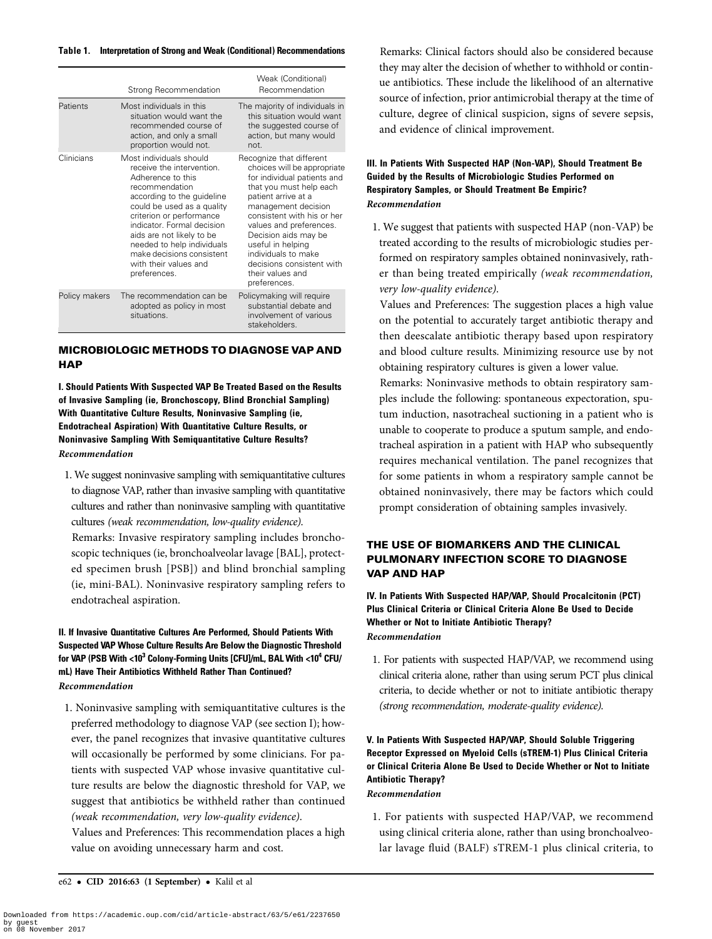#### <span id="page-1-0"></span>Table 1. Interpretation of Strong and Weak (Conditional) Recommendations

|               | Strong Recommendation                                                                                                                                                                                                                                                                                                                              | Weak (Conditional)<br>Recommendation                                                                                                                                                                                                                                                                                                                          |
|---------------|----------------------------------------------------------------------------------------------------------------------------------------------------------------------------------------------------------------------------------------------------------------------------------------------------------------------------------------------------|---------------------------------------------------------------------------------------------------------------------------------------------------------------------------------------------------------------------------------------------------------------------------------------------------------------------------------------------------------------|
| Patients      | Most individuals in this<br>situation would want the<br>recommended course of<br>action, and only a small<br>proportion would not.                                                                                                                                                                                                                 | The majority of individuals in<br>this situation would want<br>the suggested course of<br>action, but many would<br>not.                                                                                                                                                                                                                                      |
| Clinicians    | Most individuals should<br>receive the intervention.<br>Adherence to this<br>recommendation<br>according to the guideline<br>could be used as a quality<br>criterion or performance<br>indicator. Formal decision<br>aids are not likely to be<br>needed to help individuals<br>make decisions consistent<br>with their values and<br>preferences. | Recognize that different<br>choices will be appropriate<br>for individual patients and<br>that you must help each<br>patient arrive at a<br>management decision<br>consistent with his or her<br>values and preferences.<br>Decision aids may be<br>useful in helping<br>individuals to make<br>decisions consistent with<br>their values and<br>preferences. |
| Policy makers | The recommendation can be<br>adopted as policy in most<br>situations.                                                                                                                                                                                                                                                                              | Policymaking will require<br>substantial debate and<br>involvement of various<br>stakeholders.                                                                                                                                                                                                                                                                |

## MICROBIOLOGIC METHODS TO DIAGNOSE VAP AND **HAP**

I. Should Patients With Suspected VAP Be Treated Based on the Results of Invasive Sampling (ie, Bronchoscopy, Blind Bronchial Sampling) With Quantitative Culture Results, Noninvasive Sampling (ie, Endotracheal Aspiration) With Quantitative Culture Results, or Noninvasive Sampling With Semiquantitative Culture Results? Recommendation

1. We suggest noninvasive sampling with semiquantitative cultures to diagnose VAP, rather than invasive sampling with quantitative cultures and rather than noninvasive sampling with quantitative cultures (weak recommendation, low-quality evidence).

Remarks: Invasive respiratory sampling includes bronchoscopic techniques (ie, bronchoalveolar lavage [BAL], protected specimen brush [PSB]) and blind bronchial sampling (ie, mini-BAL). Noninvasive respiratory sampling refers to endotracheal aspiration.

## II. If Invasive Quantitative Cultures Are Performed, Should Patients With Suspected VAP Whose Culture Results Are Below the Diagnostic Threshold for VAP (PSB With  $<$  10<sup>3</sup> Colony-Forming Units [CFU]/mL, BAL With  $<$  10<sup>4</sup> CFU/ mL) Have Their Antibiotics Withheld Rather Than Continued? Recommendation

1. Noninvasive sampling with semiquantitative cultures is the preferred methodology to diagnose VAP (see section I); however, the panel recognizes that invasive quantitative cultures will occasionally be performed by some clinicians. For patients with suspected VAP whose invasive quantitative culture results are below the diagnostic threshold for VAP, we suggest that antibiotics be withheld rather than continued (weak recommendation, very low-quality evidence).

Values and Preferences: This recommendation places a high value on avoiding unnecessary harm and cost.

Remarks: Clinical factors should also be considered because they may alter the decision of whether to withhold or continue antibiotics. These include the likelihood of an alternative source of infection, prior antimicrobial therapy at the time of culture, degree of clinical suspicion, signs of severe sepsis, and evidence of clinical improvement.

## III. In Patients With Suspected HAP (Non-VAP), Should Treatment Be Guided by the Results of Microbiologic Studies Performed on Respiratory Samples, or Should Treatment Be Empiric? Recommendation

1. We suggest that patients with suspected HAP (non-VAP) be treated according to the results of microbiologic studies performed on respiratory samples obtained noninvasively, rather than being treated empirically (weak recommendation, very low-quality evidence).

Values and Preferences: The suggestion places a high value on the potential to accurately target antibiotic therapy and then deescalate antibiotic therapy based upon respiratory and blood culture results. Minimizing resource use by not obtaining respiratory cultures is given a lower value.

Remarks: Noninvasive methods to obtain respiratory samples include the following: spontaneous expectoration, sputum induction, nasotracheal suctioning in a patient who is unable to cooperate to produce a sputum sample, and endotracheal aspiration in a patient with HAP who subsequently requires mechanical ventilation. The panel recognizes that for some patients in whom a respiratory sample cannot be obtained noninvasively, there may be factors which could prompt consideration of obtaining samples invasively.

## THE USE OF BIOMARKERS AND THE CLINICAL PULMONARY INFECTION SCORE TO DIAGNOSE VAP AND HAP

IV. In Patients With Suspected HAP/VAP, Should Procalcitonin (PCT) Plus Clinical Criteria or Clinical Criteria Alone Be Used to Decide Whether or Not to Initiate Antibiotic Therapy? Recommendation

1. For patients with suspected HAP/VAP, we recommend using clinical criteria alone, rather than using serum PCT plus clinical criteria, to decide whether or not to initiate antibiotic therapy (strong recommendation, moderate-quality evidence).

## V. In Patients With Suspected HAP/VAP, Should Soluble Triggering Receptor Expressed on Myeloid Cells (sTREM-1) Plus Clinical Criteria or Clinical Criteria Alone Be Used to Decide Whether or Not to Initiate Antibiotic Therapy? Recommendation

1. For patients with suspected HAP/VAP, we recommend using clinical criteria alone, rather than using bronchoalveolar lavage fluid (BALF) sTREM-1 plus clinical criteria, to

e62 • CID 2016:63 (1 September) • Kalil et al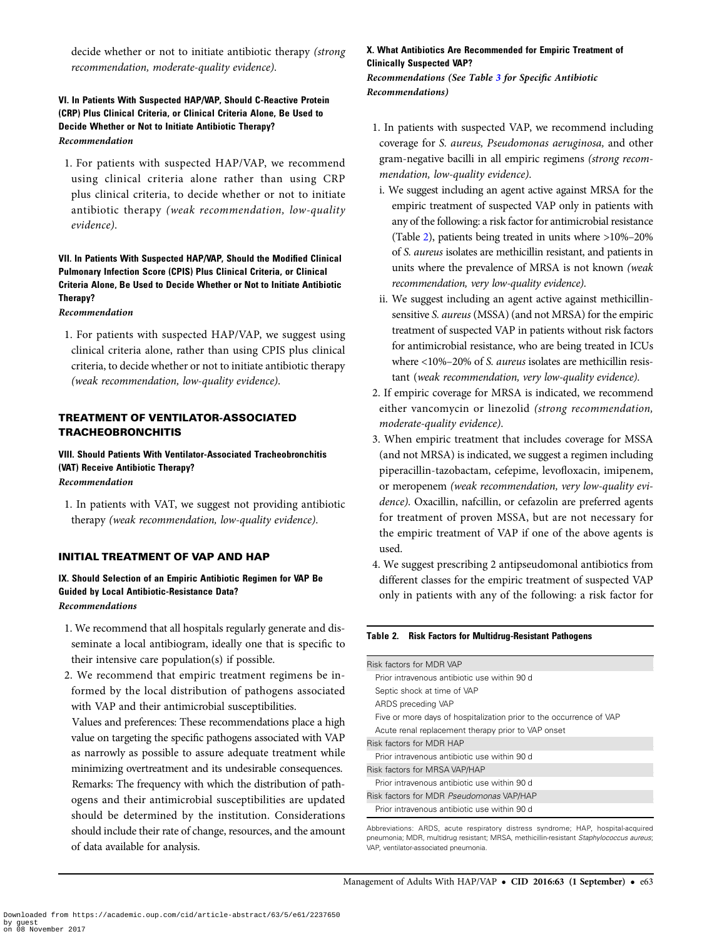<span id="page-2-0"></span>decide whether or not to initiate antibiotic therapy (strong recommendation, moderate-quality evidence).

## VI. In Patients With Suspected HAP/VAP, Should C-Reactive Protein (CRP) Plus Clinical Criteria, or Clinical Criteria Alone, Be Used to Decide Whether or Not to Initiate Antibiotic Therapy? Recommendation

1. For patients with suspected HAP/VAP, we recommend using clinical criteria alone rather than using CRP plus clinical criteria, to decide whether or not to initiate antibiotic therapy (weak recommendation, low-quality evidence).

## VII. In Patients With Suspected HAP/VAP, Should the Modified Clinical Pulmonary Infection Score (CPIS) Plus Clinical Criteria, or Clinical Criteria Alone, Be Used to Decide Whether or Not to Initiate Antibiotic Therapy?

Recommendation

1. For patients with suspected HAP/VAP, we suggest using clinical criteria alone, rather than using CPIS plus clinical criteria, to decide whether or not to initiate antibiotic therapy (weak recommendation, low-quality evidence).

## TREATMENT OF VENTILATOR-ASSOCIATED **TRACHEOBRONCHITIS**

## VIII. Should Patients With Ventilator-Associated Tracheobronchitis (VAT) Receive Antibiotic Therapy? Recommendation

1. In patients with VAT, we suggest not providing antibiotic therapy (weak recommendation, low-quality evidence).

## INITIAL TREATMENT OF VAP AND HAP

#### IX. Should Selection of an Empiric Antibiotic Regimen for VAP Be Guided by Local Antibiotic-Resistance Data? Recommendations

- 1. We recommend that all hospitals regularly generate and disseminate a local antibiogram, ideally one that is specific to their intensive care population(s) if possible.
- 2. We recommend that empiric treatment regimens be informed by the local distribution of pathogens associated with VAP and their antimicrobial susceptibilities.

Values and preferences: These recommendations place a high value on targeting the specific pathogens associated with VAP as narrowly as possible to assure adequate treatment while minimizing overtreatment and its undesirable consequences. Remarks: The frequency with which the distribution of pathogens and their antimicrobial susceptibilities are updated should be determined by the institution. Considerations should include their rate of change, resources, and the amount of data available for analysis.

## X. What Antibiotics Are Recommended for Empiric Treatment of Clinically Suspected VAP?

Recommendations (See Table [3](#page-3-0) for Specific Antibiotic Recommendations)

- 1. In patients with suspected VAP, we recommend including coverage for S. aureus, Pseudomonas aeruginosa, and other gram-negative bacilli in all empiric regimens (strong recommendation, low-quality evidence).
- i. We suggest including an agent active against MRSA for the empiric treatment of suspected VAP only in patients with any of the following: a risk factor for antimicrobial resistance (Table 2), patients being treated in units where >10%–20% of S. aureus isolates are methicillin resistant, and patients in units where the prevalence of MRSA is not known (weak recommendation, very low-quality evidence).
- ii. We suggest including an agent active against methicillinsensitive S. aureus (MSSA) (and not MRSA) for the empiric treatment of suspected VAP in patients without risk factors for antimicrobial resistance, who are being treated in ICUs where <10%–20% of S. aureus isolates are methicillin resistant (weak recommendation, very low-quality evidence).
- 2. If empiric coverage for MRSA is indicated, we recommend either vancomycin or linezolid (strong recommendation, moderate-quality evidence).
- 3. When empiric treatment that includes coverage for MSSA (and not MRSA) is indicated, we suggest a regimen including piperacillin-tazobactam, cefepime, levofloxacin, imipenem, or meropenem (weak recommendation, very low-quality evidence). Oxacillin, nafcillin, or cefazolin are preferred agents for treatment of proven MSSA, but are not necessary for the empiric treatment of VAP if one of the above agents is used.
- 4. We suggest prescribing 2 antipseudomonal antibiotics from different classes for the empiric treatment of suspected VAP only in patients with any of the following: a risk factor for

#### Table 2. Risk Factors for Multidrug-Resistant Pathogens

| Risk factors for MDR VAP                                            |  |  |  |  |
|---------------------------------------------------------------------|--|--|--|--|
| Prior intravenous antibiotic use within 90 d                        |  |  |  |  |
| Septic shock at time of VAP                                         |  |  |  |  |
| ARDS preceding VAP                                                  |  |  |  |  |
| Five or more days of hospitalization prior to the occurrence of VAP |  |  |  |  |
| Acute renal replacement therapy prior to VAP onset                  |  |  |  |  |
| Risk factors for MDR HAP                                            |  |  |  |  |
| Prior intravenous antibiotic use within 90 d                        |  |  |  |  |
| Risk factors for MRSA VAP/HAP                                       |  |  |  |  |
| Prior intravenous antibiotic use within 90 d                        |  |  |  |  |
| Risk factors for MDR Pseudomonas VAP/HAP                            |  |  |  |  |
| Prior intravenous antibiotic use within 90 d                        |  |  |  |  |

Abbreviations: ARDS, acute respiratory distress syndrome; HAP, hospital-acquired pneumonia; MDR, multidrug resistant; MRSA, methicillin-resistant Staphylococcus aureus; VAP, ventilator-associated pneumonia.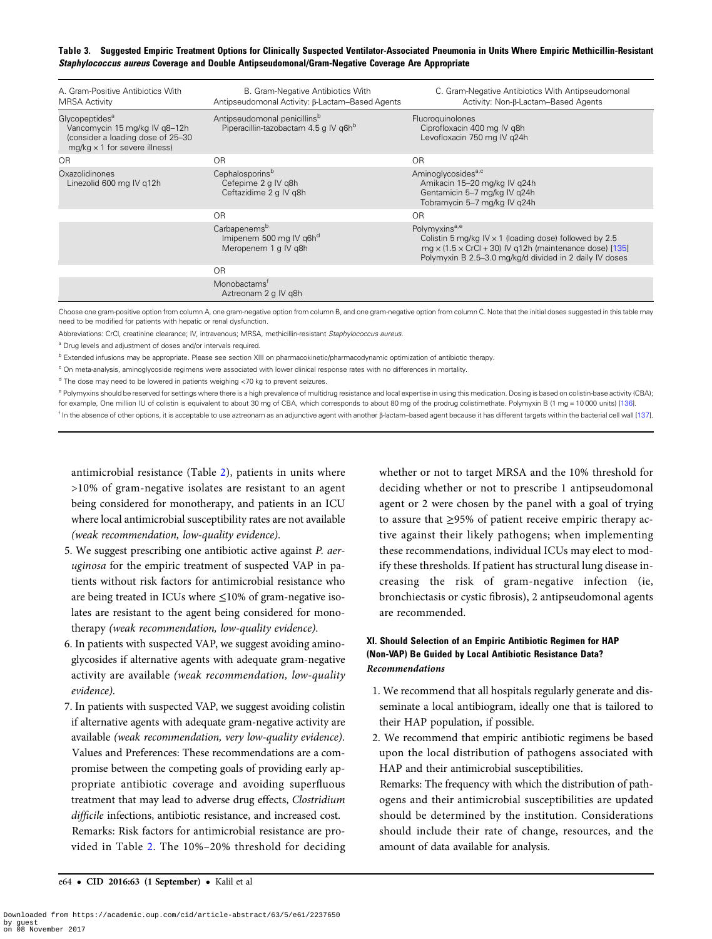#### <span id="page-3-0"></span>Table 3. Suggested Empiric Treatment Options for Clinically Suspected Ventilator-Associated Pneumonia in Units Where Empiric Methicillin-Resistant Staphylococcus aureus Coverage and Double Antipseudomonal/Gram-Negative Coverage Are Appropriate

| A. Gram-Positive Antibiotics With<br><b>MRSA Activity</b>                                                                                 | B. Gram-Negative Antibiotics With<br>Antipseudomonal Activity: β-Lactam-Based Agents          | C. Gram-Negative Antibiotics With Antipseudomonal<br>Activity: Non-β-Lactam-Based Agents                                                                                                                                     |
|-------------------------------------------------------------------------------------------------------------------------------------------|-----------------------------------------------------------------------------------------------|------------------------------------------------------------------------------------------------------------------------------------------------------------------------------------------------------------------------------|
| Glycopeptides <sup>a</sup><br>Vancomycin 15 mg/kg IV q8-12h<br>(consider a loading dose of 25-30)<br>$mg/kg \times 1$ for severe illness) | Antipseudomonal penicillins <sup>b</sup><br>Piperacillin-tazobactam 4.5 g IV g6h <sup>b</sup> | Fluoroguinolones<br>Ciprofloxacin 400 mg IV q8h<br>Levofloxacin 750 mg IV g24h                                                                                                                                               |
| OR                                                                                                                                        | OR                                                                                            | <b>OR</b>                                                                                                                                                                                                                    |
| Oxazolidinones<br>Linezolid 600 mg IV g12h                                                                                                | Cephalosporinsb<br>Cefepime 2 g IV g8h<br>Ceftazidime 2 g IV g8h                              | Aminoglycosides <sup>a,c</sup><br>Amikacin 15-20 mg/kg IV q24h<br>Gentamicin 5-7 mg/kg IV q24h<br>Tobramycin 5-7 mg/kg IV g24h                                                                                               |
|                                                                                                                                           | OR                                                                                            | <b>OR</b>                                                                                                                                                                                                                    |
|                                                                                                                                           | Carbapenems <sup>b</sup><br>Imipenem 500 mg IV g6h <sup>d</sup><br>Meropenem 1 g IV g8h       | Polymyxins <sup>a,e</sup><br>Colistin 5 mg/kg IV $\times$ 1 (loading dose) followed by 2.5<br>$mg \times (1.5 \times CrCl + 30)$ IV q12h (maintenance dose) [135]<br>Polymyxin B 2.5-3.0 mg/kg/d divided in 2 daily IV doses |
|                                                                                                                                           | OR                                                                                            |                                                                                                                                                                                                                              |
|                                                                                                                                           | Monobactams <sup>t</sup><br>Aztreonam 2 g IV q8h                                              |                                                                                                                                                                                                                              |

Choose one gram-positive option from column A, one gram-negative option from column B, and one gram-negative option from column C. Note that the initial doses suggested in this table may need to be modified for patients with hepatic or renal dysfunction.

Abbreviations: CrCl, creatinine clearance; IV, intravenous; MRSA, methicillin-resistant Staphylococcus aureus.

<sup>a</sup> Drug levels and adjustment of doses and/or intervals required.

<sup>b</sup> Extended infusions may be appropriate. Please see section XIII on pharmacokinetic/pharmacodynamic optimization of antibiotic therapy.

<sup>c</sup> On meta-analysis, aminoglycoside regimens were associated with lower clinical response rates with no differences in mortality.

<sup>d</sup> The dose may need to be lowered in patients weighing <70 kg to prevent seizures.

e Polymyxins should be reserved for settings where there is a high prevalence of multidrug resistance and local expertise in using this medication. Dosing is based on colistin-base activity (CBA); for example, One million IU of colistin is equivalent to about 30 mg of CBA, which corresponds to about 80 mg of the prodrug colistimethate. Polymyxin B (1 mg = 10 000 units) [[136\]](#page-45-0).

f In the absence of other options, it is acceptable to use aztreonam as an adjunctive agent with another β-lactam–based agent because it has different targets within the bacterial cell wall [[137\]](#page-45-0).

antimicrobial resistance (Table [2](#page-2-0)), patients in units where >10% of gram-negative isolates are resistant to an agent being considered for monotherapy, and patients in an ICU where local antimicrobial susceptibility rates are not available (weak recommendation, low-quality evidence).

- 5. We suggest prescribing one antibiotic active against P. aeruginosa for the empiric treatment of suspected VAP in patients without risk factors for antimicrobial resistance who are being treated in ICUs where ≤10% of gram-negative isolates are resistant to the agent being considered for monotherapy (weak recommendation, low-quality evidence).
- 6. In patients with suspected VAP, we suggest avoiding aminoglycosides if alternative agents with adequate gram-negative activity are available (weak recommendation, low-quality evidence).
- 7. In patients with suspected VAP, we suggest avoiding colistin if alternative agents with adequate gram-negative activity are available (weak recommendation, very low-quality evidence). Values and Preferences: These recommendations are a compromise between the competing goals of providing early appropriate antibiotic coverage and avoiding superfluous treatment that may lead to adverse drug effects, Clostridium difficile infections, antibiotic resistance, and increased cost. Remarks: Risk factors for antimicrobial resistance are provided in Table [2.](#page-2-0) The 10%–20% threshold for deciding

whether or not to target MRSA and the 10% threshold for deciding whether or not to prescribe 1 antipseudomonal agent or 2 were chosen by the panel with a goal of trying to assure that ≥95% of patient receive empiric therapy active against their likely pathogens; when implementing these recommendations, individual ICUs may elect to modify these thresholds. If patient has structural lung disease increasing the risk of gram-negative infection (ie, bronchiectasis or cystic fibrosis), 2 antipseudomonal agents are recommended.

## XI. Should Selection of an Empiric Antibiotic Regimen for HAP (Non-VAP) Be Guided by Local Antibiotic Resistance Data? Recommendations

- 1. We recommend that all hospitals regularly generate and disseminate a local antibiogram, ideally one that is tailored to their HAP population, if possible.
- 2. We recommend that empiric antibiotic regimens be based upon the local distribution of pathogens associated with HAP and their antimicrobial susceptibilities.
- Remarks: The frequency with which the distribution of pathogens and their antimicrobial susceptibilities are updated should be determined by the institution. Considerations should include their rate of change, resources, and the amount of data available for analysis.

e64 • CID 2016:63 (1 September) • Kalil et al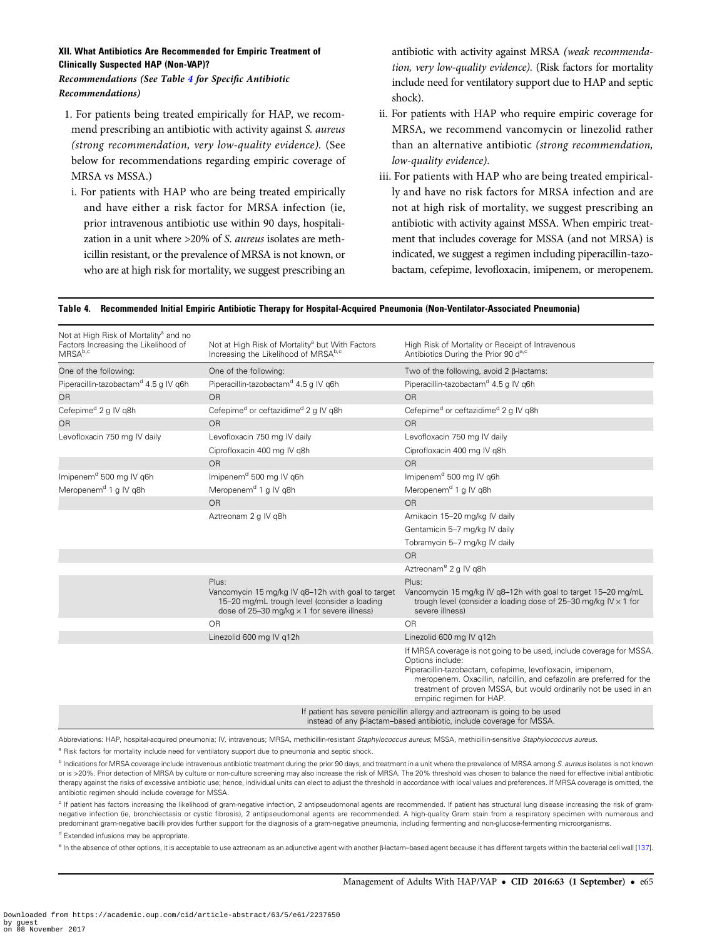## <span id="page-4-0"></span>XII. What Antibiotics Are Recommended for Empiric Treatment of Clinically Suspected HAP (Non-VAP)?

Recommendations (See Table 4 for Specific Antibiotic Recommendations)

- 1. For patients being treated empirically for HAP, we recommend prescribing an antibiotic with activity against S. aureus (strong recommendation, very low-quality evidence). (See below for recommendations regarding empiric coverage of MRSA vs MSSA.)
- i. For patients with HAP who are being treated empirically and have either a risk factor for MRSA infection (ie, prior intravenous antibiotic use within 90 days, hospitalization in a unit where >20% of S. aureus isolates are methicillin resistant, or the prevalence of MRSA is not known, or who are at high risk for mortality, we suggest prescribing an

antibiotic with activity against MRSA (weak recommendation, very low-quality evidence). (Risk factors for mortality include need for ventilatory support due to HAP and septic shock).

- ii. For patients with HAP who require empiric coverage for MRSA, we recommend vancomycin or linezolid rather than an alternative antibiotic (strong recommendation, low-quality evidence).
- iii. For patients with HAP who are being treated empirically and have no risk factors for MRSA infection and are not at high risk of mortality, we suggest prescribing an antibiotic with activity against MSSA. When empiric treatment that includes coverage for MSSA (and not MRSA) is indicated, we suggest a regimen including piperacillin-tazobactam, cefepime, levofloxacin, imipenem, or meropenem.

## Table 4. Recommended Initial Empiric Antibiotic Therapy for Hospital-Acquired Pneumonia (Non-Ventilator-Associated Pneumonia)

| Not at High Risk of Mortality <sup>a</sup> and no<br>Factors Increasing the Likelihood of<br>$MRSA^{b,c}$ | Not at High Risk of Mortality <sup>a</sup> but With Factors<br>Increasing the Likelihood of MRSA <sup>b,c</sup>                                                  | High Risk of Mortality or Receipt of Intravenous<br>Antibiotics During the Prior 90 da,c                                                                                                                                                                                                                                       |
|-----------------------------------------------------------------------------------------------------------|------------------------------------------------------------------------------------------------------------------------------------------------------------------|--------------------------------------------------------------------------------------------------------------------------------------------------------------------------------------------------------------------------------------------------------------------------------------------------------------------------------|
| One of the following:                                                                                     | One of the following:                                                                                                                                            | Two of the following, avoid $2$ $\beta$ -lactams:                                                                                                                                                                                                                                                                              |
| Piperacillin-tazobactam <sup>d</sup> 4.5 g IV q6h                                                         | Piperacillin-tazobactam <sup>d</sup> 4.5 g IV q6h                                                                                                                | Piperacillin-tazobactam <sup>d</sup> 4.5 g IV g6h                                                                                                                                                                                                                                                                              |
| OR                                                                                                        | <b>OR</b>                                                                                                                                                        | <b>OR</b>                                                                                                                                                                                                                                                                                                                      |
| Cefepime <sup>d</sup> 2 g IV q8h                                                                          | Cefepime <sup>d</sup> or ceftazidime <sup>d</sup> 2 g IV q8h                                                                                                     | Cefepime <sup>d</sup> or ceftazidime <sup>d</sup> 2 g IV q8h                                                                                                                                                                                                                                                                   |
| <b>OR</b>                                                                                                 | <b>OR</b>                                                                                                                                                        | <b>OR</b>                                                                                                                                                                                                                                                                                                                      |
| Levofloxacin 750 mg IV daily                                                                              | Levofloxacin 750 mg IV daily                                                                                                                                     | Levofloxacin 750 mg IV daily                                                                                                                                                                                                                                                                                                   |
|                                                                                                           | Ciprofloxacin 400 mg IV q8h                                                                                                                                      | Ciprofloxacin 400 mg IV g8h                                                                                                                                                                                                                                                                                                    |
|                                                                                                           | <b>OR</b>                                                                                                                                                        | <b>OR</b>                                                                                                                                                                                                                                                                                                                      |
| Imipenem <sup>d</sup> 500 mg IV q6h                                                                       | Imipenem <sup>d</sup> 500 mg IV q6h                                                                                                                              | Imipenem <sup>d</sup> 500 mg IV q6h                                                                                                                                                                                                                                                                                            |
| Meropenem <sup>d</sup> 1 g IV q8h                                                                         | Meropenem <sup>d</sup> 1 g IV q8h                                                                                                                                | Meropenem <sup>d</sup> 1 g IV q8h                                                                                                                                                                                                                                                                                              |
|                                                                                                           | <b>OR</b>                                                                                                                                                        | <b>OR</b>                                                                                                                                                                                                                                                                                                                      |
|                                                                                                           | Aztreonam 2 g IV q8h                                                                                                                                             | Amikacin 15-20 mg/kg IV daily                                                                                                                                                                                                                                                                                                  |
|                                                                                                           |                                                                                                                                                                  | Gentamicin 5-7 mg/kg IV daily                                                                                                                                                                                                                                                                                                  |
|                                                                                                           |                                                                                                                                                                  | Tobramycin 5-7 mg/kg IV daily                                                                                                                                                                                                                                                                                                  |
|                                                                                                           |                                                                                                                                                                  | <b>OR</b>                                                                                                                                                                                                                                                                                                                      |
|                                                                                                           |                                                                                                                                                                  | Aztreonam <sup>e</sup> 2 g IV q8h                                                                                                                                                                                                                                                                                              |
|                                                                                                           | Plus:<br>Vancomycin 15 mg/kg IV q8-12h with goal to target<br>15-20 mg/mL trough level (consider a loading<br>dose of 25-30 mg/kg $\times$ 1 for severe illness) | Plus:<br>Vancomycin 15 mg/kg IV q8-12h with goal to target 15-20 mg/mL<br>trough level (consider a loading dose of 25-30 mg/kg IV $\times$ 1 for<br>severe illness)                                                                                                                                                            |
|                                                                                                           | OR                                                                                                                                                               | OR                                                                                                                                                                                                                                                                                                                             |
|                                                                                                           | Linezolid 600 mg IV q12h                                                                                                                                         | Linezolid 600 mg IV g12h                                                                                                                                                                                                                                                                                                       |
|                                                                                                           |                                                                                                                                                                  | If MRSA coverage is not going to be used, include coverage for MSSA.<br>Options include:<br>Piperacillin-tazobactam, cefepime, levofloxacin, imipenem,<br>meropenem. Oxacillin, nafcillin, and cefazolin are preferred for the<br>treatment of proven MSSA, but would ordinarily not be used in an<br>empiric regimen for HAP. |
|                                                                                                           |                                                                                                                                                                  | If patient has severe penicillin allergy and aztreonam is going to be used<br>instead of any $\beta$ -lactam-based antibiotic, include coverage for MSSA.                                                                                                                                                                      |

Abbreviations: HAP, hospital-acquired pneumonia; IV, intravenous; MRSA, methicillin-resistant Staphylococcus aureus; MSSA, methicillin-sensitive Staphylococcus aureus;

<sup>a</sup> Risk factors for mortality include need for ventilatory support due to pneumonia and septic shock.

<sup>b</sup> Indications for MRSA coverage include intravenous antibiotic treatment during the prior 90 days, and treatment in a unit where the prevalence of MRSA among S. aureus isolates is not known or is >20%. Prior detection of MRSA by culture or non-culture screening may also increase the risk of MRSA. The 20% threshold was chosen to balance the need for effective initial antibiotic therapy against the risks of excessive antibiotic use; hence, individual units can elect to adjust the threshold in accordance with local values and preferences. If MRSA coverage is omitted, the antibiotic regimen should include coverage for MSSA.

c If patient has factors increasing the likelihood of gram-negative infection, 2 antipseudomonal agents are recommended. If patient has structural lung disease increasing the risk of gramnegative infection (ie, bronchiectasis or cystic fibrosis), 2 antipseudomonal agents are recommended. A high-quality Gram stain from a respiratory specimen with numerous and predominant gram-negative bacilli provides further support for the diagnosis of a gram-negative pneumonia, including fermenting and non-glucose-fermenting microorganisms

<sup>d</sup> Extended infusions may be appropriate.

<sup>e</sup> In the absence of other options, it is acceptable to use aztreonam as an adjunctive agent with another β-lactam–based agent because it has different targets within the bacterial cell wall [[137\]](#page-45-0).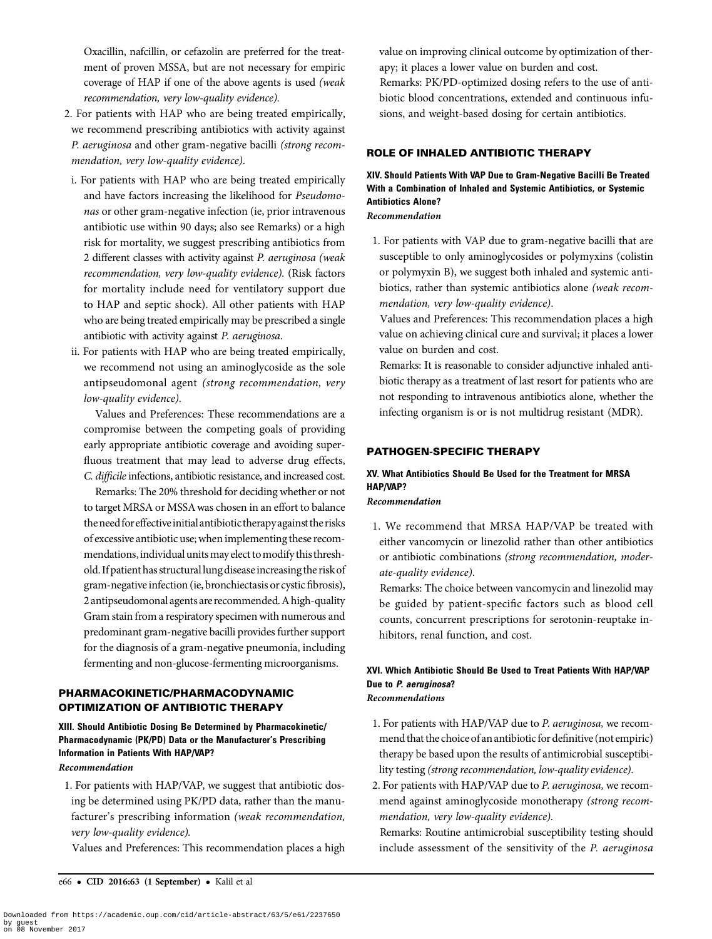Oxacillin, nafcillin, or cefazolin are preferred for the treatment of proven MSSA, but are not necessary for empiric coverage of HAP if one of the above agents is used (weak recommendation, very low-quality evidence).

- 2. For patients with HAP who are being treated empirically, we recommend prescribing antibiotics with activity against P. aeruginosa and other gram-negative bacilli (strong recommendation, very low-quality evidence).
- i. For patients with HAP who are being treated empirically and have factors increasing the likelihood for Pseudomonas or other gram-negative infection (ie, prior intravenous antibiotic use within 90 days; also see Remarks) or a high risk for mortality, we suggest prescribing antibiotics from 2 different classes with activity against P. aeruginosa (weak recommendation, very low-quality evidence). (Risk factors for mortality include need for ventilatory support due to HAP and septic shock). All other patients with HAP who are being treated empirically may be prescribed a single antibiotic with activity against P. aeruginosa.
- ii. For patients with HAP who are being treated empirically, we recommend not using an aminoglycoside as the sole antipseudomonal agent (strong recommendation, very low-quality evidence).

Values and Preferences: These recommendations are a compromise between the competing goals of providing early appropriate antibiotic coverage and avoiding superfluous treatment that may lead to adverse drug effects, C. difficile infections, antibiotic resistance, and increased cost.

Remarks: The 20% threshold for deciding whether or not to target MRSA or MSSA was chosen in an effort to balance the need for effective initial antibiotic therapy against the risks of excessive antibiotic use; when implementing these recommendations, individual units may elect to modify this threshold. If patient has structurallung diseaseincreasing the risk of gram-negative infection (ie, bronchiectasis or cystic fibrosis), 2 antipseudomonal agents are recommended.A high-quality Gram stain from a respiratory specimen with numerous and predominant gram-negative bacilli provides further support for the diagnosis of a gram-negative pneumonia, including fermenting and non-glucose-fermenting microorganisms.

## PHARMACOKINETIC/PHARMACODYNAMIC OPTIMIZATION OF ANTIBIOTIC THERAPY

## XIII. Should Antibiotic Dosing Be Determined by Pharmacokinetic/ Pharmacodynamic (PK/PD) Data or the Manufacturer's Prescribing Information in Patients With HAP/VAP? Recommendation

1. For patients with HAP/VAP, we suggest that antibiotic dosing be determined using PK/PD data, rather than the manufacturer's prescribing information (weak recommendation, very low-quality evidence).

Values and Preferences: This recommendation places a high

value on improving clinical outcome by optimization of therapy; it places a lower value on burden and cost.

Remarks: PK/PD-optimized dosing refers to the use of antibiotic blood concentrations, extended and continuous infusions, and weight-based dosing for certain antibiotics.

## ROLE OF INHALED ANTIBIOTIC THERAPY

# XIV. Should Patients With VAP Due to Gram-Negative Bacilli Be Treated With a Combination of Inhaled and Systemic Antibiotics, or Systemic Antibiotics Alone?

Recommendation

1. For patients with VAP due to gram-negative bacilli that are susceptible to only aminoglycosides or polymyxins (colistin or polymyxin B), we suggest both inhaled and systemic antibiotics, rather than systemic antibiotics alone (weak recommendation, very low-quality evidence).

Values and Preferences: This recommendation places a high value on achieving clinical cure and survival; it places a lower value on burden and cost.

Remarks: It is reasonable to consider adjunctive inhaled antibiotic therapy as a treatment of last resort for patients who are not responding to intravenous antibiotics alone, whether the infecting organism is or is not multidrug resistant (MDR).

## PATHOGEN-SPECIFIC THERAPY

# XV. What Antibiotics Should Be Used for the Treatment for MRSA HAP/VAP?

Recommendation

1. We recommend that MRSA HAP/VAP be treated with either vancomycin or linezolid rather than other antibiotics or antibiotic combinations (strong recommendation, moderate-quality evidence).

Remarks: The choice between vancomycin and linezolid may be guided by patient-specific factors such as blood cell counts, concurrent prescriptions for serotonin-reuptake inhibitors, renal function, and cost.

## XVI. Which Antibiotic Should Be Used to Treat Patients With HAP/VAP Due to P. aeruginosa? Recommendations

1. For patients with HAP/VAP due to P. aeruginosa, we recommend that the choice of an antibiotic for definitive (not empiric) therapy be based upon the results of antimicrobial susceptibi-

lity testing (strong recommendation, low-quality evidence).

2. For patients with HAP/VAP due to P. aeruginosa, we recommend against aminoglycoside monotherapy (strong recommendation, very low-quality evidence).

Remarks: Routine antimicrobial susceptibility testing should include assessment of the sensitivity of the P. aeruginosa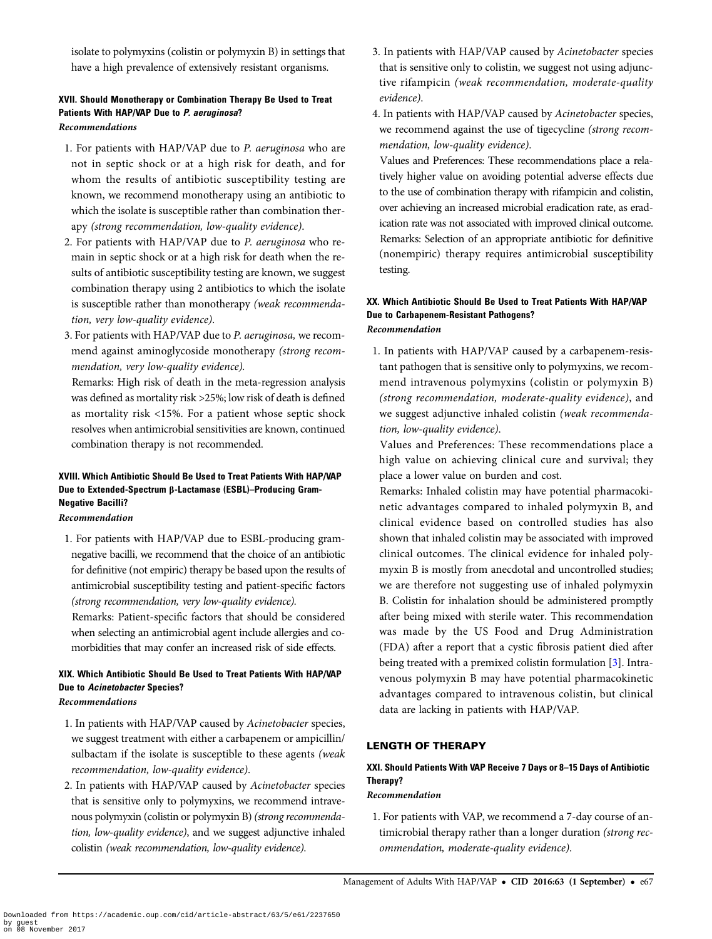isolate to polymyxins (colistin or polymyxin B) in settings that have a high prevalence of extensively resistant organisms.

#### XVII. Should Monotherapy or Combination Therapy Be Used to Treat Patients With HAP/VAP Due to P. aeruginosa? Recommendations

- 1. For patients with HAP/VAP due to P. aeruginosa who are not in septic shock or at a high risk for death, and for whom the results of antibiotic susceptibility testing are known, we recommend monotherapy using an antibiotic to which the isolate is susceptible rather than combination therapy (strong recommendation, low-quality evidence).
- 2. For patients with HAP/VAP due to P. aeruginosa who remain in septic shock or at a high risk for death when the results of antibiotic susceptibility testing are known, we suggest combination therapy using 2 antibiotics to which the isolate is susceptible rather than monotherapy (weak recommendation, very low-quality evidence).
- 3. For patients with HAP/VAP due to P. aeruginosa, we recommend against aminoglycoside monotherapy (strong recommendation, very low-quality evidence).

Remarks: High risk of death in the meta-regression analysis was defined as mortality risk >25%; low risk of death is defined as mortality risk <15%. For a patient whose septic shock resolves when antimicrobial sensitivities are known, continued combination therapy is not recommended.

# XVIII. Which Antibiotic Should Be Used to Treat Patients With HAP/VAP Due to Extended-Spectrum β-Lactamase (ESBL)–Producing Gram-Negative Bacilli?

## Recommendation

1. For patients with HAP/VAP due to ESBL-producing gramnegative bacilli, we recommend that the choice of an antibiotic for definitive (not empiric) therapy be based upon the results of antimicrobial susceptibility testing and patient-specific factors (strong recommendation, very low-quality evidence).

Remarks: Patient-specific factors that should be considered when selecting an antimicrobial agent include allergies and comorbidities that may confer an increased risk of side effects.

# XIX. Which Antibiotic Should Be Used to Treat Patients With HAP/VAP Due to Acinetobacter Species?

## Recommendations

- 1. In patients with HAP/VAP caused by Acinetobacter species, we suggest treatment with either a carbapenem or ampicillin/ sulbactam if the isolate is susceptible to these agents (weak recommendation, low-quality evidence).
- 2. In patients with HAP/VAP caused by Acinetobacter species that is sensitive only to polymyxins, we recommend intravenous polymyxin (colistin or polymyxin B) (strong recommendation, low-quality evidence), and we suggest adjunctive inhaled colistin (weak recommendation, low-quality evidence).
- 3. In patients with HAP/VAP caused by Acinetobacter species that is sensitive only to colistin, we suggest not using adjunctive rifampicin (weak recommendation, moderate-quality evidence).
- 4. In patients with HAP/VAP caused by Acinetobacter species, we recommend against the use of tigecycline (strong recommendation, low-quality evidence).

Values and Preferences: These recommendations place a relatively higher value on avoiding potential adverse effects due to the use of combination therapy with rifampicin and colistin, over achieving an increased microbial eradication rate, as eradication rate was not associated with improved clinical outcome. Remarks: Selection of an appropriate antibiotic for definitive (nonempiric) therapy requires antimicrobial susceptibility testing.

#### XX. Which Antibiotic Should Be Used to Treat Patients With HAP/VAP Due to Carbapenem-Resistant Pathogens? Recommendation

1. In patients with HAP/VAP caused by a carbapenem-resistant pathogen that is sensitive only to polymyxins, we recommend intravenous polymyxins (colistin or polymyxin B) (strong recommendation, moderate-quality evidence), and we suggest adjunctive inhaled colistin (weak recommendation, low-quality evidence).

Values and Preferences: These recommendations place a high value on achieving clinical cure and survival; they place a lower value on burden and cost.

Remarks: Inhaled colistin may have potential pharmacokinetic advantages compared to inhaled polymyxin B, and clinical evidence based on controlled studies has also shown that inhaled colistin may be associated with improved clinical outcomes. The clinical evidence for inhaled polymyxin B is mostly from anecdotal and uncontrolled studies; we are therefore not suggesting use of inhaled polymyxin B. Colistin for inhalation should be administered promptly after being mixed with sterile water. This recommendation was made by the US Food and Drug Administration (FDA) after a report that a cystic fibrosis patient died after being treated with a premixed colistin formulation [[3](#page-43-0)]. Intravenous polymyxin B may have potential pharmacokinetic advantages compared to intravenous colistin, but clinical data are lacking in patients with HAP/VAP.

## LENGTH OF THERAPY

# XXI. Should Patients With VAP Receive 7 Days or 8–15 Days of Antibiotic Therapy?

## Recommendation

1. For patients with VAP, we recommend a 7-day course of antimicrobial therapy rather than a longer duration (strong recommendation, moderate-quality evidence).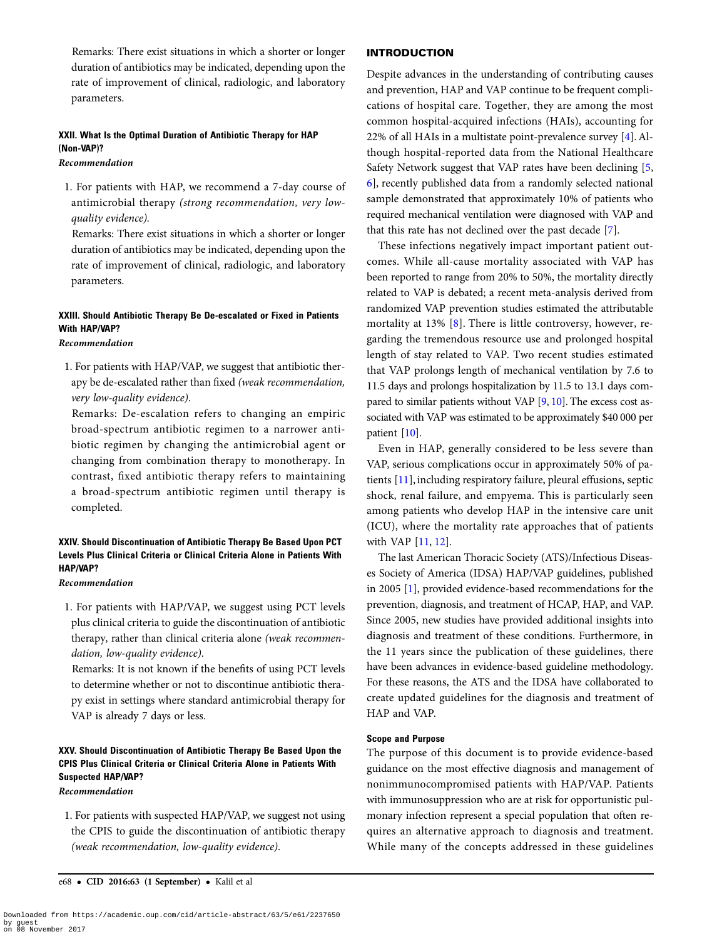Remarks: There exist situations in which a shorter or longer duration of antibiotics may be indicated, depending upon the rate of improvement of clinical, radiologic, and laboratory parameters.

# XXII. What Is the Optimal Duration of Antibiotic Therapy for HAP (Non-VAP)?

Recommendation

1. For patients with HAP, we recommend a 7-day course of antimicrobial therapy (strong recommendation, very lowquality evidence).

Remarks: There exist situations in which a shorter or longer duration of antibiotics may be indicated, depending upon the rate of improvement of clinical, radiologic, and laboratory parameters.

# XXIII. Should Antibiotic Therapy Be De-escalated or Fixed in Patients With HAP/VAP?

# Recommendation

1. For patients with HAP/VAP, we suggest that antibiotic therapy be de-escalated rather than fixed (weak recommendation, very low-quality evidence).

Remarks: De-escalation refers to changing an empiric broad-spectrum antibiotic regimen to a narrower antibiotic regimen by changing the antimicrobial agent or changing from combination therapy to monotherapy. In contrast, fixed antibiotic therapy refers to maintaining a broad-spectrum antibiotic regimen until therapy is completed.

# XXIV. Should Discontinuation of Antibiotic Therapy Be Based Upon PCT Levels Plus Clinical Criteria or Clinical Criteria Alone in Patients With HAP/VAP?

Recommendation

1. For patients with HAP/VAP, we suggest using PCT levels plus clinical criteria to guide the discontinuation of antibiotic therapy, rather than clinical criteria alone (weak recommendation, low-quality evidence).

Remarks: It is not known if the benefits of using PCT levels to determine whether or not to discontinue antibiotic therapy exist in settings where standard antimicrobial therapy for VAP is already 7 days or less.

# XXV. Should Discontinuation of Antibiotic Therapy Be Based Upon the CPIS Plus Clinical Criteria or Clinical Criteria Alone in Patients With Suspected HAP/VAP?

Recommendation

1. For patients with suspected HAP/VAP, we suggest not using the CPIS to guide the discontinuation of antibiotic therapy (weak recommendation, low-quality evidence).

#### INTRODUCTION

Despite advances in the understanding of contributing causes and prevention, HAP and VAP continue to be frequent complications of hospital care. Together, they are among the most common hospital-acquired infections (HAIs), accounting for 22% of all HAIs in a multistate point-prevalence survey [\[4\]](#page-43-0). Although hospital-reported data from the National Healthcare Safety Network suggest that VAP rates have been declining [\[5,](#page-43-0) [6\]](#page-43-0), recently published data from a randomly selected national sample demonstrated that approximately 10% of patients who required mechanical ventilation were diagnosed with VAP and that this rate has not declined over the past decade [[7\]](#page-43-0).

These infections negatively impact important patient outcomes. While all-cause mortality associated with VAP has been reported to range from 20% to 50%, the mortality directly related to VAP is debated; a recent meta-analysis derived from randomized VAP prevention studies estimated the attributable mortality at 13% [\[8\]](#page-43-0). There is little controversy, however, regarding the tremendous resource use and prolonged hospital length of stay related to VAP. Two recent studies estimated that VAP prolongs length of mechanical ventilation by 7.6 to 11.5 days and prolongs hospitalization by 11.5 to 13.1 days compared to similar patients without VAP [[9,](#page-43-0) [10\]](#page-43-0). The excess cost associated with VAP was estimated to be approximately \$40 000 per patient [[10\]](#page-43-0).

Even in HAP, generally considered to be less severe than VAP, serious complications occur in approximately 50% of patients [\[11](#page-43-0)], including respiratory failure, pleural effusions, septic shock, renal failure, and empyema. This is particularly seen among patients who develop HAP in the intensive care unit (ICU), where the mortality rate approaches that of patients with VAP [\[11](#page-43-0), [12\]](#page-43-0).

The last American Thoracic Society (ATS)/Infectious Diseases Society of America (IDSA) HAP/VAP guidelines, published in 2005 [\[1\]](#page-42-0), provided evidence-based recommendations for the prevention, diagnosis, and treatment of HCAP, HAP, and VAP. Since 2005, new studies have provided additional insights into diagnosis and treatment of these conditions. Furthermore, in the 11 years since the publication of these guidelines, there have been advances in evidence-based guideline methodology. For these reasons, the ATS and the IDSA have collaborated to create updated guidelines for the diagnosis and treatment of HAP and VAP.

#### Scope and Purpose

The purpose of this document is to provide evidence-based guidance on the most effective diagnosis and management of nonimmunocompromised patients with HAP/VAP. Patients with immunosuppression who are at risk for opportunistic pulmonary infection represent a special population that often requires an alternative approach to diagnosis and treatment. While many of the concepts addressed in these guidelines

e68 • CID 2016:63 (1 September) • Kalil et al

Downloaded from https://academic.oup.com/cid/article-abstract/63/5/e61/2237650 by guest on 08 November 2017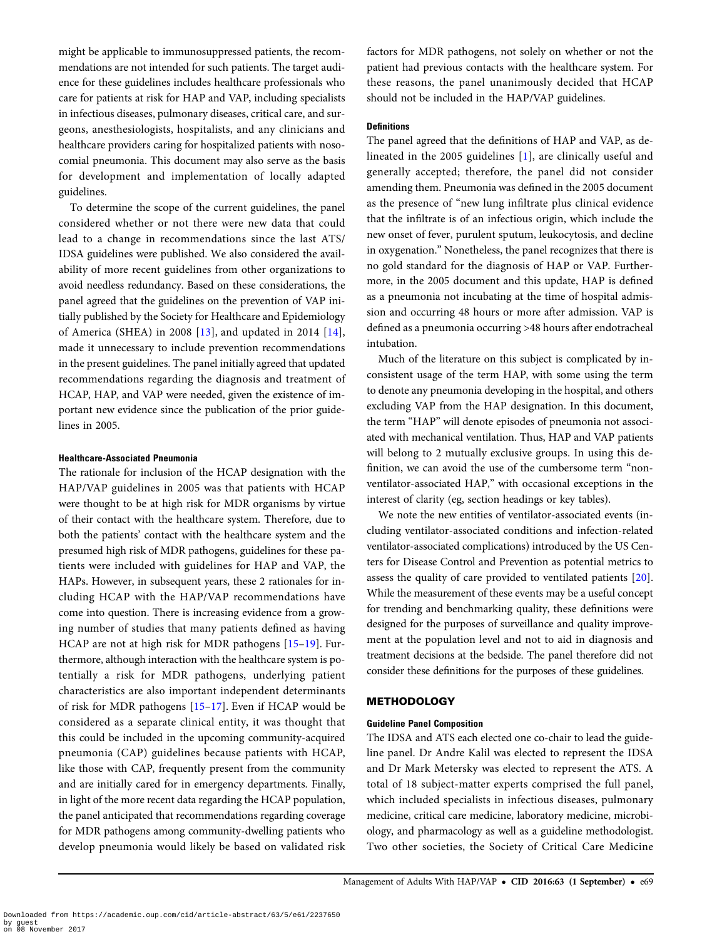might be applicable to immunosuppressed patients, the recommendations are not intended for such patients. The target audience for these guidelines includes healthcare professionals who care for patients at risk for HAP and VAP, including specialists in infectious diseases, pulmonary diseases, critical care, and surgeons, anesthesiologists, hospitalists, and any clinicians and healthcare providers caring for hospitalized patients with nosocomial pneumonia. This document may also serve as the basis for development and implementation of locally adapted guidelines.

To determine the scope of the current guidelines, the panel considered whether or not there were new data that could lead to a change in recommendations since the last ATS/ IDSA guidelines were published. We also considered the availability of more recent guidelines from other organizations to avoid needless redundancy. Based on these considerations, the panel agreed that the guidelines on the prevention of VAP initially published by the Society for Healthcare and Epidemiology of America (SHEA) in 2008 [[13](#page-43-0)], and updated in 2014 [[14](#page-43-0)], made it unnecessary to include prevention recommendations in the present guidelines. The panel initially agreed that updated recommendations regarding the diagnosis and treatment of HCAP, HAP, and VAP were needed, given the existence of important new evidence since the publication of the prior guidelines in 2005.

### Healthcare-Associated Pneumonia

The rationale for inclusion of the HCAP designation with the HAP/VAP guidelines in 2005 was that patients with HCAP were thought to be at high risk for MDR organisms by virtue of their contact with the healthcare system. Therefore, due to both the patients' contact with the healthcare system and the presumed high risk of MDR pathogens, guidelines for these patients were included with guidelines for HAP and VAP, the HAPs. However, in subsequent years, these 2 rationales for including HCAP with the HAP/VAP recommendations have come into question. There is increasing evidence from a growing number of studies that many patients defined as having HCAP are not at high risk for MDR pathogens [[15](#page-43-0)–[19](#page-43-0)]. Furthermore, although interaction with the healthcare system is potentially a risk for MDR pathogens, underlying patient characteristics are also important independent determinants of risk for MDR pathogens [[15](#page-43-0)–[17](#page-43-0)]. Even if HCAP would be considered as a separate clinical entity, it was thought that this could be included in the upcoming community-acquired pneumonia (CAP) guidelines because patients with HCAP, like those with CAP, frequently present from the community and are initially cared for in emergency departments. Finally, in light of the more recent data regarding the HCAP population, the panel anticipated that recommendations regarding coverage for MDR pathogens among community-dwelling patients who develop pneumonia would likely be based on validated risk factors for MDR pathogens, not solely on whether or not the patient had previous contacts with the healthcare system. For these reasons, the panel unanimously decided that HCAP should not be included in the HAP/VAP guidelines.

#### **Definitions**

The panel agreed that the definitions of HAP and VAP, as delineated in the 2005 guidelines [[1\]](#page-42-0), are clinically useful and generally accepted; therefore, the panel did not consider amending them. Pneumonia was defined in the 2005 document as the presence of "new lung infiltrate plus clinical evidence that the infiltrate is of an infectious origin, which include the new onset of fever, purulent sputum, leukocytosis, and decline in oxygenation." Nonetheless, the panel recognizes that there is no gold standard for the diagnosis of HAP or VAP. Furthermore, in the 2005 document and this update, HAP is defined as a pneumonia not incubating at the time of hospital admission and occurring 48 hours or more after admission. VAP is defined as a pneumonia occurring >48 hours after endotracheal intubation.

Much of the literature on this subject is complicated by inconsistent usage of the term HAP, with some using the term to denote any pneumonia developing in the hospital, and others excluding VAP from the HAP designation. In this document, the term "HAP" will denote episodes of pneumonia not associated with mechanical ventilation. Thus, HAP and VAP patients will belong to 2 mutually exclusive groups. In using this definition, we can avoid the use of the cumbersome term "nonventilator-associated HAP," with occasional exceptions in the interest of clarity (eg, section headings or key tables).

We note the new entities of ventilator-associated events (including ventilator-associated conditions and infection-related ventilator-associated complications) introduced by the US Centers for Disease Control and Prevention as potential metrics to assess the quality of care provided to ventilated patients [\[20](#page-43-0)]. While the measurement of these events may be a useful concept for trending and benchmarking quality, these definitions were designed for the purposes of surveillance and quality improvement at the population level and not to aid in diagnosis and treatment decisions at the bedside. The panel therefore did not consider these definitions for the purposes of these guidelines.

## **METHODOLOGY**

## Guideline Panel Composition

The IDSA and ATS each elected one co-chair to lead the guideline panel. Dr Andre Kalil was elected to represent the IDSA and Dr Mark Metersky was elected to represent the ATS. A total of 18 subject-matter experts comprised the full panel, which included specialists in infectious diseases, pulmonary medicine, critical care medicine, laboratory medicine, microbiology, and pharmacology as well as a guideline methodologist. Two other societies, the Society of Critical Care Medicine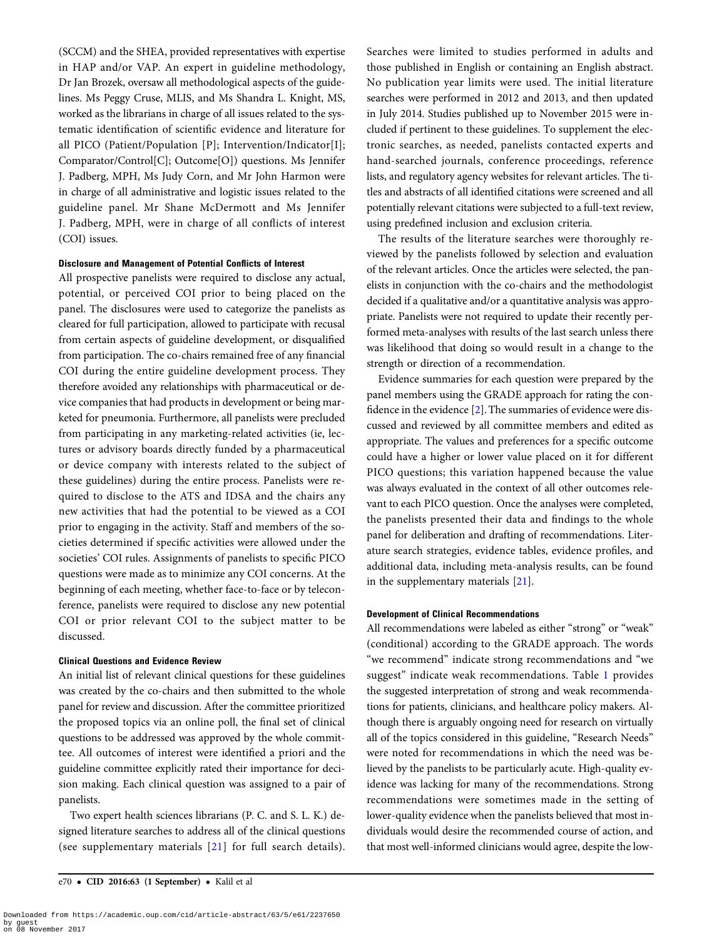(SCCM) and the SHEA, provided representatives with expertise in HAP and/or VAP. An expert in guideline methodology, Dr Jan Brozek, oversaw all methodological aspects of the guidelines. Ms Peggy Cruse, MLIS, and Ms Shandra L. Knight, MS, worked as the librarians in charge of all issues related to the systematic identification of scientific evidence and literature for all PICO (Patient/Population [P]; Intervention/Indicator[I]; Comparator/Control[C]; Outcome[O]) questions. Ms Jennifer J. Padberg, MPH, Ms Judy Corn, and Mr John Harmon were in charge of all administrative and logistic issues related to the guideline panel. Mr Shane McDermott and Ms Jennifer J. Padberg, MPH, were in charge of all conflicts of interest (COI) issues.

#### Disclosure and Management of Potential Conflicts of Interest

All prospective panelists were required to disclose any actual, potential, or perceived COI prior to being placed on the panel. The disclosures were used to categorize the panelists as cleared for full participation, allowed to participate with recusal from certain aspects of guideline development, or disqualified from participation. The co-chairs remained free of any financial COI during the entire guideline development process. They therefore avoided any relationships with pharmaceutical or device companies that had products in development or being marketed for pneumonia. Furthermore, all panelists were precluded from participating in any marketing-related activities (ie, lectures or advisory boards directly funded by a pharmaceutical or device company with interests related to the subject of these guidelines) during the entire process. Panelists were required to disclose to the ATS and IDSA and the chairs any new activities that had the potential to be viewed as a COI prior to engaging in the activity. Staff and members of the societies determined if specific activities were allowed under the societies' COI rules. Assignments of panelists to specific PICO questions were made as to minimize any COI concerns. At the beginning of each meeting, whether face-to-face or by teleconference, panelists were required to disclose any new potential COI or prior relevant COI to the subject matter to be discussed.

#### Clinical Questions and Evidence Review

An initial list of relevant clinical questions for these guidelines was created by the co-chairs and then submitted to the whole panel for review and discussion. After the committee prioritized the proposed topics via an online poll, the final set of clinical questions to be addressed was approved by the whole committee. All outcomes of interest were identified a priori and the guideline committee explicitly rated their importance for decision making. Each clinical question was assigned to a pair of panelists.

Two expert health sciences librarians (P. C. and S. L. K.) designed literature searches to address all of the clinical questions (see supplementary materials [\[21](#page-43-0)] for full search details).

e70 • CID 2016:63 (1 September) • Kalil et al

Searches were limited to studies performed in adults and those published in English or containing an English abstract. No publication year limits were used. The initial literature searches were performed in 2012 and 2013, and then updated in July 2014. Studies published up to November 2015 were included if pertinent to these guidelines. To supplement the electronic searches, as needed, panelists contacted experts and hand-searched journals, conference proceedings, reference lists, and regulatory agency websites for relevant articles. The titles and abstracts of all identified citations were screened and all potentially relevant citations were subjected to a full-text review, using predefined inclusion and exclusion criteria.

The results of the literature searches were thoroughly reviewed by the panelists followed by selection and evaluation of the relevant articles. Once the articles were selected, the panelists in conjunction with the co-chairs and the methodologist decided if a qualitative and/or a quantitative analysis was appropriate. Panelists were not required to update their recently performed meta-analyses with results of the last search unless there was likelihood that doing so would result in a change to the strength or direction of a recommendation.

Evidence summaries for each question were prepared by the panel members using the GRADE approach for rating the confidence in the evidence [\[2\]](#page-43-0). The summaries of evidence were discussed and reviewed by all committee members and edited as appropriate. The values and preferences for a specific outcome could have a higher or lower value placed on it for different PICO questions; this variation happened because the value was always evaluated in the context of all other outcomes relevant to each PICO question. Once the analyses were completed, the panelists presented their data and findings to the whole panel for deliberation and drafting of recommendations. Literature search strategies, evidence tables, evidence profiles, and additional data, including meta-analysis results, can be found in the supplementary materials [\[21](#page-43-0)].

#### Development of Clinical Recommendations

All recommendations were labeled as either "strong" or "weak" (conditional) according to the GRADE approach. The words "we recommend" indicate strong recommendations and "we suggest" indicate weak recommendations. Table [1](#page-1-0) provides the suggested interpretation of strong and weak recommendations for patients, clinicians, and healthcare policy makers. Although there is arguably ongoing need for research on virtually all of the topics considered in this guideline, "Research Needs" were noted for recommendations in which the need was believed by the panelists to be particularly acute. High-quality evidence was lacking for many of the recommendations. Strong recommendations were sometimes made in the setting of lower-quality evidence when the panelists believed that most individuals would desire the recommended course of action, and that most well-informed clinicians would agree, despite the low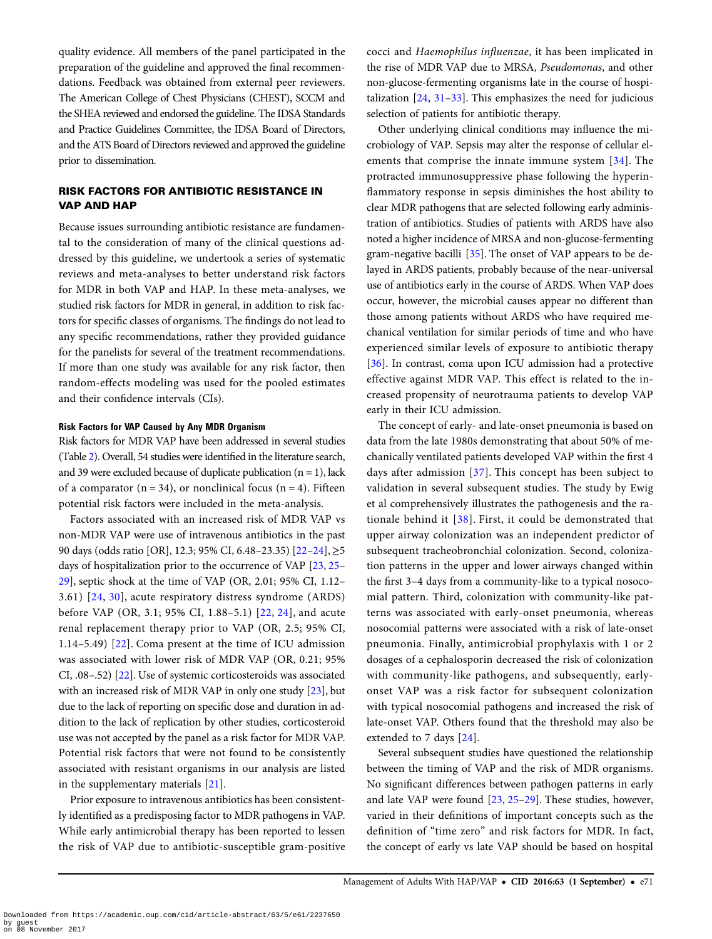quality evidence. All members of the panel participated in the preparation of the guideline and approved the final recommendations. Feedback was obtained from external peer reviewers. The American College of Chest Physicians (CHEST), SCCM and the SHEA reviewed and endorsed the guideline. The IDSA Standards and Practice Guidelines Committee, the IDSA Board of Directors, and the ATS Board of Directors reviewed and approved the guideline prior to dissemination.

## RISK FACTORS FOR ANTIBIOTIC RESISTANCE IN VAP AND HAP

Because issues surrounding antibiotic resistance are fundamental to the consideration of many of the clinical questions addressed by this guideline, we undertook a series of systematic reviews and meta-analyses to better understand risk factors for MDR in both VAP and HAP. In these meta-analyses, we studied risk factors for MDR in general, in addition to risk factors for specific classes of organisms. The findings do not lead to any specific recommendations, rather they provided guidance for the panelists for several of the treatment recommendations. If more than one study was available for any risk factor, then random-effects modeling was used for the pooled estimates and their confidence intervals (CIs).

## Risk Factors for VAP Caused by Any MDR Organism

Risk factors for MDR VAP have been addressed in several studies (Table [2](#page-2-0)). Overall, 54 studies were identified in the literature search, and 39 were excluded because of duplicate publication  $(n = 1)$ , lack of a comparator ( $n = 34$ ), or nonclinical focus ( $n = 4$ ). Fifteen potential risk factors were included in the meta-analysis.

Factors associated with an increased risk of MDR VAP vs non-MDR VAP were use of intravenous antibiotics in the past 90 days (odds ratio [OR], 12.3; 95% CI, 6.48–23.35) [\[22](#page-43-0)–[24](#page-43-0)],≥5 days of hospitalization prior to the occurrence of VAP [[23,](#page-43-0) [25](#page-43-0)– [29](#page-43-0)], septic shock at the time of VAP (OR, 2.01; 95% CI, 1.12– 3.61) [[24,](#page-43-0) [30](#page-43-0)], acute respiratory distress syndrome (ARDS) before VAP (OR, 3.1; 95% CI, 1.88–5.1) [[22,](#page-43-0) [24\]](#page-43-0), and acute renal replacement therapy prior to VAP (OR, 2.5; 95% CI, 1.14–5.49) [\[22\]](#page-43-0). Coma present at the time of ICU admission was associated with lower risk of MDR VAP (OR, 0.21; 95% CI, .08–.52) [\[22](#page-43-0)]. Use of systemic corticosteroids was associated with an increased risk of MDR VAP in only one study [\[23](#page-43-0)], but due to the lack of reporting on specific dose and duration in addition to the lack of replication by other studies, corticosteroid use was not accepted by the panel as a risk factor for MDR VAP. Potential risk factors that were not found to be consistently associated with resistant organisms in our analysis are listed in the supplementary materials [\[21](#page-43-0)].

Prior exposure to intravenous antibiotics has been consistently identified as a predisposing factor to MDR pathogens in VAP. While early antimicrobial therapy has been reported to lessen the risk of VAP due to antibiotic-susceptible gram-positive cocci and Haemophilus influenzae, it has been implicated in the rise of MDR VAP due to MRSA, Pseudomonas, and other non-glucose-fermenting organisms late in the course of hospitalization  $[24, 31-33]$  $[24, 31-33]$  $[24, 31-33]$  $[24, 31-33]$  $[24, 31-33]$  $[24, 31-33]$  $[24, 31-33]$ . This emphasizes the need for judicious selection of patients for antibiotic therapy.

Other underlying clinical conditions may influence the microbiology of VAP. Sepsis may alter the response of cellular elements that comprise the innate immune system [[34](#page-43-0)]. The protracted immunosuppressive phase following the hyperinflammatory response in sepsis diminishes the host ability to clear MDR pathogens that are selected following early administration of antibiotics. Studies of patients with ARDS have also noted a higher incidence of MRSA and non-glucose-fermenting gram-negative bacilli [[35\]](#page-43-0). The onset of VAP appears to be delayed in ARDS patients, probably because of the near-universal use of antibiotics early in the course of ARDS. When VAP does occur, however, the microbial causes appear no different than those among patients without ARDS who have required mechanical ventilation for similar periods of time and who have experienced similar levels of exposure to antibiotic therapy [\[36](#page-43-0)]. In contrast, coma upon ICU admission had a protective effective against MDR VAP. This effect is related to the increased propensity of neurotrauma patients to develop VAP early in their ICU admission.

The concept of early- and late-onset pneumonia is based on data from the late 1980s demonstrating that about 50% of mechanically ventilated patients developed VAP within the first 4 days after admission [[37](#page-43-0)]. This concept has been subject to validation in several subsequent studies. The study by Ewig et al comprehensively illustrates the pathogenesis and the rationale behind it [\[38](#page-43-0)]. First, it could be demonstrated that upper airway colonization was an independent predictor of subsequent tracheobronchial colonization. Second, colonization patterns in the upper and lower airways changed within the first 3–4 days from a community-like to a typical nosocomial pattern. Third, colonization with community-like patterns was associated with early-onset pneumonia, whereas nosocomial patterns were associated with a risk of late-onset pneumonia. Finally, antimicrobial prophylaxis with 1 or 2 dosages of a cephalosporin decreased the risk of colonization with community-like pathogens, and subsequently, earlyonset VAP was a risk factor for subsequent colonization with typical nosocomial pathogens and increased the risk of late-onset VAP. Others found that the threshold may also be extended to 7 days [\[24\]](#page-43-0).

Several subsequent studies have questioned the relationship between the timing of VAP and the risk of MDR organisms. No significant differences between pathogen patterns in early and late VAP were found [[23](#page-43-0), [25](#page-43-0)–[29\]](#page-43-0). These studies, however, varied in their definitions of important concepts such as the definition of "time zero" and risk factors for MDR. In fact, the concept of early vs late VAP should be based on hospital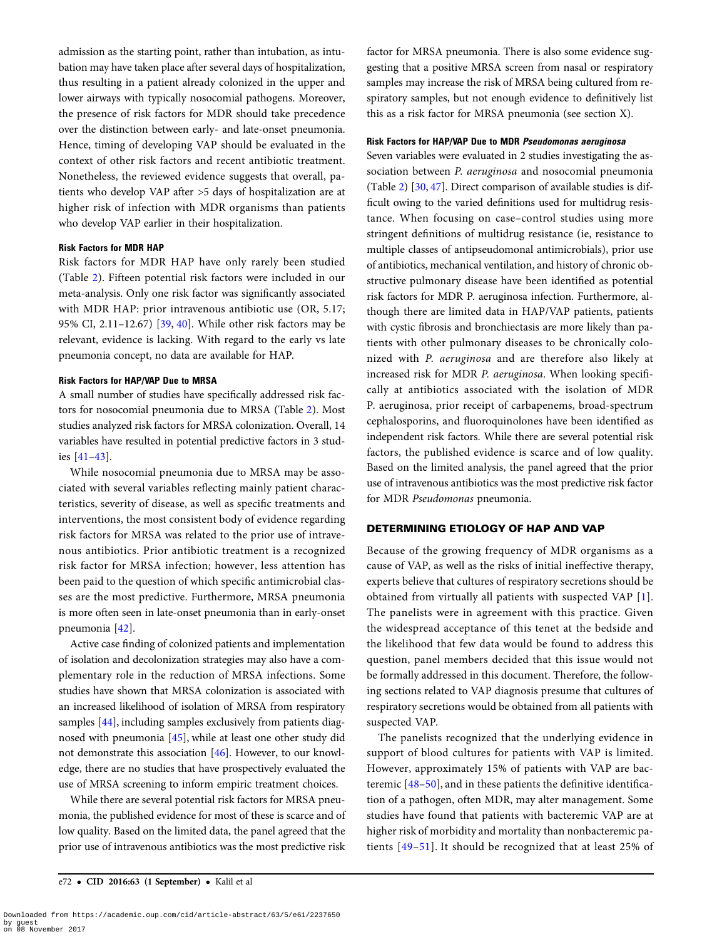admission as the starting point, rather than intubation, as intubation may have taken place after several days of hospitalization, thus resulting in a patient already colonized in the upper and lower airways with typically nosocomial pathogens. Moreover, the presence of risk factors for MDR should take precedence over the distinction between early- and late-onset pneumonia. Hence, timing of developing VAP should be evaluated in the context of other risk factors and recent antibiotic treatment. Nonetheless, the reviewed evidence suggests that overall, patients who develop VAP after >5 days of hospitalization are at higher risk of infection with MDR organisms than patients who develop VAP earlier in their hospitalization.

#### Risk Factors for MDR HAP

Risk factors for MDR HAP have only rarely been studied (Table [2\)](#page-2-0). Fifteen potential risk factors were included in our meta-analysis. Only one risk factor was significantly associated with MDR HAP: prior intravenous antibiotic use (OR, 5.17; 95% CI, 2.11–12.67) [[39,](#page-43-0) [40](#page-43-0)]. While other risk factors may be relevant, evidence is lacking. With regard to the early vs late pneumonia concept, no data are available for HAP.

#### Risk Factors for HAP/VAP Due to MRSA

A small number of studies have specifically addressed risk factors for nosocomial pneumonia due to MRSA (Table [2](#page-2-0)). Most studies analyzed risk factors for MRSA colonization. Overall, 14 variables have resulted in potential predictive factors in 3 studies [[41](#page-43-0)–[43](#page-43-0)].

While nosocomial pneumonia due to MRSA may be associated with several variables reflecting mainly patient characteristics, severity of disease, as well as specific treatments and interventions, the most consistent body of evidence regarding risk factors for MRSA was related to the prior use of intravenous antibiotics. Prior antibiotic treatment is a recognized risk factor for MRSA infection; however, less attention has been paid to the question of which specific antimicrobial classes are the most predictive. Furthermore, MRSA pneumonia is more often seen in late-onset pneumonia than in early-onset pneumonia [\[42](#page-43-0)].

Active case finding of colonized patients and implementation of isolation and decolonization strategies may also have a complementary role in the reduction of MRSA infections. Some studies have shown that MRSA colonization is associated with an increased likelihood of isolation of MRSA from respiratory samples [[44\]](#page-43-0), including samples exclusively from patients diagnosed with pneumonia [\[45](#page-43-0)], while at least one other study did not demonstrate this association [[46\]](#page-43-0). However, to our knowledge, there are no studies that have prospectively evaluated the use of MRSA screening to inform empiric treatment choices.

While there are several potential risk factors for MRSA pneumonia, the published evidence for most of these is scarce and of low quality. Based on the limited data, the panel agreed that the prior use of intravenous antibiotics was the most predictive risk

e72 • CID 2016:63 (1 September) • Kalil et al

factor for MRSA pneumonia. There is also some evidence suggesting that a positive MRSA screen from nasal or respiratory samples may increase the risk of MRSA being cultured from respiratory samples, but not enough evidence to definitively list this as a risk factor for MRSA pneumonia (see section X).

## Risk Factors for HAP/VAP Due to MDR Pseudomonas aeruginosa

Seven variables were evaluated in 2 studies investigating the association between *P. aeruginosa* and nosocomial pneumonia (Table [2](#page-2-0)) [\[30](#page-43-0), [47](#page-43-0)]. Direct comparison of available studies is difficult owing to the varied definitions used for multidrug resistance. When focusing on case–control studies using more stringent definitions of multidrug resistance (ie, resistance to multiple classes of antipseudomonal antimicrobials), prior use of antibiotics, mechanical ventilation, and history of chronic obstructive pulmonary disease have been identified as potential risk factors for MDR P. aeruginosa infection. Furthermore, although there are limited data in HAP/VAP patients, patients with cystic fibrosis and bronchiectasis are more likely than patients with other pulmonary diseases to be chronically colonized with P. aeruginosa and are therefore also likely at increased risk for MDR P. aeruginosa. When looking specifically at antibiotics associated with the isolation of MDR P. aeruginosa, prior receipt of carbapenems, broad-spectrum cephalosporins, and fluoroquinolones have been identified as independent risk factors. While there are several potential risk factors, the published evidence is scarce and of low quality. Based on the limited analysis, the panel agreed that the prior use of intravenous antibiotics was the most predictive risk factor for MDR Pseudomonas pneumonia.

### DETERMINING ETIOLOGY OF HAP AND VAP

Because of the growing frequency of MDR organisms as a cause of VAP, as well as the risks of initial ineffective therapy, experts believe that cultures of respiratory secretions should be obtained from virtually all patients with suspected VAP [[1](#page-42-0)]. The panelists were in agreement with this practice. Given the widespread acceptance of this tenet at the bedside and the likelihood that few data would be found to address this question, panel members decided that this issue would not be formally addressed in this document. Therefore, the following sections related to VAP diagnosis presume that cultures of respiratory secretions would be obtained from all patients with suspected VAP.

The panelists recognized that the underlying evidence in support of blood cultures for patients with VAP is limited. However, approximately 15% of patients with VAP are bacteremic [\[48](#page-43-0)–[50](#page-43-0)], and in these patients the definitive identification of a pathogen, often MDR, may alter management. Some studies have found that patients with bacteremic VAP are at higher risk of morbidity and mortality than nonbacteremic patients [[49](#page-43-0)–[51](#page-44-0)]. It should be recognized that at least 25% of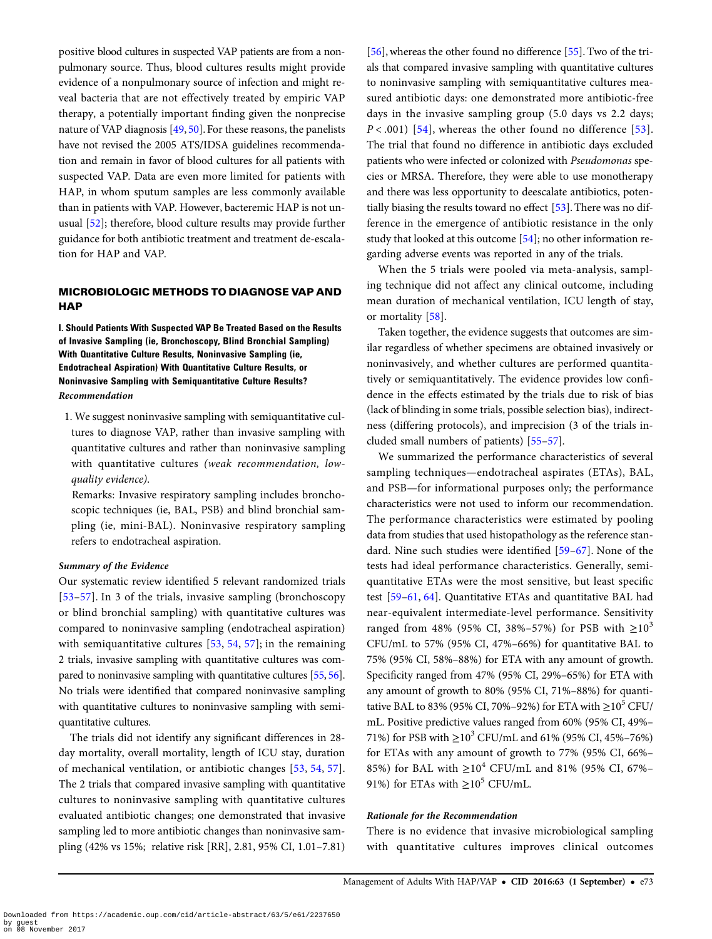positive blood cultures in suspected VAP patients are from a nonpulmonary source. Thus, blood cultures results might provide evidence of a nonpulmonary source of infection and might reveal bacteria that are not effectively treated by empiric VAP therapy, a potentially important finding given the nonprecise nature of VAP diagnosis [[49,](#page-43-0) [50](#page-43-0)]. For these reasons, the panelists have not revised the 2005 ATS/IDSA guidelines recommendation and remain in favor of blood cultures for all patients with suspected VAP. Data are even more limited for patients with HAP, in whom sputum samples are less commonly available than in patients with VAP. However, bacteremic HAP is not unusual [[52\]](#page-44-0); therefore, blood culture results may provide further guidance for both antibiotic treatment and treatment de-escalation for HAP and VAP.

## MICROBIOLOGIC METHODS TO DIAGNOSE VAP AND **HAP**

I. Should Patients With Suspected VAP Be Treated Based on the Results of Invasive Sampling (ie, Bronchoscopy, Blind Bronchial Sampling) With Quantitative Culture Results, Noninvasive Sampling (ie, Endotracheal Aspiration) With Quantitative Culture Results, or Noninvasive Sampling with Semiquantitative Culture Results? Recommendation

1. We suggest noninvasive sampling with semiquantitative cultures to diagnose VAP, rather than invasive sampling with quantitative cultures and rather than noninvasive sampling with quantitative cultures (weak recommendation, lowquality evidence).

Remarks: Invasive respiratory sampling includes bronchoscopic techniques (ie, BAL, PSB) and blind bronchial sampling (ie, mini-BAL). Noninvasive respiratory sampling refers to endotracheal aspiration.

#### Summary of the Evidence

Our systematic review identified 5 relevant randomized trials [\[53](#page-44-0)–[57](#page-44-0)]. In 3 of the trials, invasive sampling (bronchoscopy or blind bronchial sampling) with quantitative cultures was compared to noninvasive sampling (endotracheal aspiration) with semiquantitative cultures [\[53,](#page-44-0) [54,](#page-44-0) [57](#page-44-0)]; in the remaining 2 trials, invasive sampling with quantitative cultures was compared to noninvasive sampling with quantitative cultures [[55](#page-44-0), [56\]](#page-44-0). No trials were identified that compared noninvasive sampling with quantitative cultures to noninvasive sampling with semiquantitative cultures.

The trials did not identify any significant differences in 28 day mortality, overall mortality, length of ICU stay, duration of mechanical ventilation, or antibiotic changes [[53](#page-44-0), [54](#page-44-0), [57](#page-44-0)]. The 2 trials that compared invasive sampling with quantitative cultures to noninvasive sampling with quantitative cultures evaluated antibiotic changes; one demonstrated that invasive sampling led to more antibiotic changes than noninvasive sampling (42% vs 15%; relative risk [RR], 2.81, 95% CI, 1.01–7.81)

[\[56](#page-44-0)], whereas the other found no difference [[55\]](#page-44-0). Two of the trials that compared invasive sampling with quantitative cultures to noninvasive sampling with semiquantitative cultures measured antibiotic days: one demonstrated more antibiotic-free days in the invasive sampling group (5.0 days vs 2.2 days;  $P < .001$ ) [[54](#page-44-0)], whereas the other found no difference [[53](#page-44-0)]. The trial that found no difference in antibiotic days excluded patients who were infected or colonized with Pseudomonas species or MRSA. Therefore, they were able to use monotherapy and there was less opportunity to deescalate antibiotics, potentially biasing the results toward no effect [\[53](#page-44-0)]. There was no difference in the emergence of antibiotic resistance in the only study that looked at this outcome [[54\]](#page-44-0); no other information regarding adverse events was reported in any of the trials.

When the 5 trials were pooled via meta-analysis, sampling technique did not affect any clinical outcome, including mean duration of mechanical ventilation, ICU length of stay, or mortality [\[58](#page-44-0)].

Taken together, the evidence suggests that outcomes are similar regardless of whether specimens are obtained invasively or noninvasively, and whether cultures are performed quantitatively or semiquantitatively. The evidence provides low confidence in the effects estimated by the trials due to risk of bias (lack of blinding in some trials, possible selection bias), indirectness (differing protocols), and imprecision (3 of the trials included small numbers of patients) [[55](#page-44-0)–[57\]](#page-44-0).

We summarized the performance characteristics of several sampling techniques—endotracheal aspirates (ETAs), BAL, and PSB—for informational purposes only; the performance characteristics were not used to inform our recommendation. The performance characteristics were estimated by pooling data from studies that used histopathology as the reference standard. Nine such studies were identified [[59](#page-44-0)–[67\]](#page-44-0). None of the tests had ideal performance characteristics. Generally, semiquantitative ETAs were the most sensitive, but least specific test [[59](#page-44-0)–[61](#page-44-0), [64\]](#page-44-0). Quantitative ETAs and quantitative BAL had near-equivalent intermediate-level performance. Sensitivity ranged from 48% (95% CI, 38%–57%) for PSB with  $\geq 10^3$ CFU/mL to 57% (95% CI, 47%–66%) for quantitative BAL to 75% (95% CI, 58%–88%) for ETA with any amount of growth. Specificity ranged from 47% (95% CI, 29%–65%) for ETA with any amount of growth to 80% (95% CI, 71%–88%) for quantitative BAL to 83% (95% CI, 70%–92%) for ETA with ≥10<sup>5</sup> CFU/ mL. Positive predictive values ranged from 60% (95% CI, 49%– 71%) for PSB with  $\geq$ 10<sup>3</sup> CFU/mL and 61% (95% CI, 45%–76%) for ETAs with any amount of growth to 77% (95% CI, 66%– 85%) for BAL with  $\geq 10^4$  CFU/mL and 81% (95% CI, 67%– 91%) for ETAs with  $\geq$ 10<sup>5</sup> CFU/mL.

## Rationale for the Recommendation

There is no evidence that invasive microbiological sampling with quantitative cultures improves clinical outcomes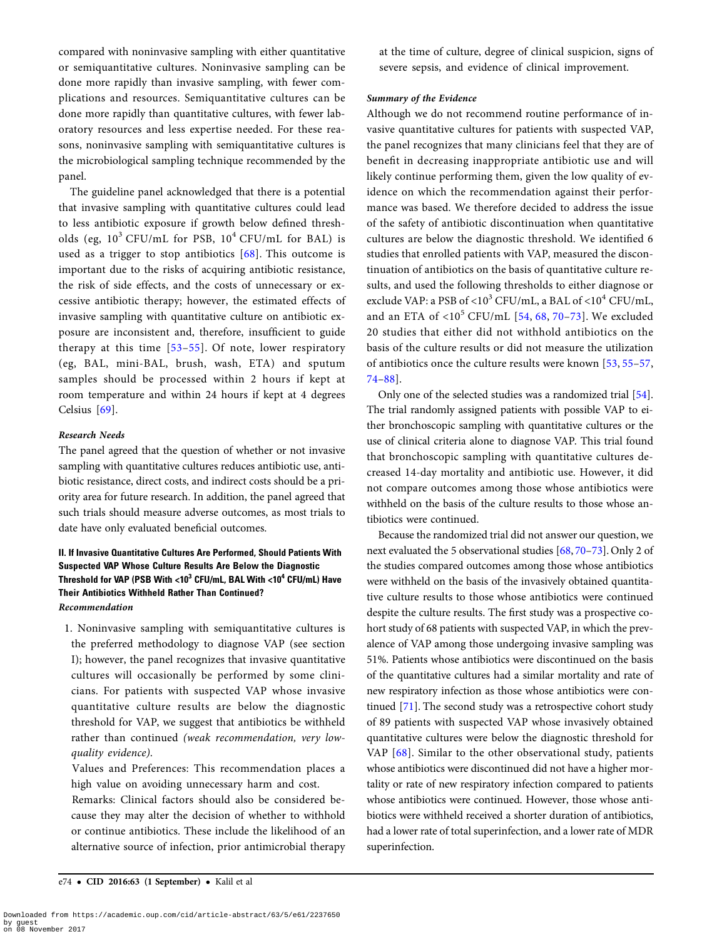compared with noninvasive sampling with either quantitative or semiquantitative cultures. Noninvasive sampling can be done more rapidly than invasive sampling, with fewer complications and resources. Semiquantitative cultures can be done more rapidly than quantitative cultures, with fewer laboratory resources and less expertise needed. For these reasons, noninvasive sampling with semiquantitative cultures is the microbiological sampling technique recommended by the panel.

The guideline panel acknowledged that there is a potential that invasive sampling with quantitative cultures could lead to less antibiotic exposure if growth below defined thresholds (eg,  $10^3$  CFU/mL for PSB,  $10^4$  CFU/mL for BAL) is used as a trigger to stop antibiotics  $[68]$ . This outcome is important due to the risks of acquiring antibiotic resistance, the risk of side effects, and the costs of unnecessary or excessive antibiotic therapy; however, the estimated effects of invasive sampling with quantitative culture on antibiotic exposure are inconsistent and, therefore, insufficient to guide therapy at this time [\[53](#page-44-0)–[55](#page-44-0)]. Of note, lower respiratory (eg, BAL, mini-BAL, brush, wash, ETA) and sputum samples should be processed within 2 hours if kept at room temperature and within 24 hours if kept at 4 degrees Celsius [[69\]](#page-44-0).

#### Research Needs

The panel agreed that the question of whether or not invasive sampling with quantitative cultures reduces antibiotic use, antibiotic resistance, direct costs, and indirect costs should be a priority area for future research. In addition, the panel agreed that such trials should measure adverse outcomes, as most trials to date have only evaluated beneficial outcomes.

## II. If Invasive Quantitative Cultures Are Performed, Should Patients With Suspected VAP Whose Culture Results Are Below the Diagnostic Threshold for VAP (PSB With <103 CFU/mL, BAL With <104 CFU/mL) Have Their Antibiotics Withheld Rather Than Continued? Recommendation

1. Noninvasive sampling with semiquantitative cultures is the preferred methodology to diagnose VAP (see section I); however, the panel recognizes that invasive quantitative cultures will occasionally be performed by some clinicians. For patients with suspected VAP whose invasive quantitative culture results are below the diagnostic threshold for VAP, we suggest that antibiotics be withheld rather than continued (weak recommendation, very lowquality evidence).

Values and Preferences: This recommendation places a high value on avoiding unnecessary harm and cost.

Remarks: Clinical factors should also be considered because they may alter the decision of whether to withhold or continue antibiotics. These include the likelihood of an alternative source of infection, prior antimicrobial therapy

at the time of culture, degree of clinical suspicion, signs of severe sepsis, and evidence of clinical improvement.

#### Summary of the Evidence

Although we do not recommend routine performance of invasive quantitative cultures for patients with suspected VAP, the panel recognizes that many clinicians feel that they are of benefit in decreasing inappropriate antibiotic use and will likely continue performing them, given the low quality of evidence on which the recommendation against their performance was based. We therefore decided to address the issue of the safety of antibiotic discontinuation when quantitative cultures are below the diagnostic threshold. We identified 6 studies that enrolled patients with VAP, measured the discontinuation of antibiotics on the basis of quantitative culture results, and used the following thresholds to either diagnose or exclude VAP: a PSB of  $< 10^3$  CFU/mL, a BAL of  $< 10^4$  CFU/mL, and an ETA of  $< 10^5$  CFU/mL [\[54,](#page-44-0) [68](#page-44-0), [70](#page-44-0)-[73](#page-44-0)]. We excluded 20 studies that either did not withhold antibiotics on the basis of the culture results or did not measure the utilization of antibiotics once the culture results were known [[53](#page-44-0), [55](#page-44-0)–[57,](#page-44-0) [74](#page-44-0)–[88\]](#page-44-0).

Only one of the selected studies was a randomized trial [\[54\]](#page-44-0). The trial randomly assigned patients with possible VAP to either bronchoscopic sampling with quantitative cultures or the use of clinical criteria alone to diagnose VAP. This trial found that bronchoscopic sampling with quantitative cultures decreased 14-day mortality and antibiotic use. However, it did not compare outcomes among those whose antibiotics were withheld on the basis of the culture results to those whose antibiotics were continued.

Because the randomized trial did not answer our question, we next evaluated the 5 observational studies [\[68](#page-44-0), [70](#page-44-0)–[73\]](#page-44-0). Only 2 of the studies compared outcomes among those whose antibiotics were withheld on the basis of the invasively obtained quantitative culture results to those whose antibiotics were continued despite the culture results. The first study was a prospective cohort study of 68 patients with suspected VAP, in which the prevalence of VAP among those undergoing invasive sampling was 51%. Patients whose antibiotics were discontinued on the basis of the quantitative cultures had a similar mortality and rate of new respiratory infection as those whose antibiotics were continued [\[71](#page-44-0)]. The second study was a retrospective cohort study of 89 patients with suspected VAP whose invasively obtained quantitative cultures were below the diagnostic threshold for VAP [\[68\]](#page-44-0). Similar to the other observational study, patients whose antibiotics were discontinued did not have a higher mortality or rate of new respiratory infection compared to patients whose antibiotics were continued. However, those whose antibiotics were withheld received a shorter duration of antibiotics, had a lower rate of total superinfection, and a lower rate of MDR superinfection.

e74 • CID 2016:63 (1 September) • Kalil et al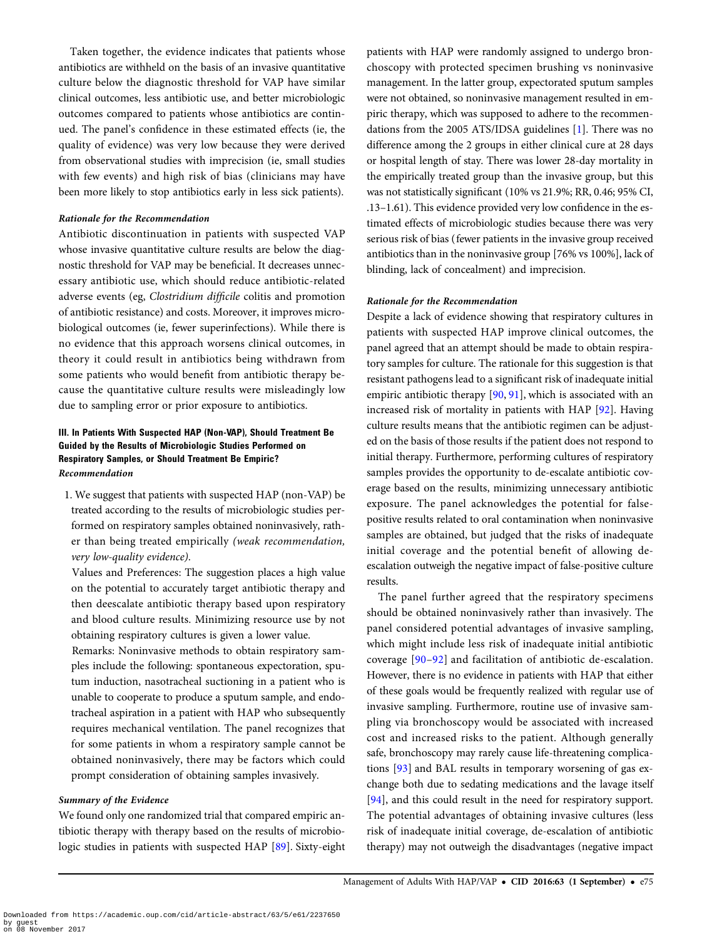Taken together, the evidence indicates that patients whose antibiotics are withheld on the basis of an invasive quantitative culture below the diagnostic threshold for VAP have similar clinical outcomes, less antibiotic use, and better microbiologic outcomes compared to patients whose antibiotics are continued. The panel's confidence in these estimated effects (ie, the quality of evidence) was very low because they were derived from observational studies with imprecision (ie, small studies with few events) and high risk of bias (clinicians may have been more likely to stop antibiotics early in less sick patients).

#### Rationale for the Recommendation

Antibiotic discontinuation in patients with suspected VAP whose invasive quantitative culture results are below the diagnostic threshold for VAP may be beneficial. It decreases unnecessary antibiotic use, which should reduce antibiotic-related adverse events (eg, Clostridium difficile colitis and promotion of antibiotic resistance) and costs. Moreover, it improves microbiological outcomes (ie, fewer superinfections). While there is no evidence that this approach worsens clinical outcomes, in theory it could result in antibiotics being withdrawn from some patients who would benefit from antibiotic therapy because the quantitative culture results were misleadingly low due to sampling error or prior exposure to antibiotics.

## III. In Patients With Suspected HAP (Non-VAP), Should Treatment Be Guided by the Results of Microbiologic Studies Performed on Respiratory Samples, or Should Treatment Be Empiric? Recommendation

- 1. We suggest that patients with suspected HAP (non-VAP) be treated according to the results of microbiologic studies performed on respiratory samples obtained noninvasively, rather than being treated empirically (weak recommendation, very low-quality evidence).
- Values and Preferences: The suggestion places a high value on the potential to accurately target antibiotic therapy and then deescalate antibiotic therapy based upon respiratory and blood culture results. Minimizing resource use by not obtaining respiratory cultures is given a lower value.

Remarks: Noninvasive methods to obtain respiratory samples include the following: spontaneous expectoration, sputum induction, nasotracheal suctioning in a patient who is unable to cooperate to produce a sputum sample, and endotracheal aspiration in a patient with HAP who subsequently requires mechanical ventilation. The panel recognizes that for some patients in whom a respiratory sample cannot be obtained noninvasively, there may be factors which could prompt consideration of obtaining samples invasively.

## Summary of the Evidence

We found only one randomized trial that compared empiric antibiotic therapy with therapy based on the results of microbiologic studies in patients with suspected HAP [[89\]](#page-44-0). Sixty-eight

patients with HAP were randomly assigned to undergo bronchoscopy with protected specimen brushing vs noninvasive management. In the latter group, expectorated sputum samples were not obtained, so noninvasive management resulted in empiric therapy, which was supposed to adhere to the recommendations from the 2005 ATS/IDSA guidelines [[1\]](#page-42-0). There was no difference among the 2 groups in either clinical cure at 28 days or hospital length of stay. There was lower 28-day mortality in the empirically treated group than the invasive group, but this was not statistically significant (10% vs 21.9%; RR, 0.46; 95% CI, .13–1.61). This evidence provided very low confidence in the estimated effects of microbiologic studies because there was very serious risk of bias (fewer patients in the invasive group received antibiotics than in the noninvasive group [76% vs 100%], lack of blinding, lack of concealment) and imprecision.

## Rationale for the Recommendation

Despite a lack of evidence showing that respiratory cultures in patients with suspected HAP improve clinical outcomes, the panel agreed that an attempt should be made to obtain respiratory samples for culture. The rationale for this suggestion is that resistant pathogens lead to a significant risk of inadequate initial empiric antibiotic therapy [\[90](#page-44-0), [91](#page-44-0)], which is associated with an increased risk of mortality in patients with HAP [[92\]](#page-44-0). Having culture results means that the antibiotic regimen can be adjusted on the basis of those results if the patient does not respond to initial therapy. Furthermore, performing cultures of respiratory samples provides the opportunity to de-escalate antibiotic coverage based on the results, minimizing unnecessary antibiotic exposure. The panel acknowledges the potential for falsepositive results related to oral contamination when noninvasive samples are obtained, but judged that the risks of inadequate initial coverage and the potential benefit of allowing deescalation outweigh the negative impact of false-positive culture results.

The panel further agreed that the respiratory specimens should be obtained noninvasively rather than invasively. The panel considered potential advantages of invasive sampling, which might include less risk of inadequate initial antibiotic coverage [\[90](#page-44-0)–[92](#page-44-0)] and facilitation of antibiotic de-escalation. However, there is no evidence in patients with HAP that either of these goals would be frequently realized with regular use of invasive sampling. Furthermore, routine use of invasive sampling via bronchoscopy would be associated with increased cost and increased risks to the patient. Although generally safe, bronchoscopy may rarely cause life-threatening complications [\[93](#page-44-0)] and BAL results in temporary worsening of gas exchange both due to sedating medications and the lavage itself [\[94](#page-44-0)], and this could result in the need for respiratory support. The potential advantages of obtaining invasive cultures (less risk of inadequate initial coverage, de-escalation of antibiotic therapy) may not outweigh the disadvantages (negative impact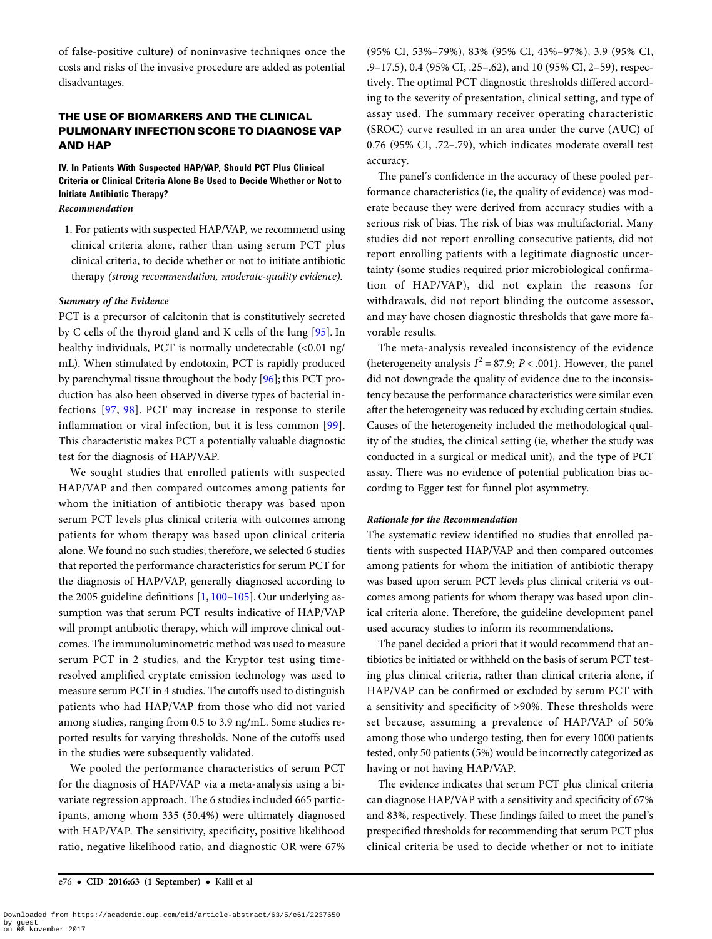of false-positive culture) of noninvasive techniques once the costs and risks of the invasive procedure are added as potential disadvantages.

## THE USE OF BIOMARKERS AND THE CLINICAL PULMONARY INFECTION SCORE TO DIAGNOSE VAP AND HAP

# IV. In Patients With Suspected HAP/VAP, Should PCT Plus Clinical Criteria or Clinical Criteria Alone Be Used to Decide Whether or Not to Initiate Antibiotic Therapy?

## Recommendation

1. For patients with suspected HAP/VAP, we recommend using clinical criteria alone, rather than using serum PCT plus clinical criteria, to decide whether or not to initiate antibiotic therapy (strong recommendation, moderate-quality evidence).

#### Summary of the Evidence

PCT is a precursor of calcitonin that is constitutively secreted by C cells of the thyroid gland and K cells of the lung [[95](#page-44-0)]. In healthy individuals, PCT is normally undetectable (<0.01 ng/ mL). When stimulated by endotoxin, PCT is rapidly produced by parenchymal tissue throughout the body [\[96\]](#page-44-0); this PCT production has also been observed in diverse types of bacterial infections [[97](#page-44-0), [98\]](#page-44-0). PCT may increase in response to sterile inflammation or viral infection, but it is less common [[99](#page-44-0)]. This characteristic makes PCT a potentially valuable diagnostic test for the diagnosis of HAP/VAP.

We sought studies that enrolled patients with suspected HAP/VAP and then compared outcomes among patients for whom the initiation of antibiotic therapy was based upon serum PCT levels plus clinical criteria with outcomes among patients for whom therapy was based upon clinical criteria alone. We found no such studies; therefore, we selected 6 studies that reported the performance characteristics for serum PCT for the diagnosis of HAP/VAP, generally diagnosed according to the 2005 guideline definitions [\[1](#page-42-0), [100](#page-44-0)–[105](#page-45-0)]. Our underlying assumption was that serum PCT results indicative of HAP/VAP will prompt antibiotic therapy, which will improve clinical outcomes. The immunoluminometric method was used to measure serum PCT in 2 studies, and the Kryptor test using timeresolved amplified cryptate emission technology was used to measure serum PCT in 4 studies. The cutoffs used to distinguish patients who had HAP/VAP from those who did not varied among studies, ranging from 0.5 to 3.9 ng/mL. Some studies reported results for varying thresholds. None of the cutoffs used in the studies were subsequently validated.

We pooled the performance characteristics of serum PCT for the diagnosis of HAP/VAP via a meta-analysis using a bivariate regression approach. The 6 studies included 665 participants, among whom 335 (50.4%) were ultimately diagnosed with HAP/VAP. The sensitivity, specificity, positive likelihood ratio, negative likelihood ratio, and diagnostic OR were 67%

(95% CI, 53%–79%), 83% (95% CI, 43%–97%), 3.9 (95% CI, .9–17.5), 0.4 (95% CI, .25–.62), and 10 (95% CI, 2–59), respectively. The optimal PCT diagnostic thresholds differed according to the severity of presentation, clinical setting, and type of assay used. The summary receiver operating characteristic (SROC) curve resulted in an area under the curve (AUC) of 0.76 (95% CI, .72–.79), which indicates moderate overall test accuracy.

The panel's confidence in the accuracy of these pooled performance characteristics (ie, the quality of evidence) was moderate because they were derived from accuracy studies with a serious risk of bias. The risk of bias was multifactorial. Many studies did not report enrolling consecutive patients, did not report enrolling patients with a legitimate diagnostic uncertainty (some studies required prior microbiological confirmation of HAP/VAP), did not explain the reasons for withdrawals, did not report blinding the outcome assessor, and may have chosen diagnostic thresholds that gave more favorable results.

The meta-analysis revealed inconsistency of the evidence (heterogeneity analysis  $I^2 = 87.9$ ;  $P < .001$ ). However, the panel did not downgrade the quality of evidence due to the inconsistency because the performance characteristics were similar even after the heterogeneity was reduced by excluding certain studies. Causes of the heterogeneity included the methodological quality of the studies, the clinical setting (ie, whether the study was conducted in a surgical or medical unit), and the type of PCT assay. There was no evidence of potential publication bias according to Egger test for funnel plot asymmetry.

#### Rationale for the Recommendation

The systematic review identified no studies that enrolled patients with suspected HAP/VAP and then compared outcomes among patients for whom the initiation of antibiotic therapy was based upon serum PCT levels plus clinical criteria vs outcomes among patients for whom therapy was based upon clinical criteria alone. Therefore, the guideline development panel used accuracy studies to inform its recommendations.

The panel decided a priori that it would recommend that antibiotics be initiated or withheld on the basis of serum PCT testing plus clinical criteria, rather than clinical criteria alone, if HAP/VAP can be confirmed or excluded by serum PCT with a sensitivity and specificity of >90%. These thresholds were set because, assuming a prevalence of HAP/VAP of 50% among those who undergo testing, then for every 1000 patients tested, only 50 patients (5%) would be incorrectly categorized as having or not having HAP/VAP.

The evidence indicates that serum PCT plus clinical criteria can diagnose HAP/VAP with a sensitivity and specificity of 67% and 83%, respectively. These findings failed to meet the panel's prespecified thresholds for recommending that serum PCT plus clinical criteria be used to decide whether or not to initiate

e76 • CID 2016:63 (1 September) • Kalil et al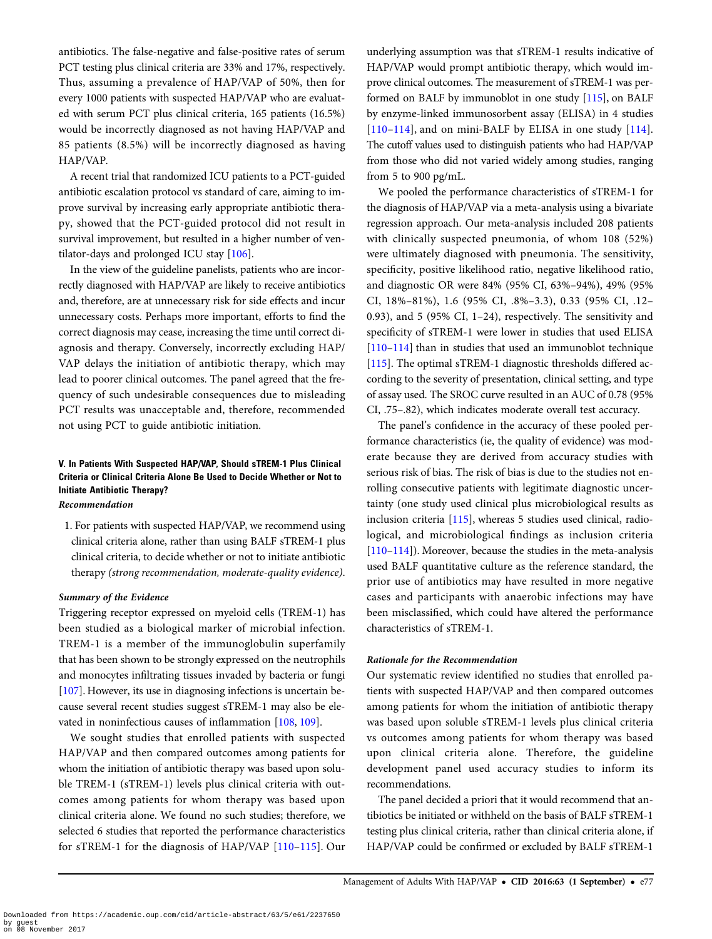antibiotics. The false-negative and false-positive rates of serum PCT testing plus clinical criteria are 33% and 17%, respectively. Thus, assuming a prevalence of HAP/VAP of 50%, then for every 1000 patients with suspected HAP/VAP who are evaluated with serum PCT plus clinical criteria, 165 patients (16.5%) would be incorrectly diagnosed as not having HAP/VAP and 85 patients (8.5%) will be incorrectly diagnosed as having HAP/VAP.

A recent trial that randomized ICU patients to a PCT-guided antibiotic escalation protocol vs standard of care, aiming to improve survival by increasing early appropriate antibiotic therapy, showed that the PCT-guided protocol did not result in survival improvement, but resulted in a higher number of ventilator-days and prolonged ICU stay [[106](#page-45-0)].

In the view of the guideline panelists, patients who are incorrectly diagnosed with HAP/VAP are likely to receive antibiotics and, therefore, are at unnecessary risk for side effects and incur unnecessary costs. Perhaps more important, efforts to find the correct diagnosis may cease, increasing the time until correct diagnosis and therapy. Conversely, incorrectly excluding HAP/ VAP delays the initiation of antibiotic therapy, which may lead to poorer clinical outcomes. The panel agreed that the frequency of such undesirable consequences due to misleading PCT results was unacceptable and, therefore, recommended not using PCT to guide antibiotic initiation.

# V. In Patients With Suspected HAP/VAP, Should sTREM-1 Plus Clinical Criteria or Clinical Criteria Alone Be Used to Decide Whether or Not to Initiate Antibiotic Therapy?

Recommendation

1. For patients with suspected HAP/VAP, we recommend using clinical criteria alone, rather than using BALF sTREM-1 plus clinical criteria, to decide whether or not to initiate antibiotic therapy (strong recommendation, moderate-quality evidence).

#### Summary of the Evidence

Triggering receptor expressed on myeloid cells (TREM-1) has been studied as a biological marker of microbial infection. TREM-1 is a member of the immunoglobulin superfamily that has been shown to be strongly expressed on the neutrophils and monocytes infiltrating tissues invaded by bacteria or fungi [\[107\]](#page-45-0). However, its use in diagnosing infections is uncertain because several recent studies suggest sTREM-1 may also be elevated in noninfectious causes of inflammation [\[108,](#page-45-0) [109\]](#page-45-0).

We sought studies that enrolled patients with suspected HAP/VAP and then compared outcomes among patients for whom the initiation of antibiotic therapy was based upon soluble TREM-1 (sTREM-1) levels plus clinical criteria with outcomes among patients for whom therapy was based upon clinical criteria alone. We found no such studies; therefore, we selected 6 studies that reported the performance characteristics for sTREM-1 for the diagnosis of HAP/VAP [\[110](#page-45-0)–[115](#page-45-0)]. Our

underlying assumption was that sTREM-1 results indicative of HAP/VAP would prompt antibiotic therapy, which would improve clinical outcomes. The measurement of sTREM-1 was performed on BALF by immunoblot in one study [\[115\]](#page-45-0), on BALF by enzyme-linked immunosorbent assay (ELISA) in 4 studies [\[110](#page-45-0)–[114](#page-45-0)], and on mini-BALF by ELISA in one study [\[114](#page-45-0)]. The cutoff values used to distinguish patients who had HAP/VAP from those who did not varied widely among studies, ranging from 5 to 900 pg/mL.

We pooled the performance characteristics of sTREM-1 for the diagnosis of HAP/VAP via a meta-analysis using a bivariate regression approach. Our meta-analysis included 208 patients with clinically suspected pneumonia, of whom 108 (52%) were ultimately diagnosed with pneumonia. The sensitivity, specificity, positive likelihood ratio, negative likelihood ratio, and diagnostic OR were 84% (95% CI, 63%–94%), 49% (95% CI, 18%–81%), 1.6 (95% CI, .8%–3.3), 0.33 (95% CI, .12– 0.93), and 5 (95% CI, 1–24), respectively. The sensitivity and specificity of sTREM-1 were lower in studies that used ELISA [\[110](#page-45-0)–[114](#page-45-0)] than in studies that used an immunoblot technique [\[115\]](#page-45-0). The optimal sTREM-1 diagnostic thresholds differed according to the severity of presentation, clinical setting, and type of assay used. The SROC curve resulted in an AUC of 0.78 (95% CI, .75–.82), which indicates moderate overall test accuracy.

The panel's confidence in the accuracy of these pooled performance characteristics (ie, the quality of evidence) was moderate because they are derived from accuracy studies with serious risk of bias. The risk of bias is due to the studies not enrolling consecutive patients with legitimate diagnostic uncertainty (one study used clinical plus microbiological results as inclusion criteria [\[115](#page-45-0)], whereas 5 studies used clinical, radiological, and microbiological findings as inclusion criteria [\[110](#page-45-0)–[114](#page-45-0)]). Moreover, because the studies in the meta-analysis used BALF quantitative culture as the reference standard, the prior use of antibiotics may have resulted in more negative cases and participants with anaerobic infections may have been misclassified, which could have altered the performance characteristics of sTREM-1.

#### Rationale for the Recommendation

Our systematic review identified no studies that enrolled patients with suspected HAP/VAP and then compared outcomes among patients for whom the initiation of antibiotic therapy was based upon soluble sTREM-1 levels plus clinical criteria vs outcomes among patients for whom therapy was based upon clinical criteria alone. Therefore, the guideline development panel used accuracy studies to inform its recommendations.

The panel decided a priori that it would recommend that antibiotics be initiated or withheld on the basis of BALF sTREM-1 testing plus clinical criteria, rather than clinical criteria alone, if HAP/VAP could be confirmed or excluded by BALF sTREM-1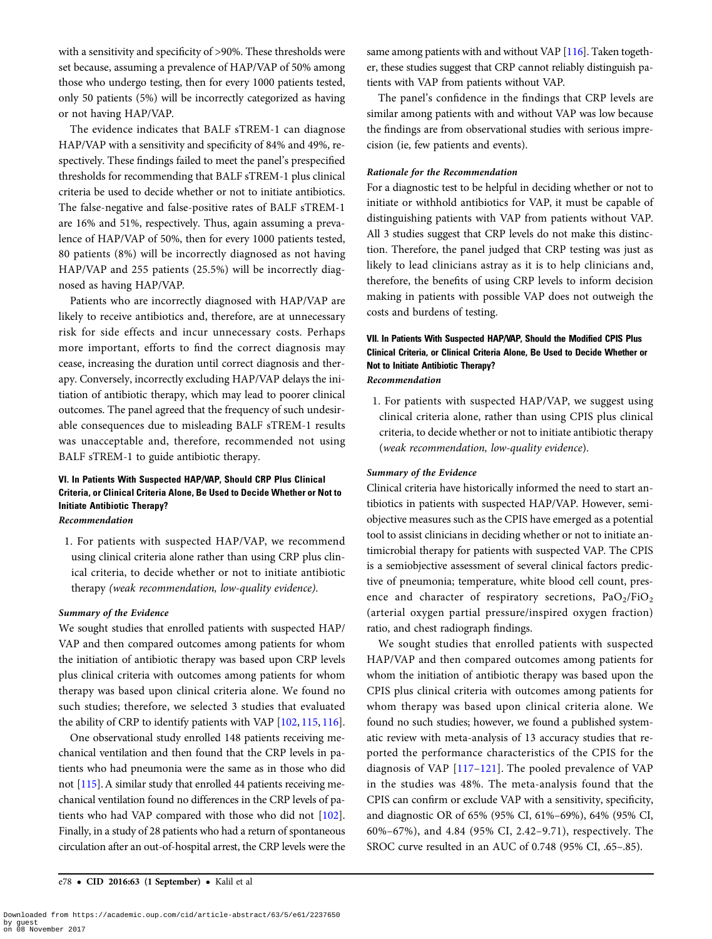with a sensitivity and specificity of >90%. These thresholds were set because, assuming a prevalence of HAP/VAP of 50% among those who undergo testing, then for every 1000 patients tested, only 50 patients (5%) will be incorrectly categorized as having or not having HAP/VAP.

The evidence indicates that BALF sTREM-1 can diagnose HAP/VAP with a sensitivity and specificity of 84% and 49%, respectively. These findings failed to meet the panel's prespecified thresholds for recommending that BALF sTREM-1 plus clinical criteria be used to decide whether or not to initiate antibiotics. The false-negative and false-positive rates of BALF sTREM-1 are 16% and 51%, respectively. Thus, again assuming a prevalence of HAP/VAP of 50%, then for every 1000 patients tested, 80 patients (8%) will be incorrectly diagnosed as not having HAP/VAP and 255 patients (25.5%) will be incorrectly diagnosed as having HAP/VAP.

Patients who are incorrectly diagnosed with HAP/VAP are likely to receive antibiotics and, therefore, are at unnecessary risk for side effects and incur unnecessary costs. Perhaps more important, efforts to find the correct diagnosis may cease, increasing the duration until correct diagnosis and therapy. Conversely, incorrectly excluding HAP/VAP delays the initiation of antibiotic therapy, which may lead to poorer clinical outcomes. The panel agreed that the frequency of such undesirable consequences due to misleading BALF sTREM-1 results was unacceptable and, therefore, recommended not using BALF sTREM-1 to guide antibiotic therapy.

# VI. In Patients With Suspected HAP/VAP, Should CRP Plus Clinical Criteria, or Clinical Criteria Alone, Be Used to Decide Whether or Not to Initiate Antibiotic Therapy?

Recommendation

1. For patients with suspected HAP/VAP, we recommend using clinical criteria alone rather than using CRP plus clinical criteria, to decide whether or not to initiate antibiotic therapy (weak recommendation, low-quality evidence).

#### Summary of the Evidence

We sought studies that enrolled patients with suspected HAP/ VAP and then compared outcomes among patients for whom the initiation of antibiotic therapy was based upon CRP levels plus clinical criteria with outcomes among patients for whom therapy was based upon clinical criteria alone. We found no such studies; therefore, we selected 3 studies that evaluated the ability of CRP to identify patients with VAP [\[102,](#page-44-0) [115](#page-45-0), [116\]](#page-45-0).

One observational study enrolled 148 patients receiving mechanical ventilation and then found that the CRP levels in patients who had pneumonia were the same as in those who did not [\[115\]](#page-45-0). A similar study that enrolled 44 patients receiving mechanical ventilation found no differences in the CRP levels of patients who had VAP compared with those who did not [[102\]](#page-44-0). Finally, in a study of 28 patients who had a return of spontaneous circulation after an out-of-hospital arrest, the CRP levels were the

e78 • CID 2016:63 (1 September) • Kalil et al

same among patients with and without VAP [[116](#page-45-0)]. Taken together, these studies suggest that CRP cannot reliably distinguish patients with VAP from patients without VAP.

The panel's confidence in the findings that CRP levels are similar among patients with and without VAP was low because the findings are from observational studies with serious imprecision (ie, few patients and events).

#### Rationale for the Recommendation

For a diagnostic test to be helpful in deciding whether or not to initiate or withhold antibiotics for VAP, it must be capable of distinguishing patients with VAP from patients without VAP. All 3 studies suggest that CRP levels do not make this distinction. Therefore, the panel judged that CRP testing was just as likely to lead clinicians astray as it is to help clinicians and, therefore, the benefits of using CRP levels to inform decision making in patients with possible VAP does not outweigh the costs and burdens of testing.

## VII. In Patients With Suspected HAP/VAP, Should the Modified CPIS Plus Clinical Criteria, or Clinical Criteria Alone, Be Used to Decide Whether or Not to Initiate Antibiotic Therapy? Recommendation

1. For patients with suspected HAP/VAP, we suggest using clinical criteria alone, rather than using CPIS plus clinical criteria, to decide whether or not to initiate antibiotic therapy (weak recommendation, low-quality evidence).

#### Summary of the Evidence

Clinical criteria have historically informed the need to start antibiotics in patients with suspected HAP/VAP. However, semiobjective measures such as the CPIS have emerged as a potential tool to assist clinicians in deciding whether or not to initiate antimicrobial therapy for patients with suspected VAP. The CPIS is a semiobjective assessment of several clinical factors predictive of pneumonia; temperature, white blood cell count, presence and character of respiratory secretions,  $PaO<sub>2</sub>/FiO<sub>2</sub>$ (arterial oxygen partial pressure/inspired oxygen fraction) ratio, and chest radiograph findings.

We sought studies that enrolled patients with suspected HAP/VAP and then compared outcomes among patients for whom the initiation of antibiotic therapy was based upon the CPIS plus clinical criteria with outcomes among patients for whom therapy was based upon clinical criteria alone. We found no such studies; however, we found a published systematic review with meta-analysis of 13 accuracy studies that reported the performance characteristics of the CPIS for the diagnosis of VAP [\[117](#page-45-0)–[121\]](#page-45-0). The pooled prevalence of VAP in the studies was 48%. The meta-analysis found that the CPIS can confirm or exclude VAP with a sensitivity, specificity, and diagnostic OR of 65% (95% CI, 61%–69%), 64% (95% CI, 60%–67%), and 4.84 (95% CI, 2.42–9.71), respectively. The SROC curve resulted in an AUC of 0.748 (95% CI, .65–.85).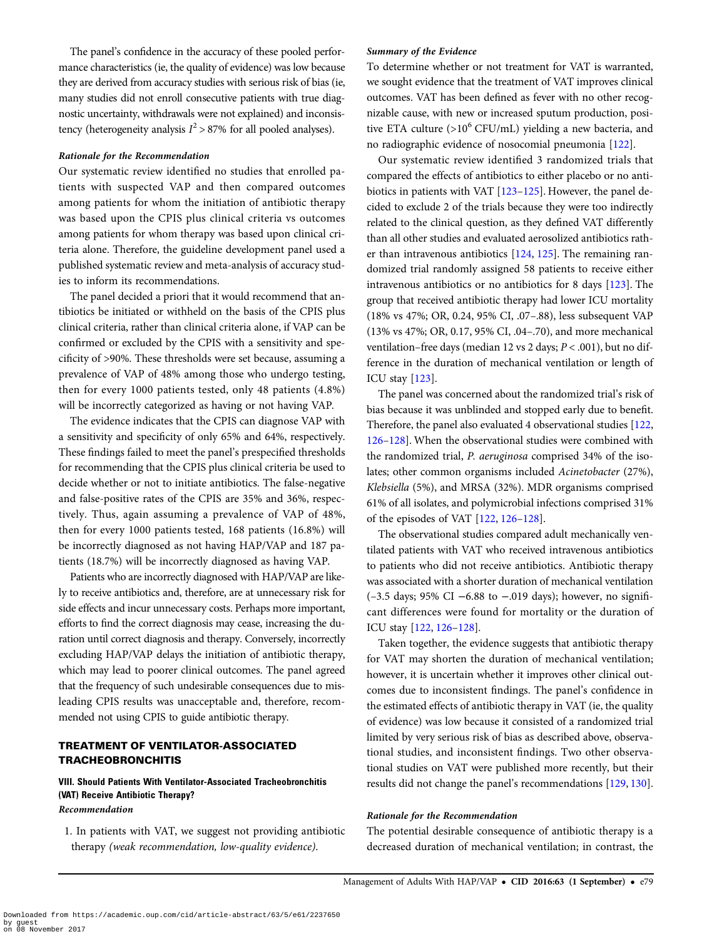The panel's confidence in the accuracy of these pooled performance characteristics (ie, the quality of evidence) was low because they are derived from accuracy studies with serious risk of bias (ie, many studies did not enroll consecutive patients with true diagnostic uncertainty, withdrawals were not explained) and inconsistency (heterogeneity analysis  $I^2 > 87\%$  for all pooled analyses).

#### Rationale for the Recommendation

Our systematic review identified no studies that enrolled patients with suspected VAP and then compared outcomes among patients for whom the initiation of antibiotic therapy was based upon the CPIS plus clinical criteria vs outcomes among patients for whom therapy was based upon clinical criteria alone. Therefore, the guideline development panel used a published systematic review and meta-analysis of accuracy studies to inform its recommendations.

The panel decided a priori that it would recommend that antibiotics be initiated or withheld on the basis of the CPIS plus clinical criteria, rather than clinical criteria alone, if VAP can be confirmed or excluded by the CPIS with a sensitivity and specificity of >90%. These thresholds were set because, assuming a prevalence of VAP of 48% among those who undergo testing, then for every 1000 patients tested, only 48 patients (4.8%) will be incorrectly categorized as having or not having VAP.

The evidence indicates that the CPIS can diagnose VAP with a sensitivity and specificity of only 65% and 64%, respectively. These findings failed to meet the panel's prespecified thresholds for recommending that the CPIS plus clinical criteria be used to decide whether or not to initiate antibiotics. The false-negative and false-positive rates of the CPIS are 35% and 36%, respectively. Thus, again assuming a prevalence of VAP of 48%, then for every 1000 patients tested, 168 patients (16.8%) will be incorrectly diagnosed as not having HAP/VAP and 187 patients (18.7%) will be incorrectly diagnosed as having VAP.

Patients who are incorrectly diagnosed with HAP/VAP are likely to receive antibiotics and, therefore, are at unnecessary risk for side effects and incur unnecessary costs. Perhaps more important, efforts to find the correct diagnosis may cease, increasing the duration until correct diagnosis and therapy. Conversely, incorrectly excluding HAP/VAP delays the initiation of antibiotic therapy, which may lead to poorer clinical outcomes. The panel agreed that the frequency of such undesirable consequences due to misleading CPIS results was unacceptable and, therefore, recommended not using CPIS to guide antibiotic therapy.

## TREATMENT OF VENTILATOR-ASSOCIATED **TRACHEOBRONCHITIS**

## VIII. Should Patients With Ventilator-Associated Tracheobronchitis (VAT) Receive Antibiotic Therapy? Recommendation

1. In patients with VAT, we suggest not providing antibiotic therapy (weak recommendation, low-quality evidence).

#### Summary of the Evidence

To determine whether or not treatment for VAT is warranted, we sought evidence that the treatment of VAT improves clinical outcomes. VAT has been defined as fever with no other recognizable cause, with new or increased sputum production, positive ETA culture ( $>10^6$  CFU/mL) yielding a new bacteria, and no radiographic evidence of nosocomial pneumonia [\[122](#page-45-0)].

Our systematic review identified 3 randomized trials that compared the effects of antibiotics to either placebo or no antibiotics in patients with VAT [[123](#page-45-0)–[125](#page-45-0)]. However, the panel decided to exclude 2 of the trials because they were too indirectly related to the clinical question, as they defined VAT differently than all other studies and evaluated aerosolized antibiotics rather than intravenous antibiotics [[124,](#page-45-0) [125\]](#page-45-0). The remaining randomized trial randomly assigned 58 patients to receive either intravenous antibiotics or no antibiotics for 8 days [\[123](#page-45-0)]. The group that received antibiotic therapy had lower ICU mortality (18% vs 47%; OR, 0.24, 95% CI, .07–.88), less subsequent VAP (13% vs 47%; OR, 0.17, 95% CI, .04–.70), and more mechanical ventilation–free days (median 12 vs 2 days; P < .001), but no difference in the duration of mechanical ventilation or length of ICU stay [[123](#page-45-0)].

The panel was concerned about the randomized trial's risk of bias because it was unblinded and stopped early due to benefit. Therefore, the panel also evaluated 4 observational studies [\[122,](#page-45-0) [126](#page-45-0)–[128](#page-45-0)]. When the observational studies were combined with the randomized trial, P. aeruginosa comprised 34% of the isolates; other common organisms included Acinetobacter (27%), Klebsiella (5%), and MRSA (32%). MDR organisms comprised 61% of all isolates, and polymicrobial infections comprised 31% of the episodes of VAT [[122](#page-45-0), [126](#page-45-0)–[128\]](#page-45-0).

The observational studies compared adult mechanically ventilated patients with VAT who received intravenous antibiotics to patients who did not receive antibiotics. Antibiotic therapy was associated with a shorter duration of mechanical ventilation (–3.5 days; 95% CI −6.88 to −.019 days); however, no significant differences were found for mortality or the duration of ICU stay [[122](#page-45-0), [126](#page-45-0)–[128\]](#page-45-0).

Taken together, the evidence suggests that antibiotic therapy for VAT may shorten the duration of mechanical ventilation; however, it is uncertain whether it improves other clinical outcomes due to inconsistent findings. The panel's confidence in the estimated effects of antibiotic therapy in VAT (ie, the quality of evidence) was low because it consisted of a randomized trial limited by very serious risk of bias as described above, observational studies, and inconsistent findings. Two other observational studies on VAT were published more recently, but their results did not change the panel's recommendations [\[129](#page-45-0), [130\]](#page-45-0).

#### Rationale for the Recommendation

The potential desirable consequence of antibiotic therapy is a decreased duration of mechanical ventilation; in contrast, the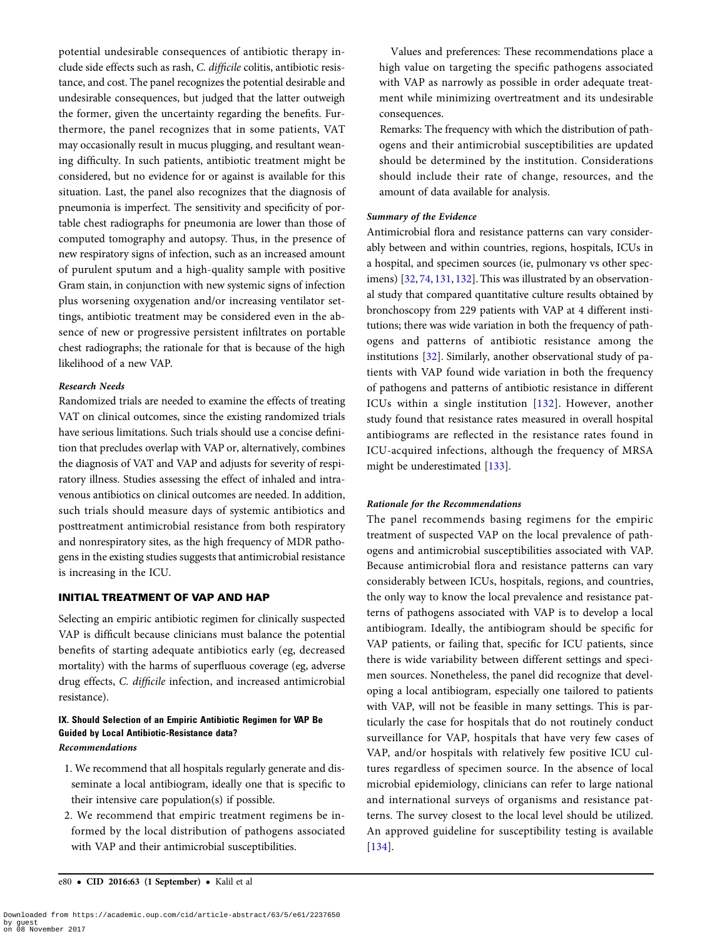potential undesirable consequences of antibiotic therapy include side effects such as rash, C. difficile colitis, antibiotic resistance, and cost. The panel recognizes the potential desirable and undesirable consequences, but judged that the latter outweigh the former, given the uncertainty regarding the benefits. Furthermore, the panel recognizes that in some patients, VAT may occasionally result in mucus plugging, and resultant weaning difficulty. In such patients, antibiotic treatment might be considered, but no evidence for or against is available for this situation. Last, the panel also recognizes that the diagnosis of pneumonia is imperfect. The sensitivity and specificity of portable chest radiographs for pneumonia are lower than those of computed tomography and autopsy. Thus, in the presence of new respiratory signs of infection, such as an increased amount of purulent sputum and a high-quality sample with positive Gram stain, in conjunction with new systemic signs of infection plus worsening oxygenation and/or increasing ventilator settings, antibiotic treatment may be considered even in the absence of new or progressive persistent infiltrates on portable chest radiographs; the rationale for that is because of the high likelihood of a new VAP.

## Research Needs

Randomized trials are needed to examine the effects of treating VAT on clinical outcomes, since the existing randomized trials have serious limitations. Such trials should use a concise definition that precludes overlap with VAP or, alternatively, combines the diagnosis of VAT and VAP and adjusts for severity of respiratory illness. Studies assessing the effect of inhaled and intravenous antibiotics on clinical outcomes are needed. In addition, such trials should measure days of systemic antibiotics and posttreatment antimicrobial resistance from both respiratory and nonrespiratory sites, as the high frequency of MDR pathogens in the existing studies suggests that antimicrobial resistance is increasing in the ICU.

## INITIAL TREATMENT OF VAP AND HAP

Selecting an empiric antibiotic regimen for clinically suspected VAP is difficult because clinicians must balance the potential benefits of starting adequate antibiotics early (eg, decreased mortality) with the harms of superfluous coverage (eg, adverse drug effects, C. difficile infection, and increased antimicrobial resistance).

## IX. Should Selection of an Empiric Antibiotic Regimen for VAP Be Guided by Local Antibiotic-Resistance data? Recommendations

- 1. We recommend that all hospitals regularly generate and disseminate a local antibiogram, ideally one that is specific to their intensive care population(s) if possible.
- 2. We recommend that empiric treatment regimens be informed by the local distribution of pathogens associated with VAP and their antimicrobial susceptibilities.

Values and preferences: These recommendations place a high value on targeting the specific pathogens associated with VAP as narrowly as possible in order adequate treatment while minimizing overtreatment and its undesirable consequences.

Remarks: The frequency with which the distribution of pathogens and their antimicrobial susceptibilities are updated should be determined by the institution. Considerations should include their rate of change, resources, and the amount of data available for analysis.

## Summary of the Evidence

Antimicrobial flora and resistance patterns can vary considerably between and within countries, regions, hospitals, ICUs in a hospital, and specimen sources (ie, pulmonary vs other specimens) [\[32,](#page-43-0) [74](#page-44-0), [131](#page-45-0), [132\]](#page-45-0). This was illustrated by an observational study that compared quantitative culture results obtained by bronchoscopy from 229 patients with VAP at 4 different institutions; there was wide variation in both the frequency of pathogens and patterns of antibiotic resistance among the institutions [[32\]](#page-43-0). Similarly, another observational study of patients with VAP found wide variation in both the frequency of pathogens and patterns of antibiotic resistance in different ICUs within a single institution [[132](#page-45-0)]. However, another study found that resistance rates measured in overall hospital antibiograms are reflected in the resistance rates found in ICU-acquired infections, although the frequency of MRSA might be underestimated [\[133](#page-45-0)].

## Rationale for the Recommendations

The panel recommends basing regimens for the empiric treatment of suspected VAP on the local prevalence of pathogens and antimicrobial susceptibilities associated with VAP. Because antimicrobial flora and resistance patterns can vary considerably between ICUs, hospitals, regions, and countries, the only way to know the local prevalence and resistance patterns of pathogens associated with VAP is to develop a local antibiogram. Ideally, the antibiogram should be specific for VAP patients, or failing that, specific for ICU patients, since there is wide variability between different settings and specimen sources. Nonetheless, the panel did recognize that developing a local antibiogram, especially one tailored to patients with VAP, will not be feasible in many settings. This is particularly the case for hospitals that do not routinely conduct surveillance for VAP, hospitals that have very few cases of VAP, and/or hospitals with relatively few positive ICU cultures regardless of specimen source. In the absence of local microbial epidemiology, clinicians can refer to large national and international surveys of organisms and resistance patterns. The survey closest to the local level should be utilized. An approved guideline for susceptibility testing is available [\[134](#page-45-0)].

e80 • CID 2016:63 (1 September) • Kalil et al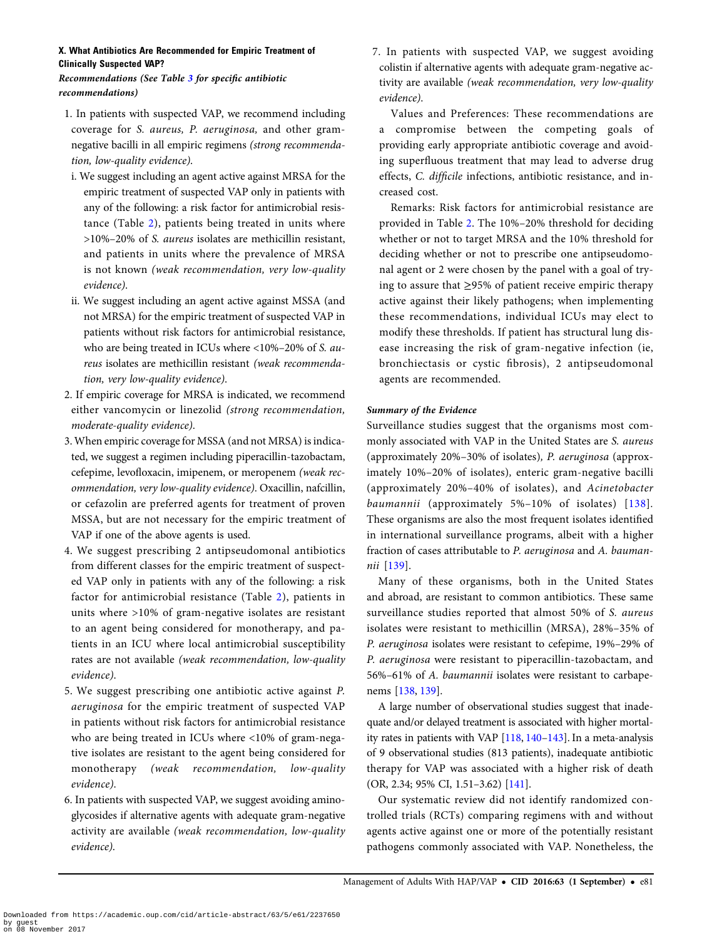## X. What Antibiotics Are Recommended for Empiric Treatment of Clinically Suspected VAP?

## Recommendations (See Table [3](#page-3-0) for specific antibiotic recommendations)

- 1. In patients with suspected VAP, we recommend including coverage for S. aureus, P. aeruginosa, and other gramnegative bacilli in all empiric regimens (strong recommendation, low-quality evidence).
- i. We suggest including an agent active against MRSA for the empiric treatment of suspected VAP only in patients with any of the following: a risk factor for antimicrobial resistance (Table [2\)](#page-2-0), patients being treated in units where >10%–20% of S. aureus isolates are methicillin resistant, and patients in units where the prevalence of MRSA is not known (weak recommendation, very low-quality evidence).
- ii. We suggest including an agent active against MSSA (and not MRSA) for the empiric treatment of suspected VAP in patients without risk factors for antimicrobial resistance, who are being treated in ICUs where <10%–20% of S. aureus isolates are methicillin resistant (weak recommendation, very low-quality evidence).
- 2. If empiric coverage for MRSA is indicated, we recommend either vancomycin or linezolid (strong recommendation, moderate-quality evidence).
- 3. When empiric coverage for MSSA (and not MRSA) is indicated, we suggest a regimen including piperacillin-tazobactam, cefepime, levofloxacin, imipenem, or meropenem (weak recommendation, very low-quality evidence). Oxacillin, nafcillin, or cefazolin are preferred agents for treatment of proven MSSA, but are not necessary for the empiric treatment of VAP if one of the above agents is used.
- 4. We suggest prescribing 2 antipseudomonal antibiotics from different classes for the empiric treatment of suspected VAP only in patients with any of the following: a risk factor for antimicrobial resistance (Table [2](#page-2-0)), patients in units where >10% of gram-negative isolates are resistant to an agent being considered for monotherapy, and patients in an ICU where local antimicrobial susceptibility rates are not available (weak recommendation, low-quality evidence).
- 5. We suggest prescribing one antibiotic active against P. aeruginosa for the empiric treatment of suspected VAP in patients without risk factors for antimicrobial resistance who are being treated in ICUs where <10% of gram-negative isolates are resistant to the agent being considered for monotherapy (weak recommendation, low-quality evidence).
- 6. In patients with suspected VAP, we suggest avoiding aminoglycosides if alternative agents with adequate gram-negative activity are available (weak recommendation, low-quality evidence).

7. In patients with suspected VAP, we suggest avoiding colistin if alternative agents with adequate gram-negative activity are available (weak recommendation, very low-quality evidence).

Values and Preferences: These recommendations are a compromise between the competing goals of providing early appropriate antibiotic coverage and avoiding superfluous treatment that may lead to adverse drug effects, C. difficile infections, antibiotic resistance, and increased cost.

Remarks: Risk factors for antimicrobial resistance are provided in Table [2.](#page-2-0) The 10%–20% threshold for deciding whether or not to target MRSA and the 10% threshold for deciding whether or not to prescribe one antipseudomonal agent or 2 were chosen by the panel with a goal of trying to assure that ≥95% of patient receive empiric therapy active against their likely pathogens; when implementing these recommendations, individual ICUs may elect to modify these thresholds. If patient has structural lung disease increasing the risk of gram-negative infection (ie, bronchiectasis or cystic fibrosis), 2 antipseudomonal agents are recommended.

## Summary of the Evidence

Surveillance studies suggest that the organisms most commonly associated with VAP in the United States are S. aureus (approximately 20%–30% of isolates), P. aeruginosa (approximately 10%–20% of isolates), enteric gram-negative bacilli (approximately 20%–40% of isolates), and Acinetobacter baumannii (approximately  $5\% - 10\%$  of isolates) [\[138](#page-45-0)]. These organisms are also the most frequent isolates identified in international surveillance programs, albeit with a higher fraction of cases attributable to P. aeruginosa and A. baumannii [[139\]](#page-45-0).

Many of these organisms, both in the United States and abroad, are resistant to common antibiotics. These same surveillance studies reported that almost 50% of S. aureus isolates were resistant to methicillin (MRSA), 28%–35% of P. aeruginosa isolates were resistant to cefepime, 19%–29% of P. aeruginosa were resistant to piperacillin-tazobactam, and 56%–61% of A. baumannii isolates were resistant to carbapenems [\[138](#page-45-0), [139\]](#page-45-0).

A large number of observational studies suggest that inadequate and/or delayed treatment is associated with higher mortality rates in patients with VAP [\[118,](#page-45-0) [140](#page-45-0)–[143](#page-45-0)]. In a meta-analysis of 9 observational studies (813 patients), inadequate antibiotic therapy for VAP was associated with a higher risk of death (OR, 2.34; 95% CI, 1.51–3.62) [\[141\]](#page-45-0).

Our systematic review did not identify randomized controlled trials (RCTs) comparing regimens with and without agents active against one or more of the potentially resistant pathogens commonly associated with VAP. Nonetheless, the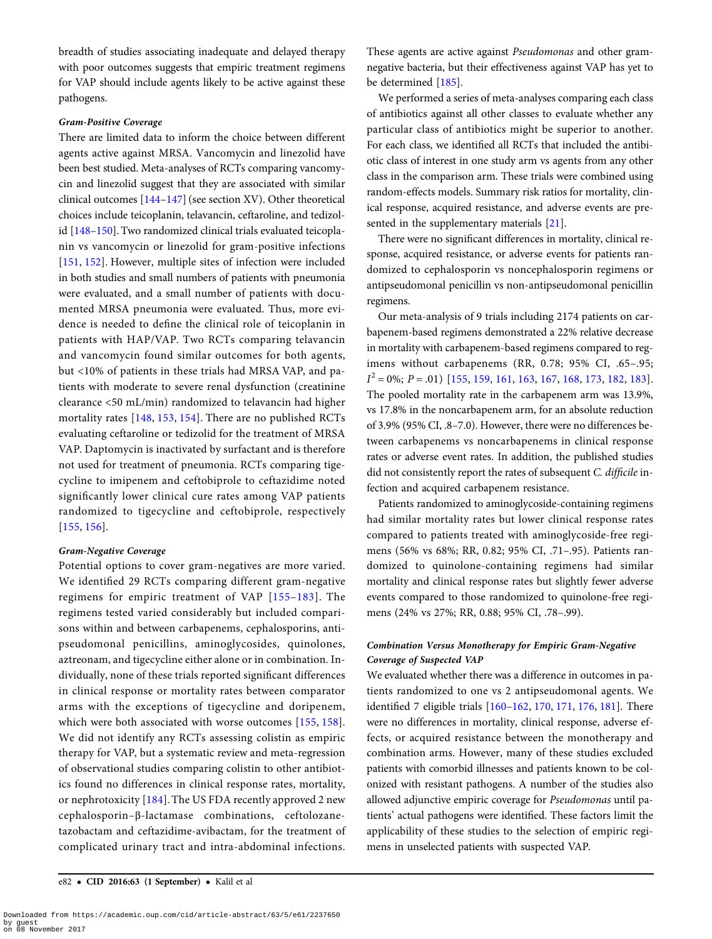breadth of studies associating inadequate and delayed therapy with poor outcomes suggests that empiric treatment regimens for VAP should include agents likely to be active against these pathogens.

## Gram-Positive Coverage

There are limited data to inform the choice between different agents active against MRSA. Vancomycin and linezolid have been best studied. Meta-analyses of RCTs comparing vancomycin and linezolid suggest that they are associated with similar clinical outcomes [\[144](#page-45-0)–[147](#page-45-0)] (see section XV). Other theoretical choices include teicoplanin, telavancin, ceftaroline, and tedizolid [[148](#page-45-0)–[150\]](#page-45-0). Two randomized clinical trials evaluated teicoplanin vs vancomycin or linezolid for gram-positive infections [\[151](#page-45-0), [152](#page-46-0)]. However, multiple sites of infection were included in both studies and small numbers of patients with pneumonia were evaluated, and a small number of patients with documented MRSA pneumonia were evaluated. Thus, more evidence is needed to define the clinical role of teicoplanin in patients with HAP/VAP. Two RCTs comparing telavancin and vancomycin found similar outcomes for both agents, but <10% of patients in these trials had MRSA VAP, and patients with moderate to severe renal dysfunction (creatinine clearance <50 mL/min) randomized to telavancin had higher mortality rates [[148,](#page-45-0) [153](#page-46-0), [154\]](#page-46-0). There are no published RCTs evaluating ceftaroline or tedizolid for the treatment of MRSA VAP. Daptomycin is inactivated by surfactant and is therefore not used for treatment of pneumonia. RCTs comparing tigecycline to imipenem and ceftobiprole to ceftazidime noted significantly lower clinical cure rates among VAP patients randomized to tigecycline and ceftobiprole, respectively [\[155](#page-46-0), [156\]](#page-46-0).

#### Gram-Negative Coverage

Potential options to cover gram-negatives are more varied. We identified 29 RCTs comparing different gram-negative regimens for empiric treatment of VAP [[155](#page-46-0)–[183](#page-46-0)]. The regimens tested varied considerably but included comparisons within and between carbapenems, cephalosporins, antipseudomonal penicillins, aminoglycosides, quinolones, aztreonam, and tigecycline either alone or in combination. Individually, none of these trials reported significant differences in clinical response or mortality rates between comparator arms with the exceptions of tigecycline and doripenem, which were both associated with worse outcomes [[155,](#page-46-0) [158](#page-46-0)]. We did not identify any RCTs assessing colistin as empiric therapy for VAP, but a systematic review and meta-regression of observational studies comparing colistin to other antibiotics found no differences in clinical response rates, mortality, or nephrotoxicity [[184](#page-46-0)]. The US FDA recently approved 2 new cephalosporin–β-lactamase combinations, ceftolozanetazobactam and ceftazidime-avibactam, for the treatment of complicated urinary tract and intra-abdominal infections. These agents are active against Pseudomonas and other gramnegative bacteria, but their effectiveness against VAP has yet to be determined [\[185\]](#page-46-0).

We performed a series of meta-analyses comparing each class of antibiotics against all other classes to evaluate whether any particular class of antibiotics might be superior to another. For each class, we identified all RCTs that included the antibiotic class of interest in one study arm vs agents from any other class in the comparison arm. These trials were combined using random-effects models. Summary risk ratios for mortality, clinical response, acquired resistance, and adverse events are presented in the supplementary materials [\[21](#page-43-0)].

There were no significant differences in mortality, clinical response, acquired resistance, or adverse events for patients randomized to cephalosporin vs noncephalosporin regimens or antipseudomonal penicillin vs non-antipseudomonal penicillin regimens.

Our meta-analysis of 9 trials including 2174 patients on carbapenem-based regimens demonstrated a 22% relative decrease in mortality with carbapenem-based regimens compared to regimens without carbapenems (RR, 0.78; 95% CI, .65–.95;  $I^2 = 0\%$ ; P = .01) [[155](#page-46-0), [159,](#page-46-0) [161](#page-46-0), [163](#page-46-0), [167,](#page-46-0) [168](#page-46-0), [173](#page-46-0), [182,](#page-46-0) [183](#page-46-0)]. The pooled mortality rate in the carbapenem arm was 13.9%, vs 17.8% in the noncarbapenem arm, for an absolute reduction of 3.9% (95% CI, .8–7.0). However, there were no differences between carbapenems vs noncarbapenems in clinical response rates or adverse event rates. In addition, the published studies did not consistently report the rates of subsequent C. difficile infection and acquired carbapenem resistance.

Patients randomized to aminoglycoside-containing regimens had similar mortality rates but lower clinical response rates compared to patients treated with aminoglycoside-free regimens (56% vs 68%; RR, 0.82; 95% CI, .71–.95). Patients randomized to quinolone-containing regimens had similar mortality and clinical response rates but slightly fewer adverse events compared to those randomized to quinolone-free regimens (24% vs 27%; RR, 0.88; 95% CI, .78–.99).

# Combination Versus Monotherapy for Empiric Gram-Negative Coverage of Suspected VAP

We evaluated whether there was a difference in outcomes in patients randomized to one vs 2 antipseudomonal agents. We identified 7 eligible trials [[160](#page-46-0)–[162](#page-46-0), [170](#page-46-0), [171,](#page-46-0) [176,](#page-46-0) [181](#page-46-0)]. There were no differences in mortality, clinical response, adverse effects, or acquired resistance between the monotherapy and combination arms. However, many of these studies excluded patients with comorbid illnesses and patients known to be colonized with resistant pathogens. A number of the studies also allowed adjunctive empiric coverage for Pseudomonas until patients' actual pathogens were identified. These factors limit the applicability of these studies to the selection of empiric regimens in unselected patients with suspected VAP.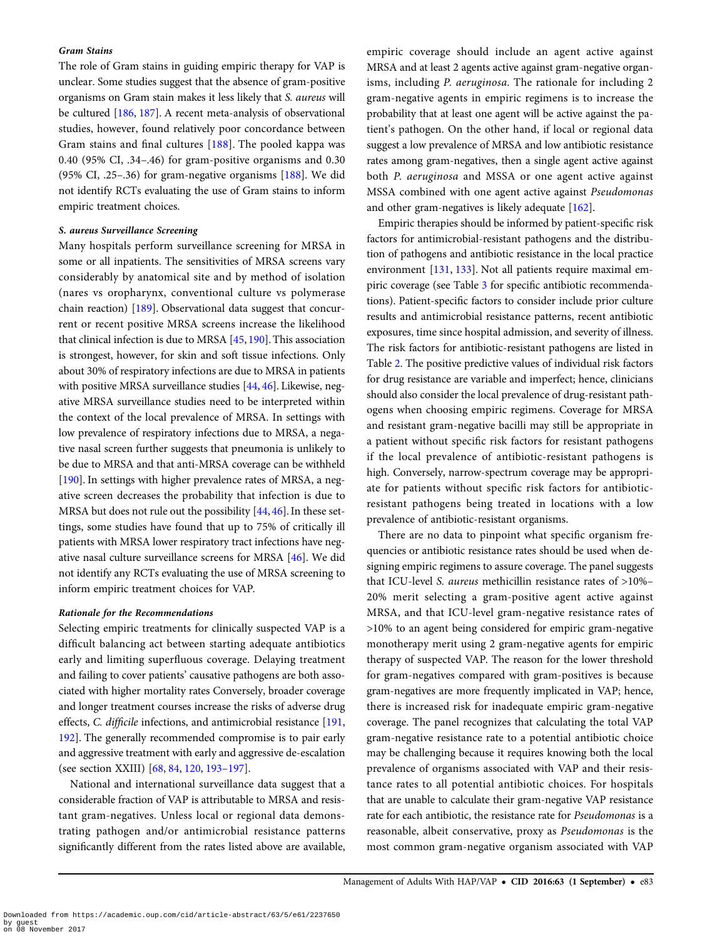#### Gram Stains

The role of Gram stains in guiding empiric therapy for VAP is unclear. Some studies suggest that the absence of gram-positive organisms on Gram stain makes it less likely that S. aureus will be cultured [[186,](#page-46-0) [187\]](#page-46-0). A recent meta-analysis of observational studies, however, found relatively poor concordance between Gram stains and final cultures [\[188\]](#page-46-0). The pooled kappa was 0.40 (95% CI, .34–.46) for gram-positive organisms and 0.30 (95% CI, .25–.36) for gram-negative organisms [\[188](#page-46-0)]. We did not identify RCTs evaluating the use of Gram stains to inform empiric treatment choices.

#### S. aureus Surveillance Screening

Many hospitals perform surveillance screening for MRSA in some or all inpatients. The sensitivities of MRSA screens vary considerably by anatomical site and by method of isolation (nares vs oropharynx, conventional culture vs polymerase chain reaction) [\[189\]](#page-46-0). Observational data suggest that concurrent or recent positive MRSA screens increase the likelihood that clinical infection is due to MRSA [[45,](#page-43-0) [190\]](#page-46-0). This association is strongest, however, for skin and soft tissue infections. Only about 30% of respiratory infections are due to MRSA in patients with positive MRSA surveillance studies [[44,](#page-43-0) [46\]](#page-43-0). Likewise, negative MRSA surveillance studies need to be interpreted within the context of the local prevalence of MRSA. In settings with low prevalence of respiratory infections due to MRSA, a negative nasal screen further suggests that pneumonia is unlikely to be due to MRSA and that anti-MRSA coverage can be withheld [\[190\]](#page-46-0). In settings with higher prevalence rates of MRSA, a negative screen decreases the probability that infection is due to MRSA but does not rule out the possibility [\[44](#page-43-0), [46\]](#page-43-0). In these settings, some studies have found that up to 75% of critically ill patients with MRSA lower respiratory tract infections have negative nasal culture surveillance screens for MRSA [[46\]](#page-43-0). We did not identify any RCTs evaluating the use of MRSA screening to inform empiric treatment choices for VAP.

#### Rationale for the Recommendations

Selecting empiric treatments for clinically suspected VAP is a difficult balancing act between starting adequate antibiotics early and limiting superfluous coverage. Delaying treatment and failing to cover patients' causative pathogens are both associated with higher mortality rates Conversely, broader coverage and longer treatment courses increase the risks of adverse drug effects, C. difficile infections, and antimicrobial resistance [\[191,](#page-46-0) [192\]](#page-46-0). The generally recommended compromise is to pair early and aggressive treatment with early and aggressive de-escalation (see section XXIII) [\[68](#page-44-0), [84,](#page-44-0) [120](#page-45-0), [193](#page-46-0)–[197\]](#page-47-0).

National and international surveillance data suggest that a considerable fraction of VAP is attributable to MRSA and resistant gram-negatives. Unless local or regional data demonstrating pathogen and/or antimicrobial resistance patterns significantly different from the rates listed above are available,

empiric coverage should include an agent active against MRSA and at least 2 agents active against gram-negative organisms, including P. aeruginosa. The rationale for including 2 gram-negative agents in empiric regimens is to increase the probability that at least one agent will be active against the patient's pathogen. On the other hand, if local or regional data suggest a low prevalence of MRSA and low antibiotic resistance rates among gram-negatives, then a single agent active against both P. aeruginosa and MSSA or one agent active against MSSA combined with one agent active against Pseudomonas and other gram-negatives is likely adequate [\[162](#page-46-0)].

Empiric therapies should be informed by patient-specific risk factors for antimicrobial-resistant pathogens and the distribution of pathogens and antibiotic resistance in the local practice environment [[131](#page-45-0), [133\]](#page-45-0). Not all patients require maximal empiric coverage (see Table [3](#page-3-0) for specific antibiotic recommendations). Patient-specific factors to consider include prior culture results and antimicrobial resistance patterns, recent antibiotic exposures, time since hospital admission, and severity of illness. The risk factors for antibiotic-resistant pathogens are listed in Table [2.](#page-2-0) The positive predictive values of individual risk factors for drug resistance are variable and imperfect; hence, clinicians should also consider the local prevalence of drug-resistant pathogens when choosing empiric regimens. Coverage for MRSA and resistant gram-negative bacilli may still be appropriate in a patient without specific risk factors for resistant pathogens if the local prevalence of antibiotic-resistant pathogens is high. Conversely, narrow-spectrum coverage may be appropriate for patients without specific risk factors for antibioticresistant pathogens being treated in locations with a low prevalence of antibiotic-resistant organisms.

There are no data to pinpoint what specific organism frequencies or antibiotic resistance rates should be used when designing empiric regimens to assure coverage. The panel suggests that ICU-level S. aureus methicillin resistance rates of >10%– 20% merit selecting a gram-positive agent active against MRSA, and that ICU-level gram-negative resistance rates of >10% to an agent being considered for empiric gram-negative monotherapy merit using 2 gram-negative agents for empiric therapy of suspected VAP. The reason for the lower threshold for gram-negatives compared with gram-positives is because gram-negatives are more frequently implicated in VAP; hence, there is increased risk for inadequate empiric gram-negative coverage. The panel recognizes that calculating the total VAP gram-negative resistance rate to a potential antibiotic choice may be challenging because it requires knowing both the local prevalence of organisms associated with VAP and their resistance rates to all potential antibiotic choices. For hospitals that are unable to calculate their gram-negative VAP resistance rate for each antibiotic, the resistance rate for Pseudomonas is a reasonable, albeit conservative, proxy as Pseudomonas is the most common gram-negative organism associated with VAP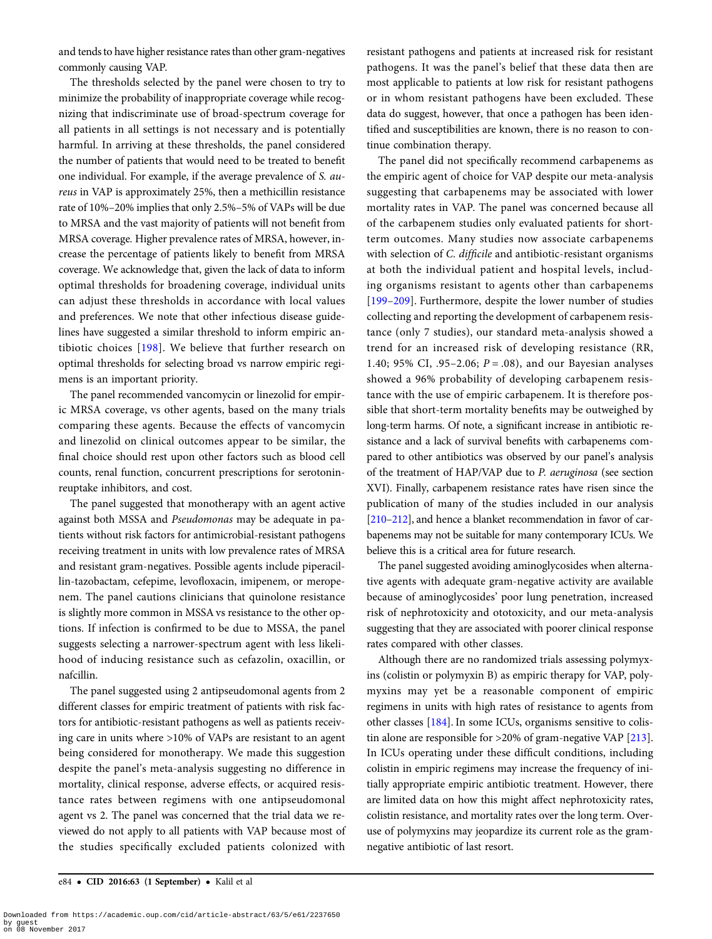and tends to have higher resistance rates than other gram-negatives commonly causing VAP.

The thresholds selected by the panel were chosen to try to minimize the probability of inappropriate coverage while recognizing that indiscriminate use of broad-spectrum coverage for all patients in all settings is not necessary and is potentially harmful. In arriving at these thresholds, the panel considered the number of patients that would need to be treated to benefit one individual. For example, if the average prevalence of S. aureus in VAP is approximately 25%, then a methicillin resistance rate of 10%–20% implies that only 2.5%–5% of VAPs will be due to MRSA and the vast majority of patients will not benefit from MRSA coverage. Higher prevalence rates of MRSA, however, increase the percentage of patients likely to benefit from MRSA coverage. We acknowledge that, given the lack of data to inform optimal thresholds for broadening coverage, individual units can adjust these thresholds in accordance with local values and preferences. We note that other infectious disease guidelines have suggested a similar threshold to inform empiric antibiotic choices [[198](#page-47-0)]. We believe that further research on optimal thresholds for selecting broad vs narrow empiric regimens is an important priority.

The panel recommended vancomycin or linezolid for empiric MRSA coverage, vs other agents, based on the many trials comparing these agents. Because the effects of vancomycin and linezolid on clinical outcomes appear to be similar, the final choice should rest upon other factors such as blood cell counts, renal function, concurrent prescriptions for serotoninreuptake inhibitors, and cost.

The panel suggested that monotherapy with an agent active against both MSSA and Pseudomonas may be adequate in patients without risk factors for antimicrobial-resistant pathogens receiving treatment in units with low prevalence rates of MRSA and resistant gram-negatives. Possible agents include piperacillin-tazobactam, cefepime, levofloxacin, imipenem, or meropenem. The panel cautions clinicians that quinolone resistance is slightly more common in MSSA vs resistance to the other options. If infection is confirmed to be due to MSSA, the panel suggests selecting a narrower-spectrum agent with less likelihood of inducing resistance such as cefazolin, oxacillin, or nafcillin.

The panel suggested using 2 antipseudomonal agents from 2 different classes for empiric treatment of patients with risk factors for antibiotic-resistant pathogens as well as patients receiving care in units where >10% of VAPs are resistant to an agent being considered for monotherapy. We made this suggestion despite the panel's meta-analysis suggesting no difference in mortality, clinical response, adverse effects, or acquired resistance rates between regimens with one antipseudomonal agent vs 2. The panel was concerned that the trial data we reviewed do not apply to all patients with VAP because most of the studies specifically excluded patients colonized with resistant pathogens and patients at increased risk for resistant pathogens. It was the panel's belief that these data then are most applicable to patients at low risk for resistant pathogens or in whom resistant pathogens have been excluded. These data do suggest, however, that once a pathogen has been identified and susceptibilities are known, there is no reason to continue combination therapy.

The panel did not specifically recommend carbapenems as the empiric agent of choice for VAP despite our meta-analysis suggesting that carbapenems may be associated with lower mortality rates in VAP. The panel was concerned because all of the carbapenem studies only evaluated patients for shortterm outcomes. Many studies now associate carbapenems with selection of C. difficile and antibiotic-resistant organisms at both the individual patient and hospital levels, including organisms resistant to agents other than carbapenems [\[199](#page-47-0)–[209](#page-47-0)]. Furthermore, despite the lower number of studies collecting and reporting the development of carbapenem resistance (only 7 studies), our standard meta-analysis showed a trend for an increased risk of developing resistance (RR, 1.40; 95% CI, .95–2.06;  $P = .08$ ), and our Bayesian analyses showed a 96% probability of developing carbapenem resistance with the use of empiric carbapenem. It is therefore possible that short-term mortality benefits may be outweighed by long-term harms. Of note, a significant increase in antibiotic resistance and a lack of survival benefits with carbapenems compared to other antibiotics was observed by our panel's analysis of the treatment of HAP/VAP due to P. aeruginosa (see section XVI). Finally, carbapenem resistance rates have risen since the publication of many of the studies included in our analysis [\[210](#page-47-0)–[212](#page-47-0)], and hence a blanket recommendation in favor of carbapenems may not be suitable for many contemporary ICUs. We believe this is a critical area for future research.

The panel suggested avoiding aminoglycosides when alternative agents with adequate gram-negative activity are available because of aminoglycosides' poor lung penetration, increased risk of nephrotoxicity and ototoxicity, and our meta-analysis suggesting that they are associated with poorer clinical response rates compared with other classes.

Although there are no randomized trials assessing polymyxins (colistin or polymyxin B) as empiric therapy for VAP, polymyxins may yet be a reasonable component of empiric regimens in units with high rates of resistance to agents from other classes [\[184\]](#page-46-0). In some ICUs, organisms sensitive to colistin alone are responsible for >20% of gram-negative VAP [[213\]](#page-47-0). In ICUs operating under these difficult conditions, including colistin in empiric regimens may increase the frequency of initially appropriate empiric antibiotic treatment. However, there are limited data on how this might affect nephrotoxicity rates, colistin resistance, and mortality rates over the long term. Overuse of polymyxins may jeopardize its current role as the gramnegative antibiotic of last resort.

e84 • CID 2016:63 (1 September) • Kalil et al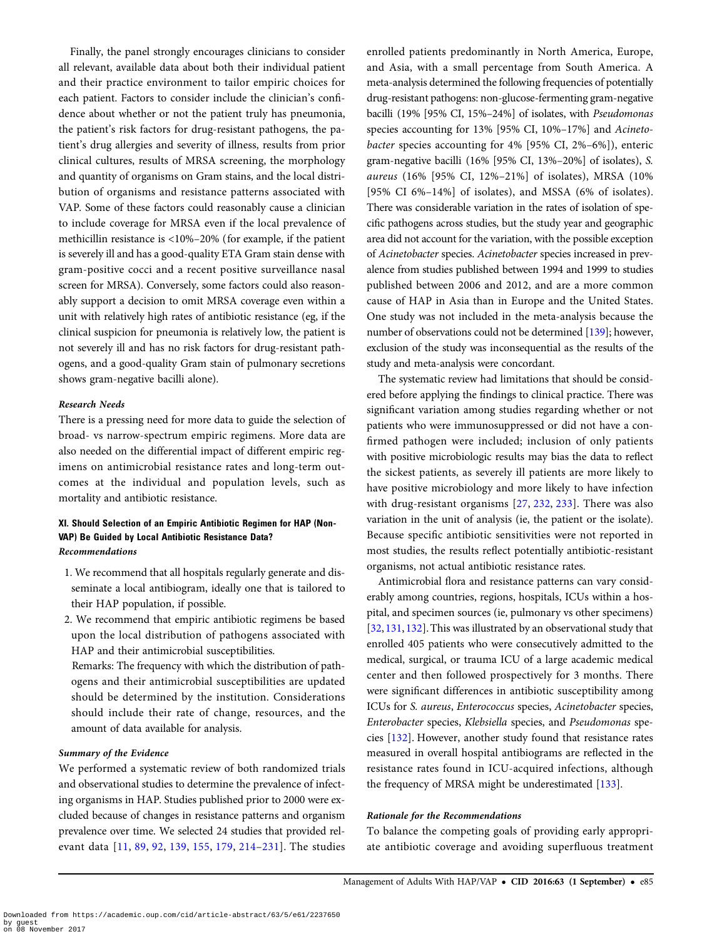Finally, the panel strongly encourages clinicians to consider all relevant, available data about both their individual patient and their practice environment to tailor empiric choices for each patient. Factors to consider include the clinician's confidence about whether or not the patient truly has pneumonia, the patient's risk factors for drug-resistant pathogens, the patient's drug allergies and severity of illness, results from prior clinical cultures, results of MRSA screening, the morphology and quantity of organisms on Gram stains, and the local distribution of organisms and resistance patterns associated with VAP. Some of these factors could reasonably cause a clinician to include coverage for MRSA even if the local prevalence of methicillin resistance is <10%–20% (for example, if the patient is severely ill and has a good-quality ETA Gram stain dense with gram-positive cocci and a recent positive surveillance nasal screen for MRSA). Conversely, some factors could also reasonably support a decision to omit MRSA coverage even within a unit with relatively high rates of antibiotic resistance (eg, if the clinical suspicion for pneumonia is relatively low, the patient is not severely ill and has no risk factors for drug-resistant pathogens, and a good-quality Gram stain of pulmonary secretions shows gram-negative bacilli alone).

## Research Needs

There is a pressing need for more data to guide the selection of broad- vs narrow-spectrum empiric regimens. More data are also needed on the differential impact of different empiric regimens on antimicrobial resistance rates and long-term outcomes at the individual and population levels, such as mortality and antibiotic resistance.

## XI. Should Selection of an Empiric Antibiotic Regimen for HAP (Non-VAP) Be Guided by Local Antibiotic Resistance Data? Recommendations

- 1. We recommend that all hospitals regularly generate and disseminate a local antibiogram, ideally one that is tailored to their HAP population, if possible.
- 2. We recommend that empiric antibiotic regimens be based upon the local distribution of pathogens associated with HAP and their antimicrobial susceptibilities.

Remarks: The frequency with which the distribution of pathogens and their antimicrobial susceptibilities are updated should be determined by the institution. Considerations should include their rate of change, resources, and the amount of data available for analysis.

## Summary of the Evidence

We performed a systematic review of both randomized trials and observational studies to determine the prevalence of infecting organisms in HAP. Studies published prior to 2000 were excluded because of changes in resistance patterns and organism prevalence over time. We selected 24 studies that provided relevant data [[11](#page-43-0), [89,](#page-44-0) [92](#page-44-0), [139,](#page-45-0) [155](#page-46-0), [179](#page-46-0), [214](#page-47-0)–[231](#page-47-0)]. The studies enrolled patients predominantly in North America, Europe, and Asia, with a small percentage from South America. A meta-analysis determined the following frequencies of potentially drug-resistant pathogens: non-glucose-fermenting gram-negative bacilli (19% [95% CI, 15%–24%] of isolates, with Pseudomonas species accounting for 13% [95% CI, 10%–17%] and Acinetobacter species accounting for 4% [95% CI, 2%–6%]), enteric gram-negative bacilli (16% [95% CI, 13%–20%] of isolates), S. aureus (16% [95% CI, 12%–21%] of isolates), MRSA (10% [95% CI 6%–14%] of isolates), and MSSA (6% of isolates). There was considerable variation in the rates of isolation of specific pathogens across studies, but the study year and geographic area did not account for the variation, with the possible exception of Acinetobacter species. Acinetobacter species increased in prevalence from studies published between 1994 and 1999 to studies published between 2006 and 2012, and are a more common cause of HAP in Asia than in Europe and the United States. One study was not included in the meta-analysis because the number of observations could not be determined [\[139\]](#page-45-0); however, exclusion of the study was inconsequential as the results of the study and meta-analysis were concordant.

The systematic review had limitations that should be considered before applying the findings to clinical practice. There was significant variation among studies regarding whether or not patients who were immunosuppressed or did not have a confirmed pathogen were included; inclusion of only patients with positive microbiologic results may bias the data to reflect the sickest patients, as severely ill patients are more likely to have positive microbiology and more likely to have infection with drug-resistant organisms [[27](#page-43-0), [232](#page-47-0), [233\]](#page-47-0). There was also variation in the unit of analysis (ie, the patient or the isolate). Because specific antibiotic sensitivities were not reported in most studies, the results reflect potentially antibiotic-resistant organisms, not actual antibiotic resistance rates.

Antimicrobial flora and resistance patterns can vary considerably among countries, regions, hospitals, ICUs within a hospital, and specimen sources (ie, pulmonary vs other specimens) [\[32](#page-43-0), [131](#page-45-0), [132](#page-45-0)]. This was illustrated by an observational study that enrolled 405 patients who were consecutively admitted to the medical, surgical, or trauma ICU of a large academic medical center and then followed prospectively for 3 months. There were significant differences in antibiotic susceptibility among ICUs for S. aureus, Enterococcus species, Acinetobacter species, Enterobacter species, Klebsiella species, and Pseudomonas species [\[132](#page-45-0)]. However, another study found that resistance rates measured in overall hospital antibiograms are reflected in the resistance rates found in ICU-acquired infections, although the frequency of MRSA might be underestimated [\[133](#page-45-0)].

#### Rationale for the Recommendations

To balance the competing goals of providing early appropriate antibiotic coverage and avoiding superfluous treatment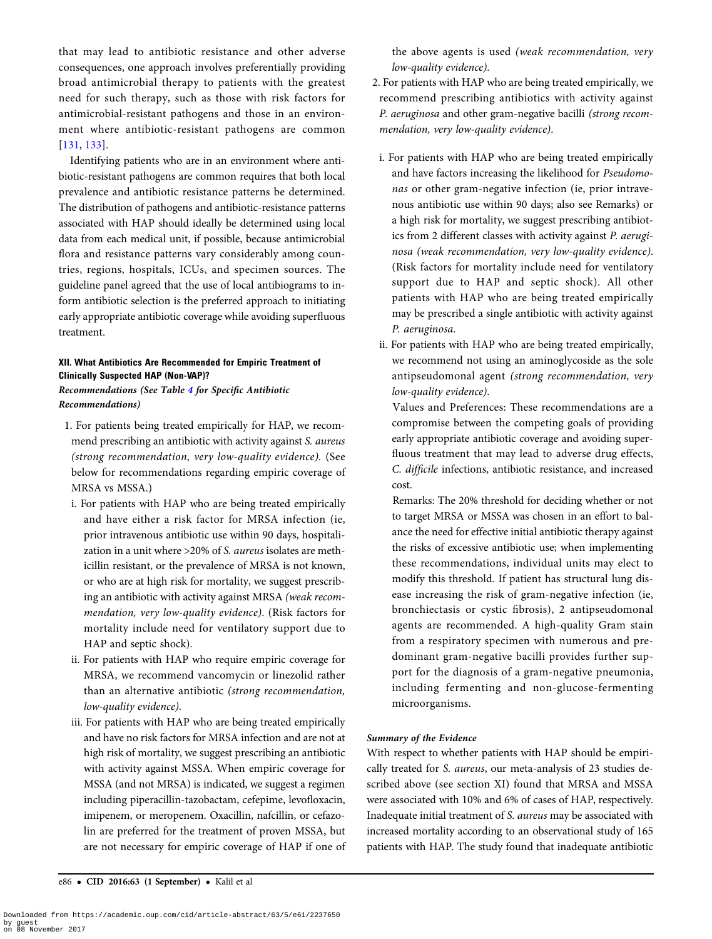that may lead to antibiotic resistance and other adverse consequences, one approach involves preferentially providing broad antimicrobial therapy to patients with the greatest need for such therapy, such as those with risk factors for antimicrobial-resistant pathogens and those in an environment where antibiotic-resistant pathogens are common [\[131](#page-45-0), [133\]](#page-45-0).

Identifying patients who are in an environment where antibiotic-resistant pathogens are common requires that both local prevalence and antibiotic resistance patterns be determined. The distribution of pathogens and antibiotic-resistance patterns associated with HAP should ideally be determined using local data from each medical unit, if possible, because antimicrobial flora and resistance patterns vary considerably among countries, regions, hospitals, ICUs, and specimen sources. The guideline panel agreed that the use of local antibiograms to inform antibiotic selection is the preferred approach to initiating early appropriate antibiotic coverage while avoiding superfluous treatment.

# XII. What Antibiotics Are Recommended for Empiric Treatment of Clinically Suspected HAP (Non-VAP)?

Recommendations (See Table [4](#page-4-0) for Specific Antibiotic Recommendations)

- 1. For patients being treated empirically for HAP, we recommend prescribing an antibiotic with activity against S. aureus (strong recommendation, very low-quality evidence). (See below for recommendations regarding empiric coverage of MRSA vs MSSA.)
- i. For patients with HAP who are being treated empirically and have either a risk factor for MRSA infection (ie, prior intravenous antibiotic use within 90 days, hospitalization in a unit where >20% of S. aureus isolates are methicillin resistant, or the prevalence of MRSA is not known, or who are at high risk for mortality, we suggest prescribing an antibiotic with activity against MRSA (weak recommendation, very low-quality evidence). (Risk factors for mortality include need for ventilatory support due to HAP and septic shock).
- ii. For patients with HAP who require empiric coverage for MRSA, we recommend vancomycin or linezolid rather than an alternative antibiotic (strong recommendation, low-quality evidence).
- iii. For patients with HAP who are being treated empirically and have no risk factors for MRSA infection and are not at high risk of mortality, we suggest prescribing an antibiotic with activity against MSSA. When empiric coverage for MSSA (and not MRSA) is indicated, we suggest a regimen including piperacillin-tazobactam, cefepime, levofloxacin, imipenem, or meropenem. Oxacillin, nafcillin, or cefazolin are preferred for the treatment of proven MSSA, but are not necessary for empiric coverage of HAP if one of

the above agents is used (weak recommendation, very low-quality evidence).

- 2. For patients with HAP who are being treated empirically, we recommend prescribing antibiotics with activity against P. aeruginosa and other gram-negative bacilli (strong recommendation, very low-quality evidence).
- i. For patients with HAP who are being treated empirically and have factors increasing the likelihood for Pseudomonas or other gram-negative infection (ie, prior intravenous antibiotic use within 90 days; also see Remarks) or a high risk for mortality, we suggest prescribing antibiotics from 2 different classes with activity against P. aeruginosa (weak recommendation, very low-quality evidence). (Risk factors for mortality include need for ventilatory support due to HAP and septic shock). All other patients with HAP who are being treated empirically may be prescribed a single antibiotic with activity against P. aeruginosa.
- ii. For patients with HAP who are being treated empirically, we recommend not using an aminoglycoside as the sole antipseudomonal agent (strong recommendation, very low-quality evidence).

Values and Preferences: These recommendations are a compromise between the competing goals of providing early appropriate antibiotic coverage and avoiding superfluous treatment that may lead to adverse drug effects, C. difficile infections, antibiotic resistance, and increased cost.

Remarks: The 20% threshold for deciding whether or not to target MRSA or MSSA was chosen in an effort to balance the need for effective initial antibiotic therapy against the risks of excessive antibiotic use; when implementing these recommendations, individual units may elect to modify this threshold. If patient has structural lung disease increasing the risk of gram-negative infection (ie, bronchiectasis or cystic fibrosis), 2 antipseudomonal agents are recommended. A high-quality Gram stain from a respiratory specimen with numerous and predominant gram-negative bacilli provides further support for the diagnosis of a gram-negative pneumonia, including fermenting and non-glucose-fermenting microorganisms.

## Summary of the Evidence

With respect to whether patients with HAP should be empirically treated for S. aureus, our meta-analysis of 23 studies described above (see section XI) found that MRSA and MSSA were associated with 10% and 6% of cases of HAP, respectively. Inadequate initial treatment of S. aureus may be associated with increased mortality according to an observational study of 165 patients with HAP. The study found that inadequate antibiotic

e86 • CID 2016:63 (1 September) • Kalil et al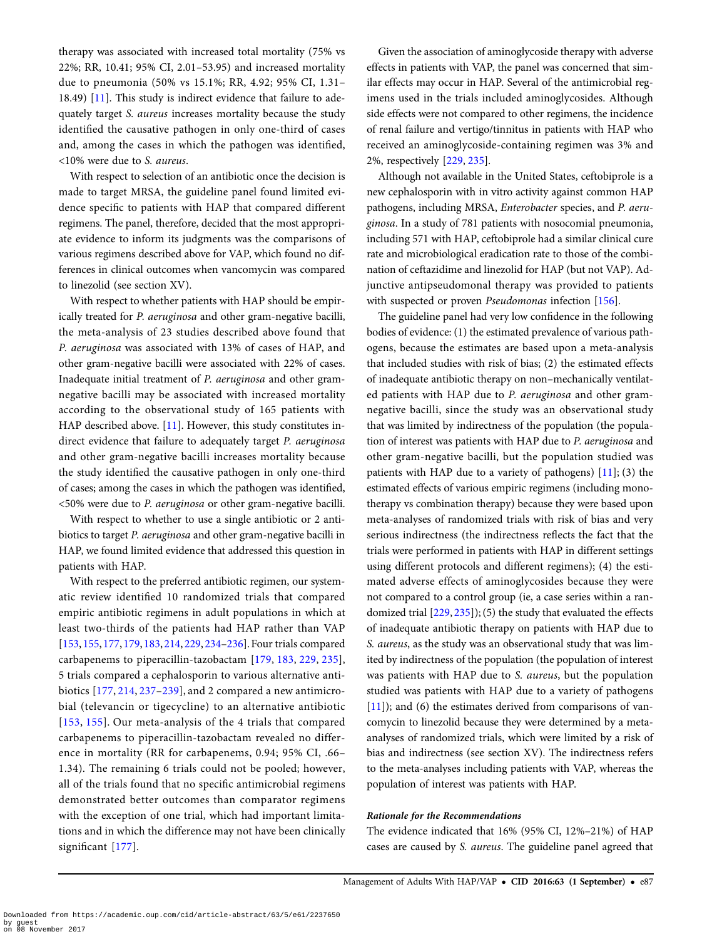therapy was associated with increased total mortality (75% vs 22%; RR, 10.41; 95% CI, 2.01–53.95) and increased mortality due to pneumonia (50% vs 15.1%; RR, 4.92; 95% CI, 1.31– 18.49) [[11\]](#page-43-0). This study is indirect evidence that failure to adequately target S. aureus increases mortality because the study identified the causative pathogen in only one-third of cases and, among the cases in which the pathogen was identified, <10% were due to S. aureus.

With respect to selection of an antibiotic once the decision is made to target MRSA, the guideline panel found limited evidence specific to patients with HAP that compared different regimens. The panel, therefore, decided that the most appropriate evidence to inform its judgments was the comparisons of various regimens described above for VAP, which found no differences in clinical outcomes when vancomycin was compared to linezolid (see section XV).

With respect to whether patients with HAP should be empirically treated for P. aeruginosa and other gram-negative bacilli, the meta-analysis of 23 studies described above found that P. aeruginosa was associated with 13% of cases of HAP, and other gram-negative bacilli were associated with 22% of cases. Inadequate initial treatment of P. aeruginosa and other gramnegative bacilli may be associated with increased mortality according to the observational study of 165 patients with HAP described above. [[11\]](#page-43-0). However, this study constitutes indirect evidence that failure to adequately target P. aeruginosa and other gram-negative bacilli increases mortality because the study identified the causative pathogen in only one-third of cases; among the cases in which the pathogen was identified, <50% were due to P. aeruginosa or other gram-negative bacilli.

With respect to whether to use a single antibiotic or 2 antibiotics to target P. aeruginosa and other gram-negative bacilli in HAP, we found limited evidence that addressed this question in patients with HAP.

With respect to the preferred antibiotic regimen, our systematic review identified 10 randomized trials that compared empiric antibiotic regimens in adult populations in which at least two-thirds of the patients had HAP rather than VAP [\[153,](#page-46-0) [155,](#page-46-0) [177,](#page-46-0) [179,](#page-46-0) [183,](#page-46-0) [214,](#page-47-0) [229,](#page-47-0) [234](#page-47-0)–[236](#page-47-0)]. Four trials compared carbapenems to piperacillin-tazobactam [\[179](#page-46-0), [183](#page-46-0), [229,](#page-47-0) [235](#page-47-0)], 5 trials compared a cephalosporin to various alternative antibiotics [\[177,](#page-46-0) [214](#page-47-0), [237](#page-47-0)–[239](#page-47-0)], and 2 compared a new antimicrobial (televancin or tigecycline) to an alternative antibiotic [\[153,](#page-46-0) [155](#page-46-0)]. Our meta-analysis of the 4 trials that compared carbapenems to piperacillin-tazobactam revealed no difference in mortality (RR for carbapenems, 0.94; 95% CI, .66– 1.34). The remaining 6 trials could not be pooled; however, all of the trials found that no specific antimicrobial regimens demonstrated better outcomes than comparator regimens with the exception of one trial, which had important limitations and in which the difference may not have been clinically significant [\[177](#page-46-0)].

Given the association of aminoglycoside therapy with adverse effects in patients with VAP, the panel was concerned that similar effects may occur in HAP. Several of the antimicrobial regimens used in the trials included aminoglycosides. Although side effects were not compared to other regimens, the incidence of renal failure and vertigo/tinnitus in patients with HAP who received an aminoglycoside-containing regimen was 3% and 2%, respectively [\[229](#page-47-0), [235\]](#page-47-0).

Although not available in the United States, ceftobiprole is a new cephalosporin with in vitro activity against common HAP pathogens, including MRSA, Enterobacter species, and P. aeruginosa. In a study of 781 patients with nosocomial pneumonia, including 571 with HAP, ceftobiprole had a similar clinical cure rate and microbiological eradication rate to those of the combination of ceftazidime and linezolid for HAP (but not VAP). Adjunctive antipseudomonal therapy was provided to patients with suspected or proven *Pseudomonas* infection [[156\]](#page-46-0).

The guideline panel had very low confidence in the following bodies of evidence: (1) the estimated prevalence of various pathogens, because the estimates are based upon a meta-analysis that included studies with risk of bias; (2) the estimated effects of inadequate antibiotic therapy on non–mechanically ventilated patients with HAP due to P. aeruginosa and other gramnegative bacilli, since the study was an observational study that was limited by indirectness of the population (the population of interest was patients with HAP due to P. aeruginosa and other gram-negative bacilli, but the population studied was patients with HAP due to a variety of pathogens)  $[11]$  $[11]$ ; (3) the estimated effects of various empiric regimens (including monotherapy vs combination therapy) because they were based upon meta-analyses of randomized trials with risk of bias and very serious indirectness (the indirectness reflects the fact that the trials were performed in patients with HAP in different settings using different protocols and different regimens); (4) the estimated adverse effects of aminoglycosides because they were not compared to a control group (ie, a case series within a randomized trial [[229](#page-47-0), [235\]](#page-47-0)); (5) the study that evaluated the effects of inadequate antibiotic therapy on patients with HAP due to S. aureus, as the study was an observational study that was limited by indirectness of the population (the population of interest was patients with HAP due to S. aureus, but the population studied was patients with HAP due to a variety of pathogens [\[11](#page-43-0)]); and (6) the estimates derived from comparisons of vancomycin to linezolid because they were determined by a metaanalyses of randomized trials, which were limited by a risk of bias and indirectness (see section XV). The indirectness refers to the meta-analyses including patients with VAP, whereas the population of interest was patients with HAP.

#### Rationale for the Recommendations

The evidence indicated that 16% (95% CI, 12%–21%) of HAP cases are caused by S. aureus. The guideline panel agreed that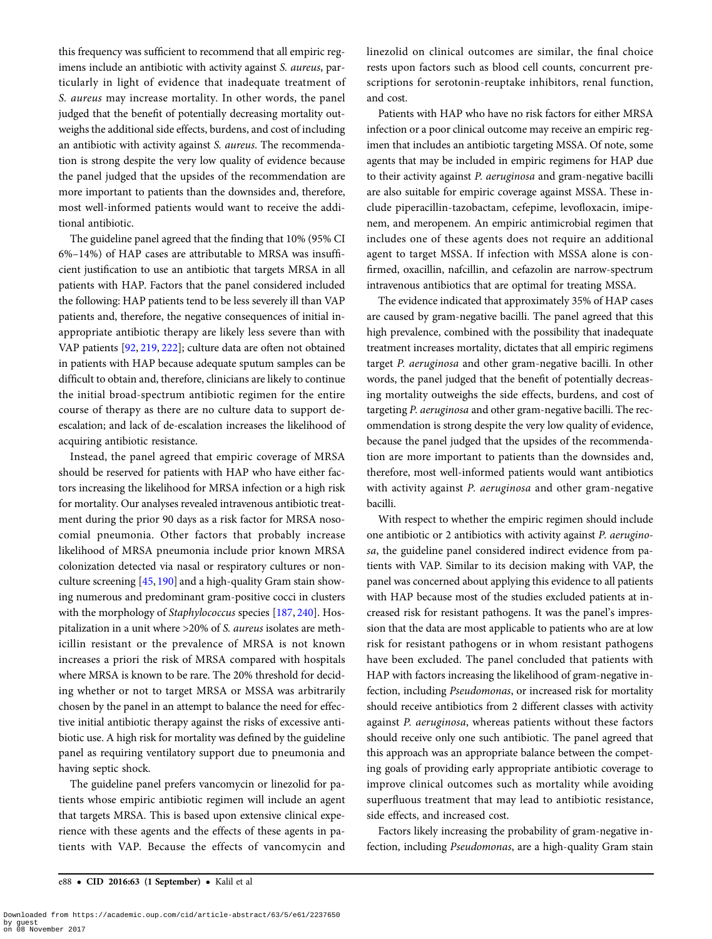this frequency was sufficient to recommend that all empiric regimens include an antibiotic with activity against S. aureus, particularly in light of evidence that inadequate treatment of S. aureus may increase mortality. In other words, the panel judged that the benefit of potentially decreasing mortality outweighs the additional side effects, burdens, and cost of including an antibiotic with activity against S. aureus. The recommendation is strong despite the very low quality of evidence because the panel judged that the upsides of the recommendation are more important to patients than the downsides and, therefore, most well-informed patients would want to receive the additional antibiotic.

The guideline panel agreed that the finding that 10% (95% CI 6%–14%) of HAP cases are attributable to MRSA was insufficient justification to use an antibiotic that targets MRSA in all patients with HAP. Factors that the panel considered included the following: HAP patients tend to be less severely ill than VAP patients and, therefore, the negative consequences of initial inappropriate antibiotic therapy are likely less severe than with VAP patients [\[92](#page-44-0), [219,](#page-47-0) [222](#page-47-0)]; culture data are often not obtained in patients with HAP because adequate sputum samples can be difficult to obtain and, therefore, clinicians are likely to continue the initial broad-spectrum antibiotic regimen for the entire course of therapy as there are no culture data to support deescalation; and lack of de-escalation increases the likelihood of acquiring antibiotic resistance.

Instead, the panel agreed that empiric coverage of MRSA should be reserved for patients with HAP who have either factors increasing the likelihood for MRSA infection or a high risk for mortality. Our analyses revealed intravenous antibiotic treatment during the prior 90 days as a risk factor for MRSA nosocomial pneumonia. Other factors that probably increase likelihood of MRSA pneumonia include prior known MRSA colonization detected via nasal or respiratory cultures or nonculture screening [[45,](#page-43-0) [190\]](#page-46-0) and a high-quality Gram stain showing numerous and predominant gram-positive cocci in clusters with the morphology of Staphylococcus species [\[187](#page-46-0), [240](#page-47-0)]. Hospitalization in a unit where >20% of S. aureus isolates are methicillin resistant or the prevalence of MRSA is not known increases a priori the risk of MRSA compared with hospitals where MRSA is known to be rare. The 20% threshold for deciding whether or not to target MRSA or MSSA was arbitrarily chosen by the panel in an attempt to balance the need for effective initial antibiotic therapy against the risks of excessive antibiotic use. A high risk for mortality was defined by the guideline panel as requiring ventilatory support due to pneumonia and having septic shock.

The guideline panel prefers vancomycin or linezolid for patients whose empiric antibiotic regimen will include an agent that targets MRSA. This is based upon extensive clinical experience with these agents and the effects of these agents in patients with VAP. Because the effects of vancomycin and linezolid on clinical outcomes are similar, the final choice rests upon factors such as blood cell counts, concurrent prescriptions for serotonin-reuptake inhibitors, renal function, and cost.

Patients with HAP who have no risk factors for either MRSA infection or a poor clinical outcome may receive an empiric regimen that includes an antibiotic targeting MSSA. Of note, some agents that may be included in empiric regimens for HAP due to their activity against P. aeruginosa and gram-negative bacilli are also suitable for empiric coverage against MSSA. These include piperacillin-tazobactam, cefepime, levofloxacin, imipenem, and meropenem. An empiric antimicrobial regimen that includes one of these agents does not require an additional agent to target MSSA. If infection with MSSA alone is confirmed, oxacillin, nafcillin, and cefazolin are narrow-spectrum intravenous antibiotics that are optimal for treating MSSA.

The evidence indicated that approximately 35% of HAP cases are caused by gram-negative bacilli. The panel agreed that this high prevalence, combined with the possibility that inadequate treatment increases mortality, dictates that all empiric regimens target P. aeruginosa and other gram-negative bacilli. In other words, the panel judged that the benefit of potentially decreasing mortality outweighs the side effects, burdens, and cost of targeting P. aeruginosa and other gram-negative bacilli. The recommendation is strong despite the very low quality of evidence, because the panel judged that the upsides of the recommendation are more important to patients than the downsides and, therefore, most well-informed patients would want antibiotics with activity against P. aeruginosa and other gram-negative bacilli.

With respect to whether the empiric regimen should include one antibiotic or 2 antibiotics with activity against P. aeruginosa, the guideline panel considered indirect evidence from patients with VAP. Similar to its decision making with VAP, the panel was concerned about applying this evidence to all patients with HAP because most of the studies excluded patients at increased risk for resistant pathogens. It was the panel's impression that the data are most applicable to patients who are at low risk for resistant pathogens or in whom resistant pathogens have been excluded. The panel concluded that patients with HAP with factors increasing the likelihood of gram-negative infection, including Pseudomonas, or increased risk for mortality should receive antibiotics from 2 different classes with activity against P. aeruginosa, whereas patients without these factors should receive only one such antibiotic. The panel agreed that this approach was an appropriate balance between the competing goals of providing early appropriate antibiotic coverage to improve clinical outcomes such as mortality while avoiding superfluous treatment that may lead to antibiotic resistance, side effects, and increased cost.

Factors likely increasing the probability of gram-negative infection, including Pseudomonas, are a high-quality Gram stain

e88 • CID 2016:63 (1 September) • Kalil et al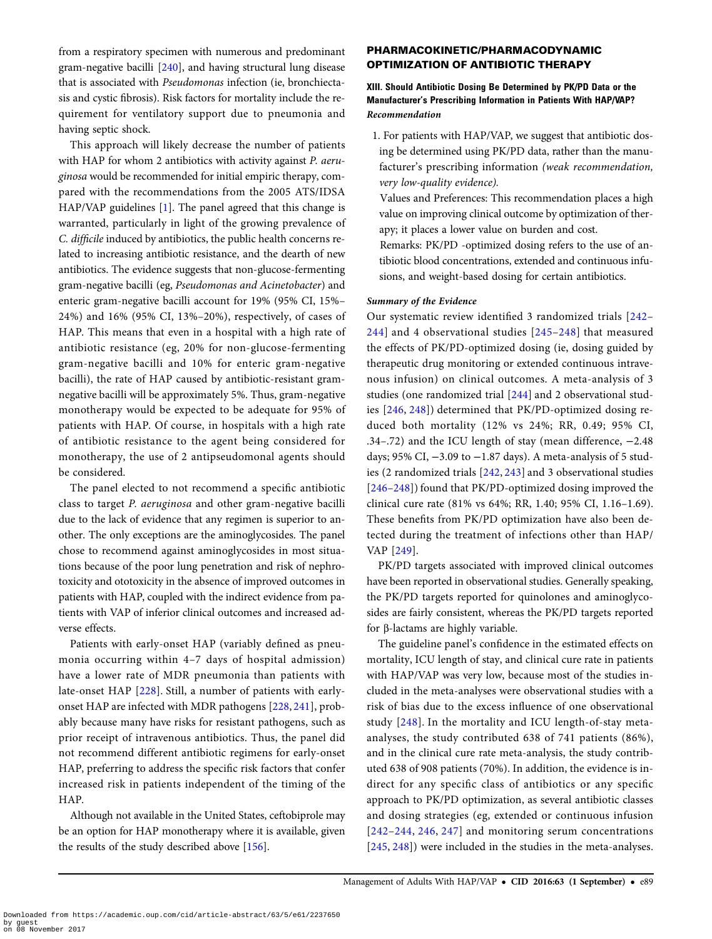from a respiratory specimen with numerous and predominant gram-negative bacilli [[240\]](#page-47-0), and having structural lung disease that is associated with Pseudomonas infection (ie, bronchiectasis and cystic fibrosis). Risk factors for mortality include the requirement for ventilatory support due to pneumonia and having septic shock.

This approach will likely decrease the number of patients with HAP for whom 2 antibiotics with activity against P. aeruginosa would be recommended for initial empiric therapy, compared with the recommendations from the 2005 ATS/IDSA HAP/VAP guidelines [[1](#page-42-0)]. The panel agreed that this change is warranted, particularly in light of the growing prevalence of C. difficile induced by antibiotics, the public health concerns related to increasing antibiotic resistance, and the dearth of new antibiotics. The evidence suggests that non-glucose-fermenting gram-negative bacilli (eg, Pseudomonas and Acinetobacter) and enteric gram-negative bacilli account for 19% (95% CI, 15%– 24%) and 16% (95% CI, 13%–20%), respectively, of cases of HAP. This means that even in a hospital with a high rate of antibiotic resistance (eg, 20% for non-glucose-fermenting gram-negative bacilli and 10% for enteric gram-negative bacilli), the rate of HAP caused by antibiotic-resistant gramnegative bacilli will be approximately 5%. Thus, gram-negative monotherapy would be expected to be adequate for 95% of patients with HAP. Of course, in hospitals with a high rate of antibiotic resistance to the agent being considered for monotherapy, the use of 2 antipseudomonal agents should be considered.

The panel elected to not recommend a specific antibiotic class to target P. aeruginosa and other gram-negative bacilli due to the lack of evidence that any regimen is superior to another. The only exceptions are the aminoglycosides. The panel chose to recommend against aminoglycosides in most situations because of the poor lung penetration and risk of nephrotoxicity and ototoxicity in the absence of improved outcomes in patients with HAP, coupled with the indirect evidence from patients with VAP of inferior clinical outcomes and increased adverse effects.

Patients with early-onset HAP (variably defined as pneumonia occurring within 4–7 days of hospital admission) have a lower rate of MDR pneumonia than patients with late-onset HAP [\[228](#page-47-0)]. Still, a number of patients with earlyonset HAP are infected with MDR pathogens [\[228](#page-47-0), [241\]](#page-47-0), probably because many have risks for resistant pathogens, such as prior receipt of intravenous antibiotics. Thus, the panel did not recommend different antibiotic regimens for early-onset HAP, preferring to address the specific risk factors that confer increased risk in patients independent of the timing of the HAP.

Although not available in the United States, ceftobiprole may be an option for HAP monotherapy where it is available, given the results of the study described above [[156\]](#page-46-0).

## PHARMACOKINETIC/PHARMACODYNAMIC OPTIMIZATION OF ANTIBIOTIC THERAPY

XIII. Should Antibiotic Dosing Be Determined by PK/PD Data or the Manufacturer's Prescribing Information in Patients With HAP/VAP? Recommendation

- 1. For patients with HAP/VAP, we suggest that antibiotic dosing be determined using PK/PD data, rather than the manufacturer's prescribing information (weak recommendation, very low-quality evidence).
	- Values and Preferences: This recommendation places a high value on improving clinical outcome by optimization of therapy; it places a lower value on burden and cost.

Remarks: PK/PD -optimized dosing refers to the use of antibiotic blood concentrations, extended and continuous infusions, and weight-based dosing for certain antibiotics.

#### Summary of the Evidence

Our systematic review identified 3 randomized trials [[242](#page-47-0)– [244\]](#page-47-0) and 4 observational studies [\[245](#page-48-0)–[248\]](#page-48-0) that measured the effects of PK/PD-optimized dosing (ie, dosing guided by therapeutic drug monitoring or extended continuous intravenous infusion) on clinical outcomes. A meta-analysis of 3 studies (one randomized trial [[244\]](#page-47-0) and 2 observational studies [[246,](#page-48-0) [248\]](#page-48-0)) determined that PK/PD-optimized dosing reduced both mortality (12% vs 24%; RR, 0.49; 95% CI, .34–.72) and the ICU length of stay (mean difference, −2.48 days; 95% CI, −3.09 to −1.87 days). A meta-analysis of 5 studies (2 randomized trials [\[242](#page-47-0), [243\]](#page-47-0) and 3 observational studies [\[246](#page-48-0)–[248](#page-48-0)]) found that PK/PD-optimized dosing improved the clinical cure rate (81% vs 64%; RR, 1.40; 95% CI, 1.16–1.69). These benefits from PK/PD optimization have also been detected during the treatment of infections other than HAP/ VAP [[249\]](#page-48-0).

PK/PD targets associated with improved clinical outcomes have been reported in observational studies. Generally speaking, the PK/PD targets reported for quinolones and aminoglycosides are fairly consistent, whereas the PK/PD targets reported for β-lactams are highly variable.

The guideline panel's confidence in the estimated effects on mortality, ICU length of stay, and clinical cure rate in patients with HAP/VAP was very low, because most of the studies included in the meta-analyses were observational studies with a risk of bias due to the excess influence of one observational study [[248\]](#page-48-0). In the mortality and ICU length-of-stay metaanalyses, the study contributed 638 of 741 patients (86%), and in the clinical cure rate meta-analysis, the study contributed 638 of 908 patients (70%). In addition, the evidence is indirect for any specific class of antibiotics or any specific approach to PK/PD optimization, as several antibiotic classes and dosing strategies (eg, extended or continuous infusion [\[242](#page-47-0)–[244,](#page-47-0) [246](#page-48-0), [247\]](#page-48-0) and monitoring serum concentrations [\[245](#page-48-0), [248](#page-48-0)]) were included in the studies in the meta-analyses.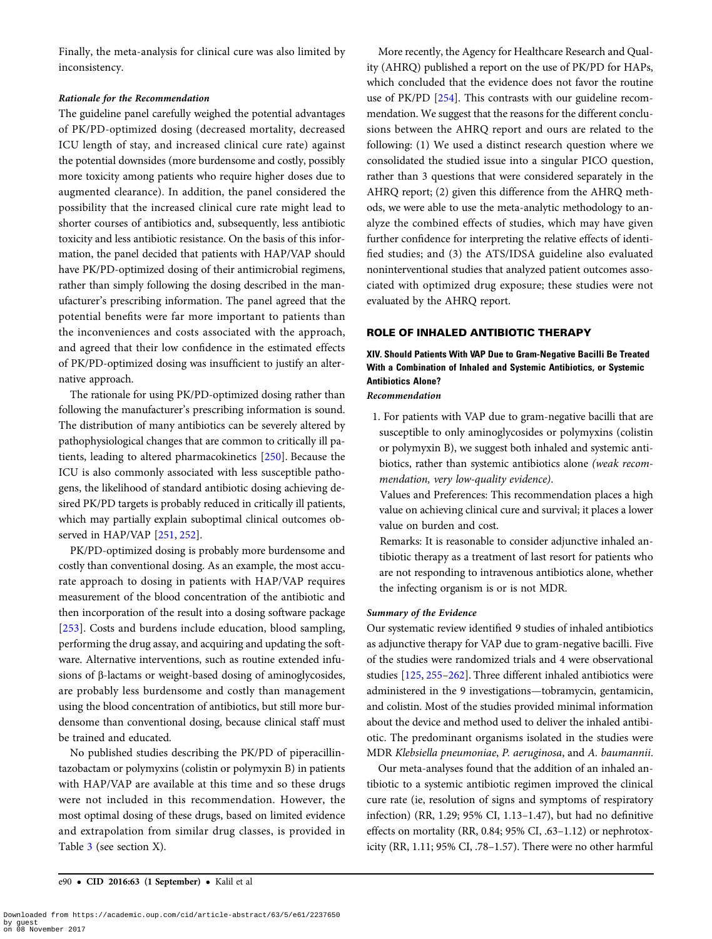Finally, the meta-analysis for clinical cure was also limited by inconsistency.

#### Rationale for the Recommendation

The guideline panel carefully weighed the potential advantages of PK/PD-optimized dosing (decreased mortality, decreased ICU length of stay, and increased clinical cure rate) against the potential downsides (more burdensome and costly, possibly more toxicity among patients who require higher doses due to augmented clearance). In addition, the panel considered the possibility that the increased clinical cure rate might lead to shorter courses of antibiotics and, subsequently, less antibiotic toxicity and less antibiotic resistance. On the basis of this information, the panel decided that patients with HAP/VAP should have PK/PD-optimized dosing of their antimicrobial regimens, rather than simply following the dosing described in the manufacturer's prescribing information. The panel agreed that the potential benefits were far more important to patients than the inconveniences and costs associated with the approach, and agreed that their low confidence in the estimated effects of PK/PD-optimized dosing was insufficient to justify an alternative approach.

The rationale for using PK/PD-optimized dosing rather than following the manufacturer's prescribing information is sound. The distribution of many antibiotics can be severely altered by pathophysiological changes that are common to critically ill patients, leading to altered pharmacokinetics [[250\]](#page-48-0). Because the ICU is also commonly associated with less susceptible pathogens, the likelihood of standard antibiotic dosing achieving desired PK/PD targets is probably reduced in critically ill patients, which may partially explain suboptimal clinical outcomes observed in HAP/VAP [[251,](#page-48-0) [252](#page-48-0)].

PK/PD-optimized dosing is probably more burdensome and costly than conventional dosing. As an example, the most accurate approach to dosing in patients with HAP/VAP requires measurement of the blood concentration of the antibiotic and then incorporation of the result into a dosing software package [\[253](#page-48-0)]. Costs and burdens include education, blood sampling, performing the drug assay, and acquiring and updating the software. Alternative interventions, such as routine extended infusions of β-lactams or weight-based dosing of aminoglycosides, are probably less burdensome and costly than management using the blood concentration of antibiotics, but still more burdensome than conventional dosing, because clinical staff must be trained and educated.

No published studies describing the PK/PD of piperacillintazobactam or polymyxins (colistin or polymyxin B) in patients with HAP/VAP are available at this time and so these drugs were not included in this recommendation. However, the most optimal dosing of these drugs, based on limited evidence and extrapolation from similar drug classes, is provided in Table [3](#page-3-0) (see section X).

More recently, the Agency for Healthcare Research and Quality (AHRQ) published a report on the use of PK/PD for HAPs, which concluded that the evidence does not favor the routine use of PK/PD [\[254\]](#page-48-0). This contrasts with our guideline recommendation. We suggest that the reasons for the different conclusions between the AHRQ report and ours are related to the following: (1) We used a distinct research question where we consolidated the studied issue into a singular PICO question, rather than 3 questions that were considered separately in the AHRQ report; (2) given this difference from the AHRQ methods, we were able to use the meta-analytic methodology to analyze the combined effects of studies, which may have given further confidence for interpreting the relative effects of identified studies; and (3) the ATS/IDSA guideline also evaluated noninterventional studies that analyzed patient outcomes associated with optimized drug exposure; these studies were not evaluated by the AHRQ report.

## ROLE OF INHALED ANTIBIOTIC THERAPY

# XIV. Should Patients With VAP Due to Gram-Negative Bacilli Be Treated With a Combination of Inhaled and Systemic Antibiotics, or Systemic Antibiotics Alone?

## Recommendation

1. For patients with VAP due to gram-negative bacilli that are susceptible to only aminoglycosides or polymyxins (colistin or polymyxin B), we suggest both inhaled and systemic antibiotics, rather than systemic antibiotics alone (weak recommendation, very low-quality evidence).

Values and Preferences: This recommendation places a high value on achieving clinical cure and survival; it places a lower value on burden and cost.

Remarks: It is reasonable to consider adjunctive inhaled antibiotic therapy as a treatment of last resort for patients who are not responding to intravenous antibiotics alone, whether the infecting organism is or is not MDR.

#### Summary of the Evidence

Our systematic review identified 9 studies of inhaled antibiotics as adjunctive therapy for VAP due to gram-negative bacilli. Five of the studies were randomized trials and 4 were observational studies [[125](#page-45-0), [255](#page-48-0)–[262\]](#page-48-0). Three different inhaled antibiotics were administered in the 9 investigations—tobramycin, gentamicin, and colistin. Most of the studies provided minimal information about the device and method used to deliver the inhaled antibiotic. The predominant organisms isolated in the studies were MDR Klebsiella pneumoniae, P. aeruginosa, and A. baumannii.

Our meta-analyses found that the addition of an inhaled antibiotic to a systemic antibiotic regimen improved the clinical cure rate (ie, resolution of signs and symptoms of respiratory infection) (RR, 1.29; 95% CI, 1.13–1.47), but had no definitive effects on mortality (RR, 0.84; 95% CI, .63–1.12) or nephrotoxicity (RR, 1.11; 95% CI, .78–1.57). There were no other harmful

e90 • CID 2016:63 (1 September) • Kalil et al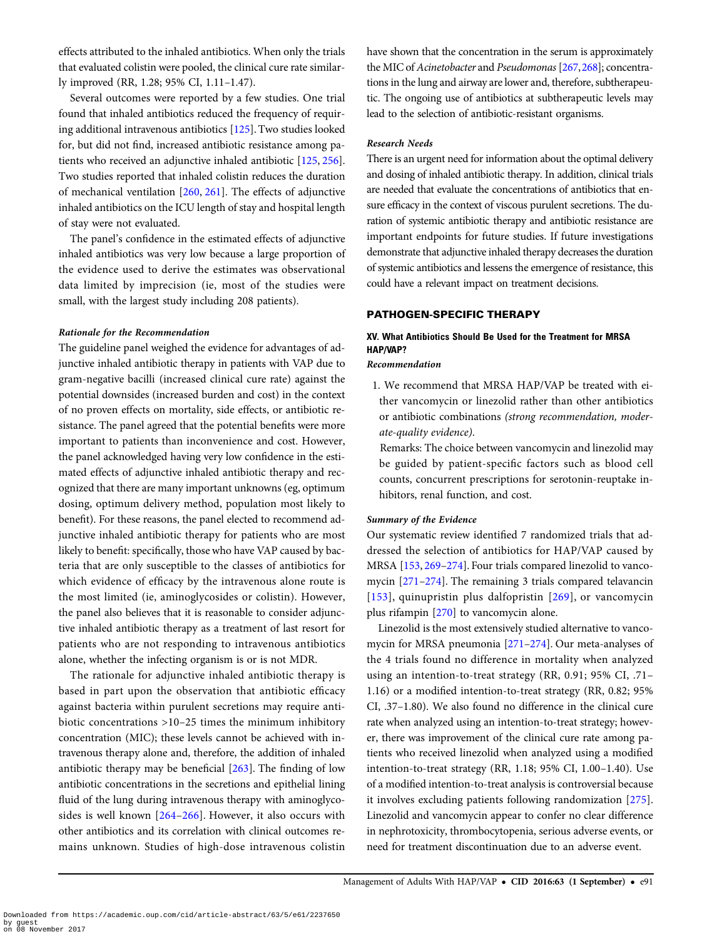effects attributed to the inhaled antibiotics. When only the trials that evaluated colistin were pooled, the clinical cure rate similarly improved (RR, 1.28; 95% CI, 1.11–1.47).

Several outcomes were reported by a few studies. One trial found that inhaled antibiotics reduced the frequency of requiring additional intravenous antibiotics [[125\]](#page-45-0). Two studies looked for, but did not find, increased antibiotic resistance among patients who received an adjunctive inhaled antibiotic [\[125,](#page-45-0) [256\]](#page-48-0). Two studies reported that inhaled colistin reduces the duration of mechanical ventilation [[260](#page-48-0), [261\]](#page-48-0). The effects of adjunctive inhaled antibiotics on the ICU length of stay and hospital length of stay were not evaluated.

The panel's confidence in the estimated effects of adjunctive inhaled antibiotics was very low because a large proportion of the evidence used to derive the estimates was observational data limited by imprecision (ie, most of the studies were small, with the largest study including 208 patients).

#### Rationale for the Recommendation

The guideline panel weighed the evidence for advantages of adjunctive inhaled antibiotic therapy in patients with VAP due to gram-negative bacilli (increased clinical cure rate) against the potential downsides (increased burden and cost) in the context of no proven effects on mortality, side effects, or antibiotic resistance. The panel agreed that the potential benefits were more important to patients than inconvenience and cost. However, the panel acknowledged having very low confidence in the estimated effects of adjunctive inhaled antibiotic therapy and recognized that there are many important unknowns (eg, optimum dosing, optimum delivery method, population most likely to benefit). For these reasons, the panel elected to recommend adjunctive inhaled antibiotic therapy for patients who are most likely to benefit: specifically, those who have VAP caused by bacteria that are only susceptible to the classes of antibiotics for which evidence of efficacy by the intravenous alone route is the most limited (ie, aminoglycosides or colistin). However, the panel also believes that it is reasonable to consider adjunctive inhaled antibiotic therapy as a treatment of last resort for patients who are not responding to intravenous antibiotics alone, whether the infecting organism is or is not MDR.

The rationale for adjunctive inhaled antibiotic therapy is based in part upon the observation that antibiotic efficacy against bacteria within purulent secretions may require antibiotic concentrations >10–25 times the minimum inhibitory concentration (MIC); these levels cannot be achieved with intravenous therapy alone and, therefore, the addition of inhaled antibiotic therapy may be beneficial [[263\]](#page-48-0). The finding of low antibiotic concentrations in the secretions and epithelial lining fluid of the lung during intravenous therapy with aminoglycosides is well known [[264](#page-48-0)–[266](#page-48-0)]. However, it also occurs with other antibiotics and its correlation with clinical outcomes remains unknown. Studies of high-dose intravenous colistin

have shown that the concentration in the serum is approximately the MIC of Acinetobacter and Pseudomonas [\[267](#page-48-0),[268\]](#page-48-0); concentrations in the lung and airway are lower and, therefore, subtherapeutic. The ongoing use of antibiotics at subtherapeutic levels may lead to the selection of antibiotic-resistant organisms.

## Research Needs

There is an urgent need for information about the optimal delivery and dosing of inhaled antibiotic therapy. In addition, clinical trials are needed that evaluate the concentrations of antibiotics that ensure efficacy in the context of viscous purulent secretions. The duration of systemic antibiotic therapy and antibiotic resistance are important endpoints for future studies. If future investigations demonstrate that adjunctive inhaled therapy decreases the duration of systemic antibiotics and lessens the emergence of resistance, this could have a relevant impact on treatment decisions.

## PATHOGEN-SPECIFIC THERAPY

## XV. What Antibiotics Should Be Used for the Treatment for MRSA HAP/VAP?

## Recommendation

1. We recommend that MRSA HAP/VAP be treated with either vancomycin or linezolid rather than other antibiotics or antibiotic combinations (strong recommendation, moderate-quality evidence).

Remarks: The choice between vancomycin and linezolid may be guided by patient-specific factors such as blood cell counts, concurrent prescriptions for serotonin-reuptake inhibitors, renal function, and cost.

#### Summary of the Evidence

Our systematic review identified 7 randomized trials that addressed the selection of antibiotics for HAP/VAP caused by MRSA [[153](#page-46-0), [269](#page-48-0)–[274](#page-48-0)]. Four trials compared linezolid to vancomycin [[271](#page-48-0)–[274](#page-48-0)]. The remaining 3 trials compared telavancin [\[153\]](#page-46-0), quinupristin plus dalfopristin [[269](#page-48-0)], or vancomycin plus rifampin [[270\]](#page-48-0) to vancomycin alone.

Linezolid is the most extensively studied alternative to vancomycin for MRSA pneumonia [[271](#page-48-0)–[274\]](#page-48-0). Our meta-analyses of the 4 trials found no difference in mortality when analyzed using an intention-to-treat strategy (RR, 0.91; 95% CI, .71– 1.16) or a modified intention-to-treat strategy (RR, 0.82; 95% CI, .37–1.80). We also found no difference in the clinical cure rate when analyzed using an intention-to-treat strategy; however, there was improvement of the clinical cure rate among patients who received linezolid when analyzed using a modified intention-to-treat strategy (RR, 1.18; 95% CI, 1.00–1.40). Use of a modified intention-to-treat analysis is controversial because it involves excluding patients following randomization [[275](#page-48-0)]. Linezolid and vancomycin appear to confer no clear difference in nephrotoxicity, thrombocytopenia, serious adverse events, or need for treatment discontinuation due to an adverse event.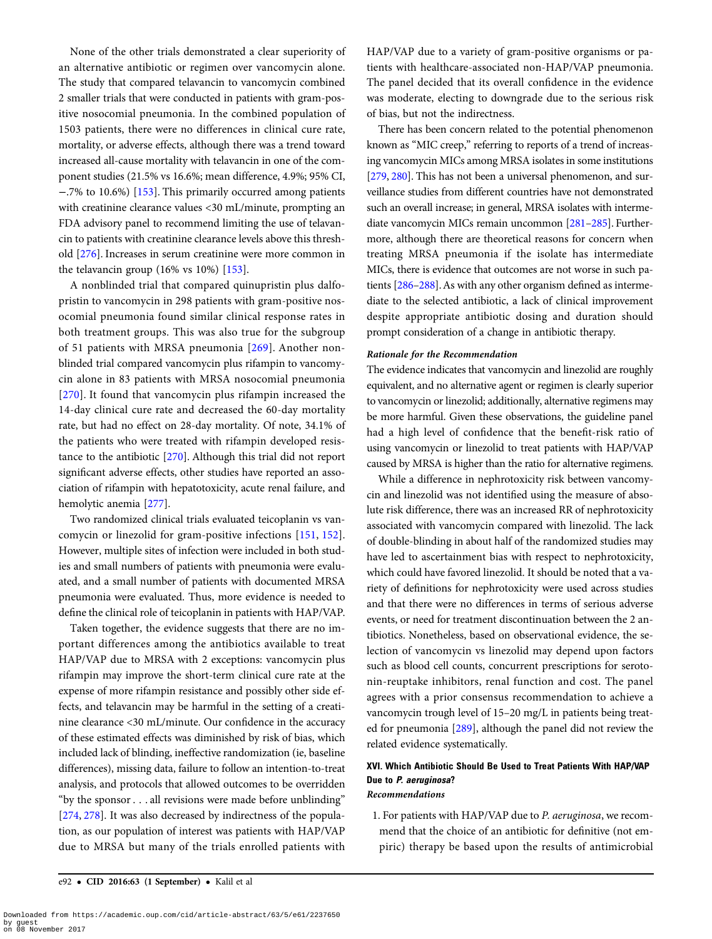None of the other trials demonstrated a clear superiority of an alternative antibiotic or regimen over vancomycin alone. The study that compared telavancin to vancomycin combined 2 smaller trials that were conducted in patients with gram-positive nosocomial pneumonia. In the combined population of 1503 patients, there were no differences in clinical cure rate, mortality, or adverse effects, although there was a trend toward increased all-cause mortality with telavancin in one of the component studies (21.5% vs 16.6%; mean difference, 4.9%; 95% CI, −.7% to 10.6%) [[153](#page-46-0)]. This primarily occurred among patients with creatinine clearance values <30 mL/minute, prompting an FDA advisory panel to recommend limiting the use of telavancin to patients with creatinine clearance levels above this threshold [[276\]](#page-48-0). Increases in serum creatinine were more common in the telavancin group  $(16\% \text{ vs } 10\%)$   $[153]$  $[153]$ .

A nonblinded trial that compared quinupristin plus dalfopristin to vancomycin in 298 patients with gram-positive nosocomial pneumonia found similar clinical response rates in both treatment groups. This was also true for the subgroup of 51 patients with MRSA pneumonia [[269](#page-48-0)]. Another nonblinded trial compared vancomycin plus rifampin to vancomycin alone in 83 patients with MRSA nosocomial pneumonia [\[270](#page-48-0)]. It found that vancomycin plus rifampin increased the 14-day clinical cure rate and decreased the 60-day mortality rate, but had no effect on 28-day mortality. Of note, 34.1% of the patients who were treated with rifampin developed resistance to the antibiotic [\[270\]](#page-48-0). Although this trial did not report significant adverse effects, other studies have reported an association of rifampin with hepatotoxicity, acute renal failure, and hemolytic anemia [\[277\]](#page-48-0).

Two randomized clinical trials evaluated teicoplanin vs vancomycin or linezolid for gram-positive infections [[151,](#page-45-0) [152](#page-46-0)]. However, multiple sites of infection were included in both studies and small numbers of patients with pneumonia were evaluated, and a small number of patients with documented MRSA pneumonia were evaluated. Thus, more evidence is needed to define the clinical role of teicoplanin in patients with HAP/VAP.

Taken together, the evidence suggests that there are no important differences among the antibiotics available to treat HAP/VAP due to MRSA with 2 exceptions: vancomycin plus rifampin may improve the short-term clinical cure rate at the expense of more rifampin resistance and possibly other side effects, and telavancin may be harmful in the setting of a creatinine clearance <30 mL/minute. Our confidence in the accuracy of these estimated effects was diminished by risk of bias, which included lack of blinding, ineffective randomization (ie, baseline differences), missing data, failure to follow an intention-to-treat analysis, and protocols that allowed outcomes to be overridden "by the sponsor . . . all revisions were made before unblinding" [\[274,](#page-48-0) [278\]](#page-48-0). It was also decreased by indirectness of the population, as our population of interest was patients with HAP/VAP due to MRSA but many of the trials enrolled patients with

HAP/VAP due to a variety of gram-positive organisms or patients with healthcare-associated non-HAP/VAP pneumonia. The panel decided that its overall confidence in the evidence was moderate, electing to downgrade due to the serious risk of bias, but not the indirectness.

There has been concern related to the potential phenomenon known as "MIC creep," referring to reports of a trend of increasing vancomycin MICs among MRSA isolates in some institutions [\[279,](#page-48-0) [280\]](#page-48-0). This has not been a universal phenomenon, and surveillance studies from different countries have not demonstrated such an overall increase; in general, MRSA isolates with intermediate vancomycin MICs remain uncommon [\[281](#page-48-0)–[285\]](#page-48-0). Furthermore, although there are theoretical reasons for concern when treating MRSA pneumonia if the isolate has intermediate MICs, there is evidence that outcomes are not worse in such patients [\[286](#page-48-0)–[288\]](#page-49-0).As with any other organism defined as intermediate to the selected antibiotic, a lack of clinical improvement despite appropriate antibiotic dosing and duration should prompt consideration of a change in antibiotic therapy.

## Rationale for the Recommendation

The evidence indicates that vancomycin and linezolid are roughly equivalent, and no alternative agent or regimen is clearly superior to vancomycin or linezolid; additionally, alternative regimens may be more harmful. Given these observations, the guideline panel had a high level of confidence that the benefit-risk ratio of using vancomycin or linezolid to treat patients with HAP/VAP caused by MRSA is higher than the ratio for alternative regimens.

While a difference in nephrotoxicity risk between vancomycin and linezolid was not identified using the measure of absolute risk difference, there was an increased RR of nephrotoxicity associated with vancomycin compared with linezolid. The lack of double-blinding in about half of the randomized studies may have led to ascertainment bias with respect to nephrotoxicity, which could have favored linezolid. It should be noted that a variety of definitions for nephrotoxicity were used across studies and that there were no differences in terms of serious adverse events, or need for treatment discontinuation between the 2 antibiotics. Nonetheless, based on observational evidence, the selection of vancomycin vs linezolid may depend upon factors such as blood cell counts, concurrent prescriptions for serotonin-reuptake inhibitors, renal function and cost. The panel agrees with a prior consensus recommendation to achieve a vancomycin trough level of 15–20 mg/L in patients being treated for pneumonia [\[289\]](#page-49-0), although the panel did not review the related evidence systematically.

## XVI. Which Antibiotic Should Be Used to Treat Patients With HAP/VAP Due to P. aeruginosa? Recommendations

1. For patients with HAP/VAP due to P. aeruginosa, we recommend that the choice of an antibiotic for definitive (not empiric) therapy be based upon the results of antimicrobial

e92 • CID 2016:63 (1 September) • Kalil et al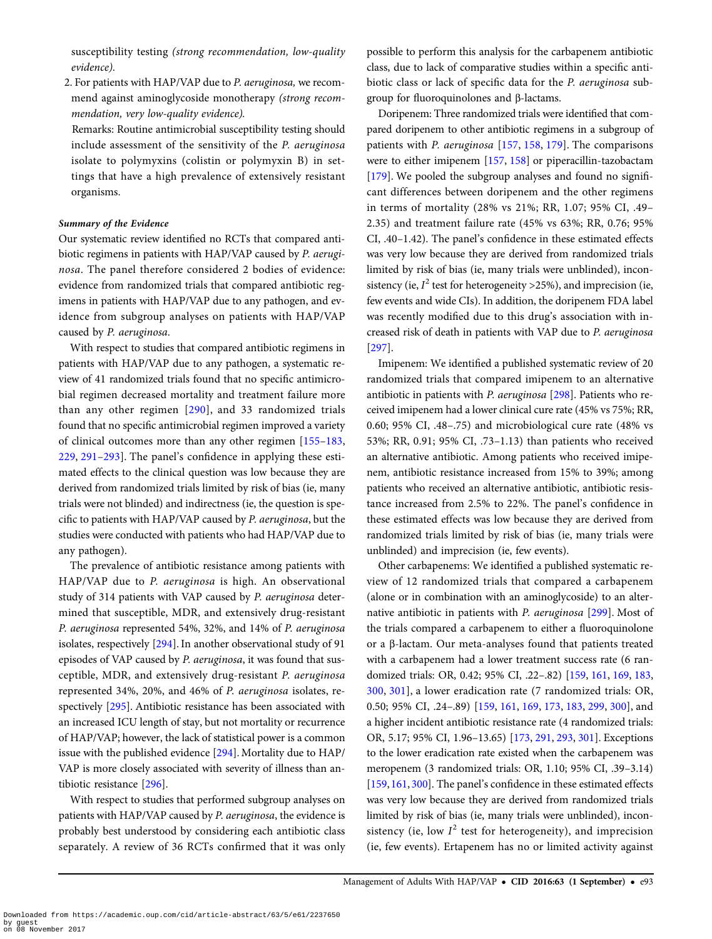susceptibility testing (strong recommendation, low-quality evidence).

2. For patients with HAP/VAP due to P. aeruginosa, we recommend against aminoglycoside monotherapy (strong recommendation, very low-quality evidence).

Remarks: Routine antimicrobial susceptibility testing should include assessment of the sensitivity of the P. aeruginosa isolate to polymyxins (colistin or polymyxin B) in settings that have a high prevalence of extensively resistant organisms.

#### Summary of the Evidence

Our systematic review identified no RCTs that compared antibiotic regimens in patients with HAP/VAP caused by P. aeruginosa. The panel therefore considered 2 bodies of evidence: evidence from randomized trials that compared antibiotic regimens in patients with HAP/VAP due to any pathogen, and evidence from subgroup analyses on patients with HAP/VAP caused by P. aeruginosa.

With respect to studies that compared antibiotic regimens in patients with HAP/VAP due to any pathogen, a systematic review of 41 randomized trials found that no specific antimicrobial regimen decreased mortality and treatment failure more than any other regimen [\[290\]](#page-49-0), and 33 randomized trials found that no specific antimicrobial regimen improved a variety of clinical outcomes more than any other regimen [[155](#page-46-0)–[183,](#page-46-0) [229,](#page-47-0) [291](#page-49-0)–[293](#page-49-0)]. The panel's confidence in applying these estimated effects to the clinical question was low because they are derived from randomized trials limited by risk of bias (ie, many trials were not blinded) and indirectness (ie, the question is specific to patients with HAP/VAP caused by P. aeruginosa, but the studies were conducted with patients who had HAP/VAP due to any pathogen).

The prevalence of antibiotic resistance among patients with HAP/VAP due to P. aeruginosa is high. An observational study of 314 patients with VAP caused by P. aeruginosa determined that susceptible, MDR, and extensively drug-resistant P. aeruginosa represented 54%, 32%, and 14% of P. aeruginosa isolates, respectively [\[294\]](#page-49-0). In another observational study of 91 episodes of VAP caused by P. aeruginosa, it was found that susceptible, MDR, and extensively drug-resistant P. aeruginosa represented 34%, 20%, and 46% of P. aeruginosa isolates, respectively [[295](#page-49-0)]. Antibiotic resistance has been associated with an increased ICU length of stay, but not mortality or recurrence of HAP/VAP; however, the lack of statistical power is a common issue with the published evidence [[294](#page-49-0)]. Mortality due to HAP/ VAP is more closely associated with severity of illness than antibiotic resistance [\[296\]](#page-49-0).

With respect to studies that performed subgroup analyses on patients with HAP/VAP caused by P. aeruginosa, the evidence is probably best understood by considering each antibiotic class separately. A review of 36 RCTs confirmed that it was only

possible to perform this analysis for the carbapenem antibiotic class, due to lack of comparative studies within a specific antibiotic class or lack of specific data for the P. aeruginosa subgroup for fluoroquinolones and β-lactams.

Doripenem: Three randomized trials were identified that compared doripenem to other antibiotic regimens in a subgroup of patients with P. aeruginosa [\[157](#page-46-0), [158,](#page-46-0) [179](#page-46-0)]. The comparisons were to either imipenem [\[157,](#page-46-0) [158\]](#page-46-0) or piperacillin-tazobactam [\[179\]](#page-46-0). We pooled the subgroup analyses and found no significant differences between doripenem and the other regimens in terms of mortality (28% vs 21%; RR, 1.07; 95% CI, .49– 2.35) and treatment failure rate (45% vs 63%; RR, 0.76; 95% CI, .40–1.42). The panel's confidence in these estimated effects was very low because they are derived from randomized trials limited by risk of bias (ie, many trials were unblinded), inconsistency (ie,  $I^2$  test for heterogeneity >25%), and imprecision (ie, few events and wide CIs). In addition, the doripenem FDA label was recently modified due to this drug's association with increased risk of death in patients with VAP due to P. aeruginosa [\[297\]](#page-49-0).

Imipenem: We identified a published systematic review of 20 randomized trials that compared imipenem to an alternative antibiotic in patients with P. aeruginosa [[298](#page-49-0)]. Patients who received imipenem had a lower clinical cure rate (45% vs 75%; RR, 0.60; 95% CI, .48–.75) and microbiological cure rate (48% vs 53%; RR, 0.91; 95% CI, .73–1.13) than patients who received an alternative antibiotic. Among patients who received imipenem, antibiotic resistance increased from 15% to 39%; among patients who received an alternative antibiotic, antibiotic resistance increased from 2.5% to 22%. The panel's confidence in these estimated effects was low because they are derived from randomized trials limited by risk of bias (ie, many trials were unblinded) and imprecision (ie, few events).

Other carbapenems: We identified a published systematic review of 12 randomized trials that compared a carbapenem (alone or in combination with an aminoglycoside) to an alternative antibiotic in patients with P. aeruginosa [\[299](#page-49-0)]. Most of the trials compared a carbapenem to either a fluoroquinolone or a β-lactam. Our meta-analyses found that patients treated with a carbapenem had a lower treatment success rate (6 randomized trials: OR, 0.42; 95% CI, .22–.82) [\[159,](#page-46-0) [161,](#page-46-0) [169,](#page-46-0) [183,](#page-46-0) [300](#page-49-0), [301\]](#page-49-0), a lower eradication rate (7 randomized trials: OR, 0.50; 95% CI, .24–.89) [[159,](#page-46-0) [161](#page-46-0), [169](#page-46-0), [173,](#page-46-0) [183](#page-46-0), [299](#page-49-0), [300\]](#page-49-0), and a higher incident antibiotic resistance rate (4 randomized trials: OR, 5.17; 95% CI, 1.96–13.65) [[173](#page-46-0), [291](#page-49-0), [293](#page-49-0), [301](#page-49-0)]. Exceptions to the lower eradication rate existed when the carbapenem was meropenem (3 randomized trials: OR, 1.10; 95% CI, .39–3.14) [\[159,](#page-46-0) [161,](#page-46-0) [300\]](#page-49-0). The panel's confidence in these estimated effects was very low because they are derived from randomized trials limited by risk of bias (ie, many trials were unblinded), inconsistency (ie, low  $I^2$  test for heterogeneity), and imprecision (ie, few events). Ertapenem has no or limited activity against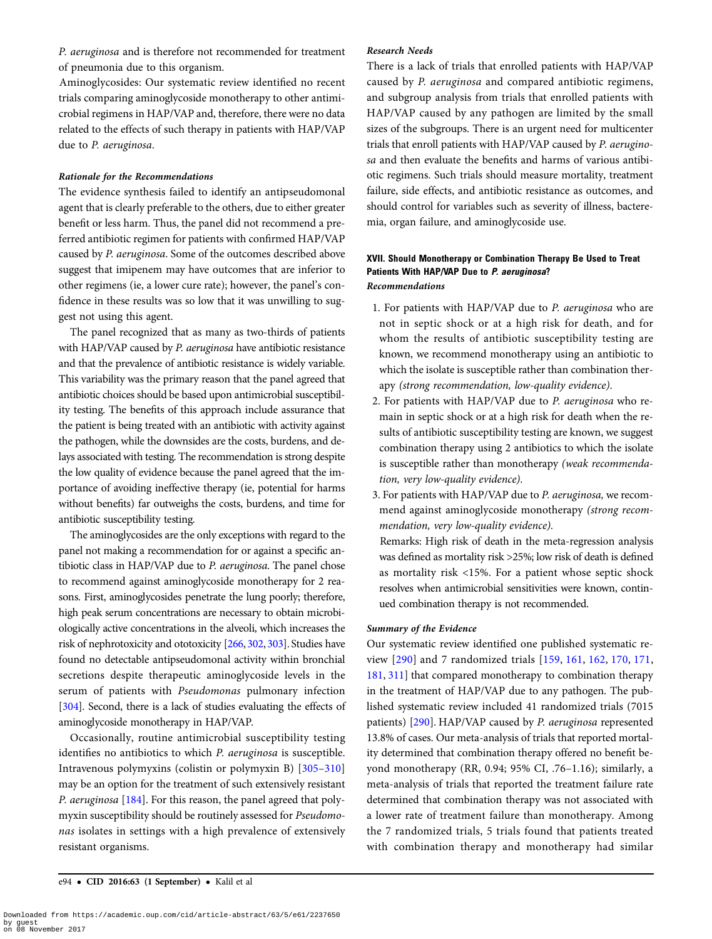P. aeruginosa and is therefore not recommended for treatment of pneumonia due to this organism.

Aminoglycosides: Our systematic review identified no recent trials comparing aminoglycoside monotherapy to other antimicrobial regimens in HAP/VAP and, therefore, there were no data related to the effects of such therapy in patients with HAP/VAP due to P. aeruginosa.

#### Rationale for the Recommendations

The evidence synthesis failed to identify an antipseudomonal agent that is clearly preferable to the others, due to either greater benefit or less harm. Thus, the panel did not recommend a preferred antibiotic regimen for patients with confirmed HAP/VAP caused by P. aeruginosa. Some of the outcomes described above suggest that imipenem may have outcomes that are inferior to other regimens (ie, a lower cure rate); however, the panel's confidence in these results was so low that it was unwilling to suggest not using this agent.

The panel recognized that as many as two-thirds of patients with HAP/VAP caused by P. aeruginosa have antibiotic resistance and that the prevalence of antibiotic resistance is widely variable. This variability was the primary reason that the panel agreed that antibiotic choices should be based upon antimicrobial susceptibility testing. The benefits of this approach include assurance that the patient is being treated with an antibiotic with activity against the pathogen, while the downsides are the costs, burdens, and delays associated with testing. The recommendation is strong despite the low quality of evidence because the panel agreed that the importance of avoiding ineffective therapy (ie, potential for harms without benefits) far outweighs the costs, burdens, and time for antibiotic susceptibility testing.

The aminoglycosides are the only exceptions with regard to the panel not making a recommendation for or against a specific antibiotic class in HAP/VAP due to P. aeruginosa. The panel chose to recommend against aminoglycoside monotherapy for 2 reasons. First, aminoglycosides penetrate the lung poorly; therefore, high peak serum concentrations are necessary to obtain microbiologically active concentrations in the alveoli, which increases the risk of nephrotoxicity and ototoxicity [[266](#page-48-0), [302,](#page-49-0) [303](#page-49-0)]. Studies have found no detectable antipseudomonal activity within bronchial secretions despite therapeutic aminoglycoside levels in the serum of patients with Pseudomonas pulmonary infection [\[304](#page-49-0)]. Second, there is a lack of studies evaluating the effects of aminoglycoside monotherapy in HAP/VAP.

Occasionally, routine antimicrobial susceptibility testing identifies no antibiotics to which P. aeruginosa is susceptible. Intravenous polymyxins (colistin or polymyxin B) [[305](#page-49-0)–[310\]](#page-49-0) may be an option for the treatment of such extensively resistant P. aeruginosa [[184](#page-46-0)]. For this reason, the panel agreed that polymyxin susceptibility should be routinely assessed for Pseudomonas isolates in settings with a high prevalence of extensively resistant organisms.

#### Research Needs

There is a lack of trials that enrolled patients with HAP/VAP caused by P. aeruginosa and compared antibiotic regimens, and subgroup analysis from trials that enrolled patients with HAP/VAP caused by any pathogen are limited by the small sizes of the subgroups. There is an urgent need for multicenter trials that enroll patients with HAP/VAP caused by P. aeruginosa and then evaluate the benefits and harms of various antibiotic regimens. Such trials should measure mortality, treatment failure, side effects, and antibiotic resistance as outcomes, and should control for variables such as severity of illness, bacteremia, organ failure, and aminoglycoside use.

#### XVII. Should Monotherapy or Combination Therapy Be Used to Treat Patients With HAP/VAP Due to P. aeruginosa? Recommendations

- 1. For patients with HAP/VAP due to P. aeruginosa who are not in septic shock or at a high risk for death, and for whom the results of antibiotic susceptibility testing are known, we recommend monotherapy using an antibiotic to which the isolate is susceptible rather than combination therapy (strong recommendation, low-quality evidence).
- 2. For patients with HAP/VAP due to P. aeruginosa who remain in septic shock or at a high risk for death when the results of antibiotic susceptibility testing are known, we suggest combination therapy using 2 antibiotics to which the isolate is susceptible rather than monotherapy (weak recommendation, very low-quality evidence).
- 3. For patients with HAP/VAP due to P. aeruginosa, we recommend against aminoglycoside monotherapy (strong recommendation, very low-quality evidence).

Remarks: High risk of death in the meta-regression analysis was defined as mortality risk >25%; low risk of death is defined as mortality risk <15%. For a patient whose septic shock resolves when antimicrobial sensitivities were known, continued combination therapy is not recommended.

#### Summary of the Evidence

Our systematic review identified one published systematic review [\[290](#page-49-0)] and 7 randomized trials [[159](#page-46-0), [161](#page-46-0), [162](#page-46-0), [170,](#page-46-0) [171,](#page-46-0) [181,](#page-46-0) [311](#page-49-0)] that compared monotherapy to combination therapy in the treatment of HAP/VAP due to any pathogen. The published systematic review included 41 randomized trials (7015 patients) [[290\]](#page-49-0). HAP/VAP caused by P. aeruginosa represented 13.8% of cases. Our meta-analysis of trials that reported mortality determined that combination therapy offered no benefit beyond monotherapy (RR, 0.94; 95% CI, .76–1.16); similarly, a meta-analysis of trials that reported the treatment failure rate determined that combination therapy was not associated with a lower rate of treatment failure than monotherapy. Among the 7 randomized trials, 5 trials found that patients treated with combination therapy and monotherapy had similar

e94 • CID 2016:63 (1 September) • Kalil et al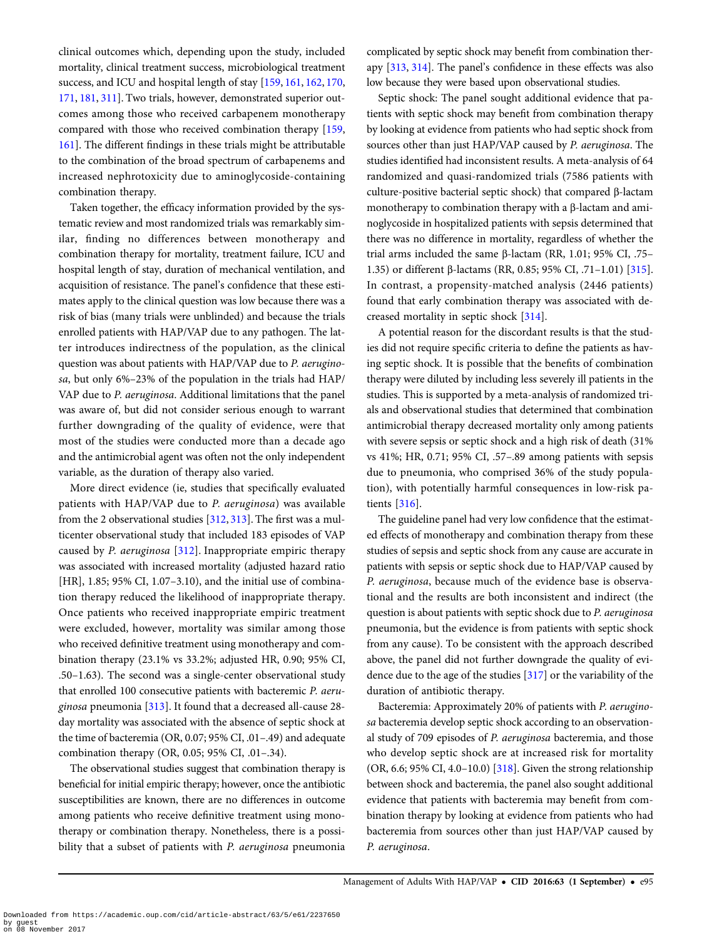clinical outcomes which, depending upon the study, included mortality, clinical treatment success, microbiological treatment success, and ICU and hospital length of stay [\[159](#page-46-0), [161](#page-46-0), [162,](#page-46-0) [170,](#page-46-0) [171,](#page-46-0) [181](#page-46-0), [311\]](#page-49-0). Two trials, however, demonstrated superior outcomes among those who received carbapenem monotherapy compared with those who received combination therapy [\[159,](#page-46-0) [161\]](#page-46-0). The different findings in these trials might be attributable to the combination of the broad spectrum of carbapenems and increased nephrotoxicity due to aminoglycoside-containing combination therapy.

Taken together, the efficacy information provided by the systematic review and most randomized trials was remarkably similar, finding no differences between monotherapy and combination therapy for mortality, treatment failure, ICU and hospital length of stay, duration of mechanical ventilation, and acquisition of resistance. The panel's confidence that these estimates apply to the clinical question was low because there was a risk of bias (many trials were unblinded) and because the trials enrolled patients with HAP/VAP due to any pathogen. The latter introduces indirectness of the population, as the clinical question was about patients with HAP/VAP due to P. aeruginosa, but only 6%–23% of the population in the trials had HAP/ VAP due to P. aeruginosa. Additional limitations that the panel was aware of, but did not consider serious enough to warrant further downgrading of the quality of evidence, were that most of the studies were conducted more than a decade ago and the antimicrobial agent was often not the only independent variable, as the duration of therapy also varied.

More direct evidence (ie, studies that specifically evaluated patients with HAP/VAP due to P. aeruginosa) was available from the 2 observational studies [\[312,](#page-49-0) [313\]](#page-49-0). The first was a multicenter observational study that included 183 episodes of VAP caused by P. aeruginosa [\[312](#page-49-0)]. Inappropriate empiric therapy was associated with increased mortality (adjusted hazard ratio [HR], 1.85; 95% CI, 1.07–3.10), and the initial use of combination therapy reduced the likelihood of inappropriate therapy. Once patients who received inappropriate empiric treatment were excluded, however, mortality was similar among those who received definitive treatment using monotherapy and combination therapy (23.1% vs 33.2%; adjusted HR, 0.90; 95% CI, .50–1.63). The second was a single-center observational study that enrolled 100 consecutive patients with bacteremic P. aeruginosa pneumonia [[313\]](#page-49-0). It found that a decreased all-cause 28 day mortality was associated with the absence of septic shock at the time of bacteremia (OR, 0.07; 95% CI, .01–.49) and adequate combination therapy (OR, 0.05; 95% CI, .01–.34).

The observational studies suggest that combination therapy is beneficial for initial empiric therapy; however, once the antibiotic susceptibilities are known, there are no differences in outcome among patients who receive definitive treatment using monotherapy or combination therapy. Nonetheless, there is a possibility that a subset of patients with P. aeruginosa pneumonia

complicated by septic shock may benefit from combination therapy [\[313,](#page-49-0) [314\]](#page-49-0). The panel's confidence in these effects was also low because they were based upon observational studies.

Septic shock: The panel sought additional evidence that patients with septic shock may benefit from combination therapy by looking at evidence from patients who had septic shock from sources other than just HAP/VAP caused by P. aeruginosa. The studies identified had inconsistent results. A meta-analysis of 64 randomized and quasi-randomized trials (7586 patients with culture-positive bacterial septic shock) that compared β-lactam monotherapy to combination therapy with a β-lactam and aminoglycoside in hospitalized patients with sepsis determined that there was no difference in mortality, regardless of whether the trial arms included the same β-lactam (RR, 1.01; 95% CI, .75– 1.35) or different β-lactams (RR, 0.85; 95% CI, .71–1.01) [[315\]](#page-49-0). In contrast, a propensity-matched analysis (2446 patients) found that early combination therapy was associated with decreased mortality in septic shock [\[314](#page-49-0)].

A potential reason for the discordant results is that the studies did not require specific criteria to define the patients as having septic shock. It is possible that the benefits of combination therapy were diluted by including less severely ill patients in the studies. This is supported by a meta-analysis of randomized trials and observational studies that determined that combination antimicrobial therapy decreased mortality only among patients with severe sepsis or septic shock and a high risk of death (31% vs 41%; HR, 0.71; 95% CI, .57–.89 among patients with sepsis due to pneumonia, who comprised 36% of the study population), with potentially harmful consequences in low-risk patients [[316\]](#page-49-0).

The guideline panel had very low confidence that the estimated effects of monotherapy and combination therapy from these studies of sepsis and septic shock from any cause are accurate in patients with sepsis or septic shock due to HAP/VAP caused by P. aeruginosa, because much of the evidence base is observational and the results are both inconsistent and indirect (the question is about patients with septic shock due to P. aeruginosa pneumonia, but the evidence is from patients with septic shock from any cause). To be consistent with the approach described above, the panel did not further downgrade the quality of evidence due to the age of the studies [[317](#page-49-0)] or the variability of the duration of antibiotic therapy.

Bacteremia: Approximately 20% of patients with P. aeruginosa bacteremia develop septic shock according to an observational study of 709 episodes of P. aeruginosa bacteremia, and those who develop septic shock are at increased risk for mortality (OR, 6.6; 95% CI, 4.0–10.0) [\[318](#page-49-0)]. Given the strong relationship between shock and bacteremia, the panel also sought additional evidence that patients with bacteremia may benefit from combination therapy by looking at evidence from patients who had bacteremia from sources other than just HAP/VAP caused by P. aeruginosa.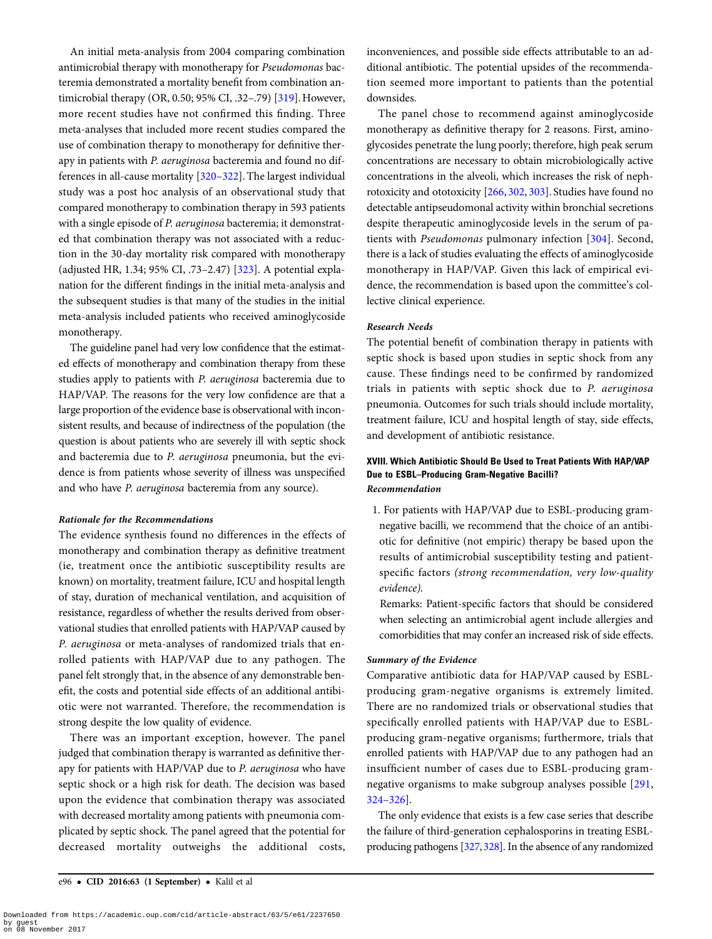An initial meta-analysis from 2004 comparing combination antimicrobial therapy with monotherapy for Pseudomonas bacteremia demonstrated a mortality benefit from combination antimicrobial therapy (OR, 0.50; 95% CI, .32–.79) [[319](#page-49-0)]. However, more recent studies have not confirmed this finding. Three meta-analyses that included more recent studies compared the use of combination therapy to monotherapy for definitive therapy in patients with P. aeruginosa bacteremia and found no differences in all-cause mortality [[320](#page-49-0)–[322](#page-49-0)]. The largest individual study was a post hoc analysis of an observational study that compared monotherapy to combination therapy in 593 patients with a single episode of P. aeruginosa bacteremia; it demonstrated that combination therapy was not associated with a reduction in the 30-day mortality risk compared with monotherapy (adjusted HR, 1.34; 95% CI, .73–2.47) [\[323\]](#page-49-0). A potential explanation for the different findings in the initial meta-analysis and the subsequent studies is that many of the studies in the initial meta-analysis included patients who received aminoglycoside monotherapy.

The guideline panel had very low confidence that the estimated effects of monotherapy and combination therapy from these studies apply to patients with P. aeruginosa bacteremia due to HAP/VAP. The reasons for the very low confidence are that a large proportion of the evidence base is observational with inconsistent results, and because of indirectness of the population (the question is about patients who are severely ill with septic shock and bacteremia due to P. aeruginosa pneumonia, but the evidence is from patients whose severity of illness was unspecified and who have P. aeruginosa bacteremia from any source).

#### Rationale for the Recommendations

The evidence synthesis found no differences in the effects of monotherapy and combination therapy as definitive treatment (ie, treatment once the antibiotic susceptibility results are known) on mortality, treatment failure, ICU and hospital length of stay, duration of mechanical ventilation, and acquisition of resistance, regardless of whether the results derived from observational studies that enrolled patients with HAP/VAP caused by P. aeruginosa or meta-analyses of randomized trials that enrolled patients with HAP/VAP due to any pathogen. The panel felt strongly that, in the absence of any demonstrable benefit, the costs and potential side effects of an additional antibiotic were not warranted. Therefore, the recommendation is strong despite the low quality of evidence.

There was an important exception, however. The panel judged that combination therapy is warranted as definitive therapy for patients with HAP/VAP due to P. aeruginosa who have septic shock or a high risk for death. The decision was based upon the evidence that combination therapy was associated with decreased mortality among patients with pneumonia complicated by septic shock. The panel agreed that the potential for decreased mortality outweighs the additional costs,

inconveniences, and possible side effects attributable to an additional antibiotic. The potential upsides of the recommendation seemed more important to patients than the potential downsides.

The panel chose to recommend against aminoglycoside monotherapy as definitive therapy for 2 reasons. First, aminoglycosides penetrate the lung poorly; therefore, high peak serum concentrations are necessary to obtain microbiologically active concentrations in the alveoli, which increases the risk of nephrotoxicity and ototoxicity [[266](#page-48-0), [302,](#page-49-0) [303\]](#page-49-0). Studies have found no detectable antipseudomonal activity within bronchial secretions despite therapeutic aminoglycoside levels in the serum of patients with Pseudomonas pulmonary infection [[304](#page-49-0)]. Second, there is a lack of studies evaluating the effects of aminoglycoside monotherapy in HAP/VAP. Given this lack of empirical evidence, the recommendation is based upon the committee's collective clinical experience.

## Research Needs

The potential benefit of combination therapy in patients with septic shock is based upon studies in septic shock from any cause. These findings need to be confirmed by randomized trials in patients with septic shock due to P. aeruginosa pneumonia. Outcomes for such trials should include mortality, treatment failure, ICU and hospital length of stay, side effects, and development of antibiotic resistance.

## XVIII. Which Antibiotic Should Be Used to Treat Patients With HAP/VAP Due to ESBL–Producing Gram-Negative Bacilli? Recommendation

1. For patients with HAP/VAP due to ESBL-producing gramnegative bacilli, we recommend that the choice of an antibiotic for definitive (not empiric) therapy be based upon the results of antimicrobial susceptibility testing and patientspecific factors (strong recommendation, very low-quality evidence).

Remarks: Patient-specific factors that should be considered when selecting an antimicrobial agent include allergies and comorbidities that may confer an increased risk of side effects.

## Summary of the Evidence

Comparative antibiotic data for HAP/VAP caused by ESBLproducing gram-negative organisms is extremely limited. There are no randomized trials or observational studies that specifically enrolled patients with HAP/VAP due to ESBLproducing gram-negative organisms; furthermore, trials that enrolled patients with HAP/VAP due to any pathogen had an insufficient number of cases due to ESBL-producing gramnegative organisms to make subgroup analyses possible [[291,](#page-49-0) [324](#page-49-0)–[326](#page-49-0)].

The only evidence that exists is a few case series that describe the failure of third-generation cephalosporins in treating ESBLproducing pathogens [\[327](#page-49-0),[328](#page-49-0)]. In the absence of any randomized

e96 • CID 2016:63 (1 September) • Kalil et al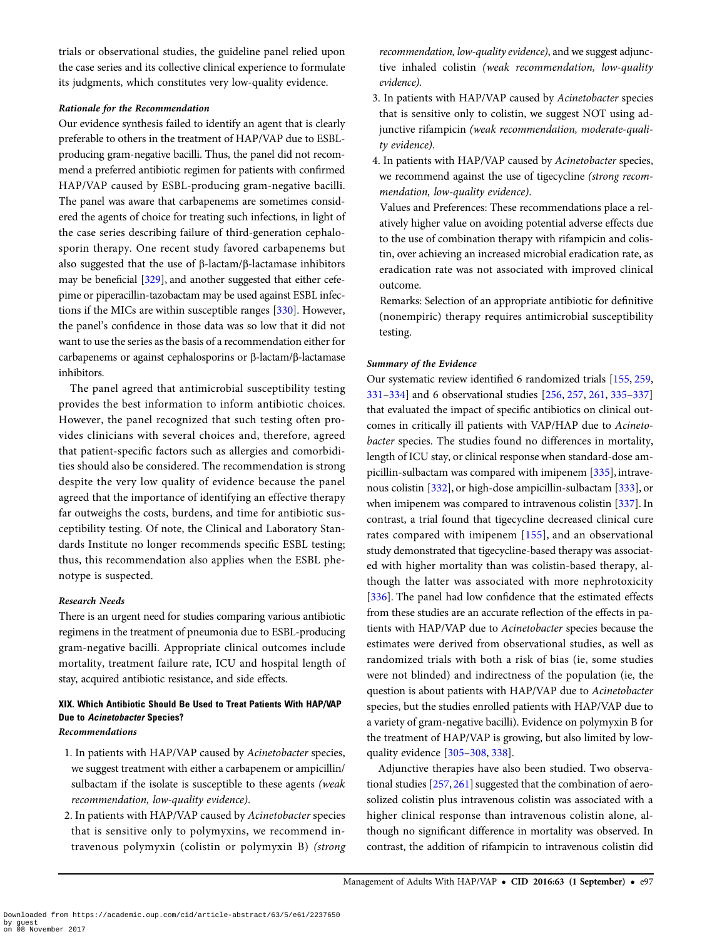trials or observational studies, the guideline panel relied upon the case series and its collective clinical experience to formulate its judgments, which constitutes very low-quality evidence.

### Rationale for the Recommendation

Our evidence synthesis failed to identify an agent that is clearly preferable to others in the treatment of HAP/VAP due to ESBLproducing gram-negative bacilli. Thus, the panel did not recommend a preferred antibiotic regimen for patients with confirmed HAP/VAP caused by ESBL-producing gram-negative bacilli. The panel was aware that carbapenems are sometimes considered the agents of choice for treating such infections, in light of the case series describing failure of third-generation cephalosporin therapy. One recent study favored carbapenems but also suggested that the use of β-lactam/β-lactamase inhibitors may be beneficial [[329](#page-49-0)], and another suggested that either cefepime or piperacillin-tazobactam may be used against ESBL infections if the MICs are within susceptible ranges [[330](#page-49-0)]. However, the panel's confidence in those data was so low that it did not want to use the series as the basis of a recommendation either for carbapenems or against cephalosporins or β-lactam/β-lactamase inhibitors.

The panel agreed that antimicrobial susceptibility testing provides the best information to inform antibiotic choices. However, the panel recognized that such testing often provides clinicians with several choices and, therefore, agreed that patient-specific factors such as allergies and comorbidities should also be considered. The recommendation is strong despite the very low quality of evidence because the panel agreed that the importance of identifying an effective therapy far outweighs the costs, burdens, and time for antibiotic susceptibility testing. Of note, the Clinical and Laboratory Standards Institute no longer recommends specific ESBL testing; thus, this recommendation also applies when the ESBL phenotype is suspected.

## Research Needs

There is an urgent need for studies comparing various antibiotic regimens in the treatment of pneumonia due to ESBL-producing gram-negative bacilli. Appropriate clinical outcomes include mortality, treatment failure rate, ICU and hospital length of stay, acquired antibiotic resistance, and side effects.

#### XIX. Which Antibiotic Should Be Used to Treat Patients With HAP/VAP Due to Acinetobacter Species? Recommendations

- 1. In patients with HAP/VAP caused by Acinetobacter species, we suggest treatment with either a carbapenem or ampicillin/ sulbactam if the isolate is susceptible to these agents (weak recommendation, low-quality evidence).
- 2. In patients with HAP/VAP caused by Acinetobacter species that is sensitive only to polymyxins, we recommend intravenous polymyxin (colistin or polymyxin B) (strong

recommendation, low-quality evidence), and we suggest adjunctive inhaled colistin (weak recommendation, low-quality evidence).

- 3. In patients with HAP/VAP caused by Acinetobacter species that is sensitive only to colistin, we suggest NOT using adjunctive rifampicin (weak recommendation, moderate-quality evidence).
- 4. In patients with HAP/VAP caused by Acinetobacter species, we recommend against the use of tigecycline (strong recommendation, low-quality evidence).

Values and Preferences: These recommendations place a relatively higher value on avoiding potential adverse effects due to the use of combination therapy with rifampicin and colistin, over achieving an increased microbial eradication rate, as eradication rate was not associated with improved clinical outcome.

Remarks: Selection of an appropriate antibiotic for definitive (nonempiric) therapy requires antimicrobial susceptibility testing.

## Summary of the Evidence

Our systematic review identified 6 randomized trials [\[155](#page-46-0), [259,](#page-48-0) [331](#page-50-0)–[334](#page-50-0)] and 6 observational studies [[256,](#page-48-0) [257,](#page-48-0) [261,](#page-48-0) [335](#page-50-0)–[337\]](#page-50-0) that evaluated the impact of specific antibiotics on clinical outcomes in critically ill patients with VAP/HAP due to Acinetobacter species. The studies found no differences in mortality, length of ICU stay, or clinical response when standard-dose ampicillin-sulbactam was compared with imipenem [\[335\]](#page-50-0), intravenous colistin [[332](#page-50-0)], or high-dose ampicillin-sulbactam [\[333\]](#page-50-0), or when imipenem was compared to intravenous colistin [[337\]](#page-50-0). In contrast, a trial found that tigecycline decreased clinical cure rates compared with imipenem [[155\]](#page-46-0), and an observational study demonstrated that tigecycline-based therapy was associated with higher mortality than was colistin-based therapy, although the latter was associated with more nephrotoxicity [\[336\]](#page-50-0). The panel had low confidence that the estimated effects from these studies are an accurate reflection of the effects in patients with HAP/VAP due to Acinetobacter species because the estimates were derived from observational studies, as well as randomized trials with both a risk of bias (ie, some studies were not blinded) and indirectness of the population (ie, the question is about patients with HAP/VAP due to Acinetobacter species, but the studies enrolled patients with HAP/VAP due to a variety of gram-negative bacilli). Evidence on polymyxin B for the treatment of HAP/VAP is growing, but also limited by lowquality evidence [[305](#page-49-0)–[308,](#page-49-0) [338\]](#page-50-0).

Adjunctive therapies have also been studied. Two observational studies [\[257,](#page-48-0) [261\]](#page-48-0) suggested that the combination of aerosolized colistin plus intravenous colistin was associated with a higher clinical response than intravenous colistin alone, although no significant difference in mortality was observed. In contrast, the addition of rifampicin to intravenous colistin did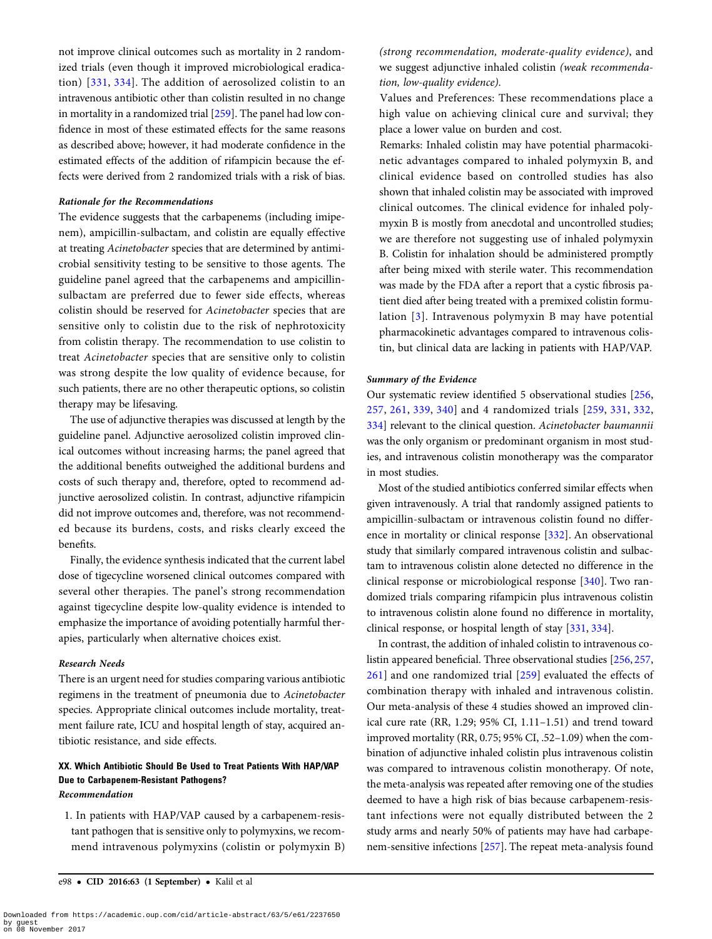not improve clinical outcomes such as mortality in 2 randomized trials (even though it improved microbiological eradication) [[331](#page-50-0), [334](#page-50-0)]. The addition of aerosolized colistin to an intravenous antibiotic other than colistin resulted in no change in mortality in a randomized trial [\[259\]](#page-48-0). The panel had low confidence in most of these estimated effects for the same reasons as described above; however, it had moderate confidence in the estimated effects of the addition of rifampicin because the effects were derived from 2 randomized trials with a risk of bias.

#### Rationale for the Recommendations

The evidence suggests that the carbapenems (including imipenem), ampicillin-sulbactam, and colistin are equally effective at treating Acinetobacter species that are determined by antimicrobial sensitivity testing to be sensitive to those agents. The guideline panel agreed that the carbapenems and ampicillinsulbactam are preferred due to fewer side effects, whereas colistin should be reserved for Acinetobacter species that are sensitive only to colistin due to the risk of nephrotoxicity from colistin therapy. The recommendation to use colistin to treat Acinetobacter species that are sensitive only to colistin was strong despite the low quality of evidence because, for such patients, there are no other therapeutic options, so colistin therapy may be lifesaving.

The use of adjunctive therapies was discussed at length by the guideline panel. Adjunctive aerosolized colistin improved clinical outcomes without increasing harms; the panel agreed that the additional benefits outweighed the additional burdens and costs of such therapy and, therefore, opted to recommend adjunctive aerosolized colistin. In contrast, adjunctive rifampicin did not improve outcomes and, therefore, was not recommended because its burdens, costs, and risks clearly exceed the benefits.

Finally, the evidence synthesis indicated that the current label dose of tigecycline worsened clinical outcomes compared with several other therapies. The panel's strong recommendation against tigecycline despite low-quality evidence is intended to emphasize the importance of avoiding potentially harmful therapies, particularly when alternative choices exist.

#### Research Needs

There is an urgent need for studies comparing various antibiotic regimens in the treatment of pneumonia due to Acinetobacter species. Appropriate clinical outcomes include mortality, treatment failure rate, ICU and hospital length of stay, acquired antibiotic resistance, and side effects.

## XX. Which Antibiotic Should Be Used to Treat Patients With HAP/VAP Due to Carbapenem-Resistant Pathogens? Recommendation

1. In patients with HAP/VAP caused by a carbapenem-resistant pathogen that is sensitive only to polymyxins, we recommend intravenous polymyxins (colistin or polymyxin B) (strong recommendation, moderate-quality evidence), and we suggest adjunctive inhaled colistin (weak recommendation, low-quality evidence).

Values and Preferences: These recommendations place a high value on achieving clinical cure and survival; they place a lower value on burden and cost.

Remarks: Inhaled colistin may have potential pharmacokinetic advantages compared to inhaled polymyxin B, and clinical evidence based on controlled studies has also shown that inhaled colistin may be associated with improved clinical outcomes. The clinical evidence for inhaled polymyxin B is mostly from anecdotal and uncontrolled studies; we are therefore not suggesting use of inhaled polymyxin B. Colistin for inhalation should be administered promptly after being mixed with sterile water. This recommendation was made by the FDA after a report that a cystic fibrosis patient died after being treated with a premixed colistin formulation [[3](#page-43-0)]. Intravenous polymyxin B may have potential pharmacokinetic advantages compared to intravenous colistin, but clinical data are lacking in patients with HAP/VAP.

#### Summary of the Evidence

Our systematic review identified 5 observational studies [[256,](#page-48-0) [257](#page-48-0), [261,](#page-48-0) [339](#page-50-0), [340](#page-50-0)] and 4 randomized trials [[259](#page-48-0), [331](#page-50-0), [332,](#page-50-0) [334\]](#page-50-0) relevant to the clinical question. Acinetobacter baumannii was the only organism or predominant organism in most studies, and intravenous colistin monotherapy was the comparator in most studies.

Most of the studied antibiotics conferred similar effects when given intravenously. A trial that randomly assigned patients to ampicillin-sulbactam or intravenous colistin found no difference in mortality or clinical response [\[332](#page-50-0)]. An observational study that similarly compared intravenous colistin and sulbactam to intravenous colistin alone detected no difference in the clinical response or microbiological response [[340\]](#page-50-0). Two randomized trials comparing rifampicin plus intravenous colistin to intravenous colistin alone found no difference in mortality, clinical response, or hospital length of stay [\[331](#page-50-0), [334\]](#page-50-0).

In contrast, the addition of inhaled colistin to intravenous colistin appeared beneficial. Three observational studies [[256,](#page-48-0) [257,](#page-48-0) [261](#page-48-0)] and one randomized trial [[259\]](#page-48-0) evaluated the effects of combination therapy with inhaled and intravenous colistin. Our meta-analysis of these 4 studies showed an improved clinical cure rate (RR, 1.29; 95% CI, 1.11–1.51) and trend toward improved mortality (RR, 0.75; 95% CI, .52–1.09) when the combination of adjunctive inhaled colistin plus intravenous colistin was compared to intravenous colistin monotherapy. Of note, the meta-analysis was repeated after removing one of the studies deemed to have a high risk of bias because carbapenem-resistant infections were not equally distributed between the 2 study arms and nearly 50% of patients may have had carbapenem-sensitive infections [[257\]](#page-48-0). The repeat meta-analysis found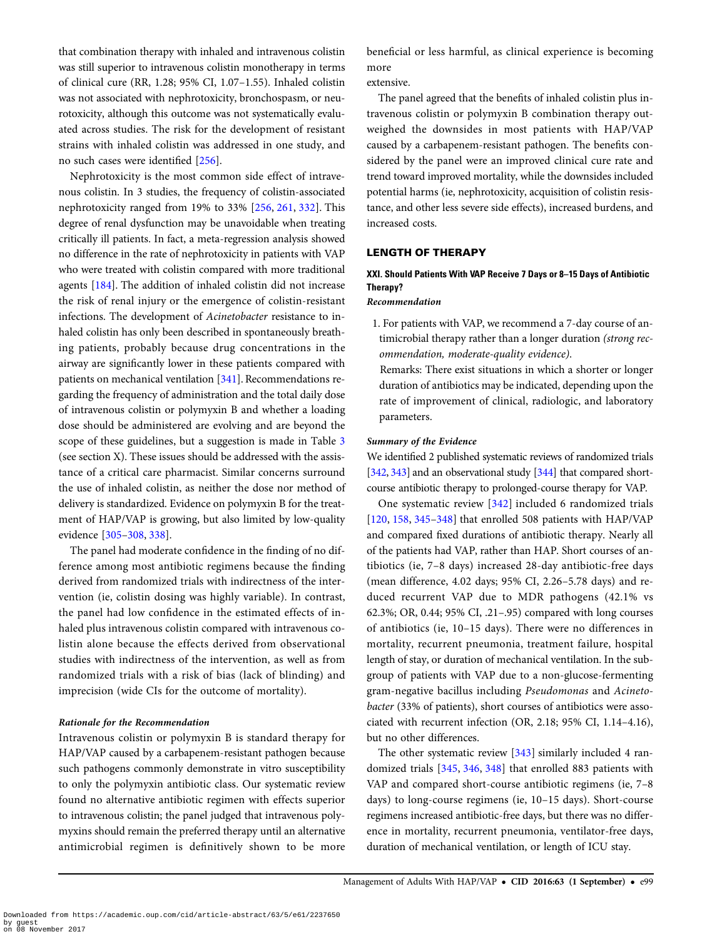that combination therapy with inhaled and intravenous colistin was still superior to intravenous colistin monotherapy in terms of clinical cure (RR, 1.28; 95% CI, 1.07–1.55). Inhaled colistin was not associated with nephrotoxicity, bronchospasm, or neurotoxicity, although this outcome was not systematically evaluated across studies. The risk for the development of resistant strains with inhaled colistin was addressed in one study, and no such cases were identified [\[256\]](#page-48-0).

Nephrotoxicity is the most common side effect of intravenous colistin. In 3 studies, the frequency of colistin-associated nephrotoxicity ranged from 19% to 33% [[256](#page-48-0), [261,](#page-48-0) [332](#page-50-0)]. This degree of renal dysfunction may be unavoidable when treating critically ill patients. In fact, a meta-regression analysis showed no difference in the rate of nephrotoxicity in patients with VAP who were treated with colistin compared with more traditional agents [\[184](#page-46-0)]. The addition of inhaled colistin did not increase the risk of renal injury or the emergence of colistin-resistant infections. The development of Acinetobacter resistance to inhaled colistin has only been described in spontaneously breathing patients, probably because drug concentrations in the airway are significantly lower in these patients compared with patients on mechanical ventilation [[341\]](#page-50-0). Recommendations regarding the frequency of administration and the total daily dose of intravenous colistin or polymyxin B and whether a loading dose should be administered are evolving and are beyond the scope of these guidelines, but a suggestion is made in Table [3](#page-3-0) (see section X). These issues should be addressed with the assistance of a critical care pharmacist. Similar concerns surround the use of inhaled colistin, as neither the dose nor method of delivery is standardized. Evidence on polymyxin B for the treatment of HAP/VAP is growing, but also limited by low-quality evidence [[305](#page-49-0)–[308](#page-49-0), [338\]](#page-50-0).

The panel had moderate confidence in the finding of no difference among most antibiotic regimens because the finding derived from randomized trials with indirectness of the intervention (ie, colistin dosing was highly variable). In contrast, the panel had low confidence in the estimated effects of inhaled plus intravenous colistin compared with intravenous colistin alone because the effects derived from observational studies with indirectness of the intervention, as well as from randomized trials with a risk of bias (lack of blinding) and imprecision (wide CIs for the outcome of mortality).

#### Rationale for the Recommendation

Intravenous colistin or polymyxin B is standard therapy for HAP/VAP caused by a carbapenem-resistant pathogen because such pathogens commonly demonstrate in vitro susceptibility to only the polymyxin antibiotic class. Our systematic review found no alternative antibiotic regimen with effects superior to intravenous colistin; the panel judged that intravenous polymyxins should remain the preferred therapy until an alternative antimicrobial regimen is definitively shown to be more

beneficial or less harmful, as clinical experience is becoming more

extensive.

The panel agreed that the benefits of inhaled colistin plus intravenous colistin or polymyxin B combination therapy outweighed the downsides in most patients with HAP/VAP caused by a carbapenem-resistant pathogen. The benefits considered by the panel were an improved clinical cure rate and trend toward improved mortality, while the downsides included potential harms (ie, nephrotoxicity, acquisition of colistin resistance, and other less severe side effects), increased burdens, and increased costs.

## LENGTH OF THERAPY

## XXI. Should Patients With VAP Receive 7 Days or 8–15 Days of Antibiotic Therapy?

#### Recommendation

1. For patients with VAP, we recommend a 7-day course of antimicrobial therapy rather than a longer duration (strong recommendation, moderate-quality evidence).

Remarks: There exist situations in which a shorter or longer duration of antibiotics may be indicated, depending upon the rate of improvement of clinical, radiologic, and laboratory parameters.

## Summary of the Evidence

We identified 2 published systematic reviews of randomized trials [\[342](#page-50-0), [343](#page-50-0)] and an observational study [\[344](#page-50-0)] that compared shortcourse antibiotic therapy to prolonged-course therapy for VAP.

One systematic review [\[342](#page-50-0)] included 6 randomized trials [\[120,](#page-45-0) [158](#page-46-0), [345](#page-50-0)–[348\]](#page-50-0) that enrolled 508 patients with HAP/VAP and compared fixed durations of antibiotic therapy. Nearly all of the patients had VAP, rather than HAP. Short courses of antibiotics (ie, 7–8 days) increased 28-day antibiotic-free days (mean difference, 4.02 days; 95% CI, 2.26–5.78 days) and reduced recurrent VAP due to MDR pathogens (42.1% vs 62.3%; OR, 0.44; 95% CI, .21–.95) compared with long courses of antibiotics (ie, 10–15 days). There were no differences in mortality, recurrent pneumonia, treatment failure, hospital length of stay, or duration of mechanical ventilation. In the subgroup of patients with VAP due to a non-glucose-fermenting gram-negative bacillus including Pseudomonas and Acinetobacter (33% of patients), short courses of antibiotics were associated with recurrent infection (OR, 2.18; 95% CI, 1.14–4.16), but no other differences.

The other systematic review [[343](#page-50-0)] similarly included 4 randomized trials [[345,](#page-50-0) [346](#page-50-0), [348\]](#page-50-0) that enrolled 883 patients with VAP and compared short-course antibiotic regimens (ie, 7–8 days) to long-course regimens (ie, 10–15 days). Short-course regimens increased antibiotic-free days, but there was no difference in mortality, recurrent pneumonia, ventilator-free days, duration of mechanical ventilation, or length of ICU stay.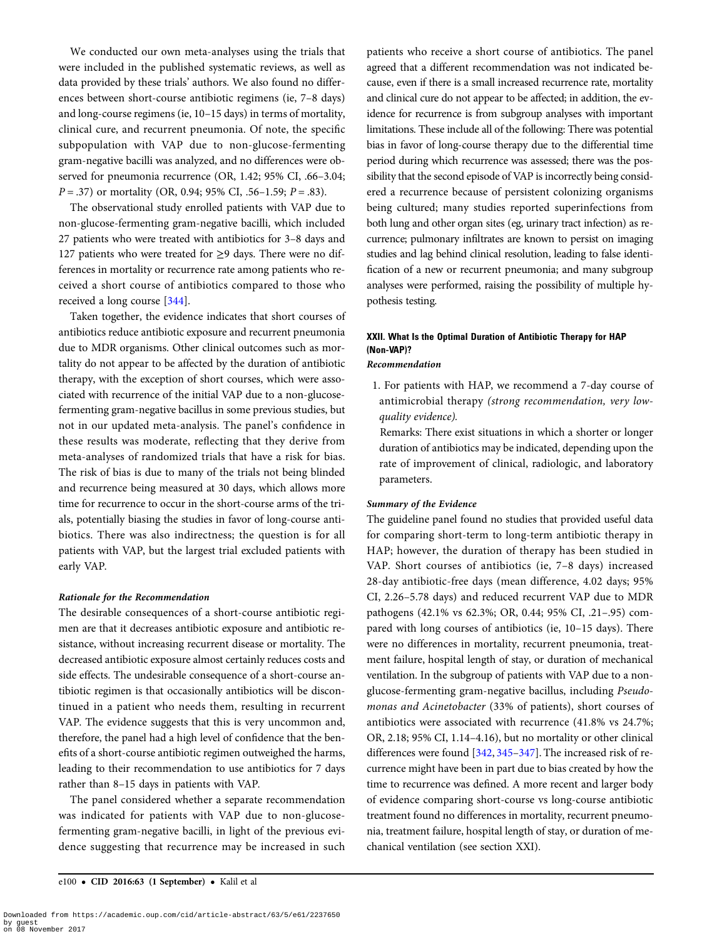We conducted our own meta-analyses using the trials that were included in the published systematic reviews, as well as data provided by these trials' authors. We also found no differences between short-course antibiotic regimens (ie, 7–8 days) and long-course regimens (ie, 10–15 days) in terms of mortality, clinical cure, and recurrent pneumonia. Of note, the specific subpopulation with VAP due to non-glucose-fermenting gram-negative bacilli was analyzed, and no differences were observed for pneumonia recurrence (OR, 1.42; 95% CI, .66–3.04;  $P = .37$ ) or mortality (OR, 0.94; 95% CI, .56–1.59;  $P = .83$ ).

The observational study enrolled patients with VAP due to non-glucose-fermenting gram-negative bacilli, which included 27 patients who were treated with antibiotics for 3–8 days and 127 patients who were treated for ≥9 days. There were no differences in mortality or recurrence rate among patients who received a short course of antibiotics compared to those who received a long course [[344](#page-50-0)].

Taken together, the evidence indicates that short courses of antibiotics reduce antibiotic exposure and recurrent pneumonia due to MDR organisms. Other clinical outcomes such as mortality do not appear to be affected by the duration of antibiotic therapy, with the exception of short courses, which were associated with recurrence of the initial VAP due to a non-glucosefermenting gram-negative bacillus in some previous studies, but not in our updated meta-analysis. The panel's confidence in these results was moderate, reflecting that they derive from meta-analyses of randomized trials that have a risk for bias. The risk of bias is due to many of the trials not being blinded and recurrence being measured at 30 days, which allows more time for recurrence to occur in the short-course arms of the trials, potentially biasing the studies in favor of long-course antibiotics. There was also indirectness; the question is for all patients with VAP, but the largest trial excluded patients with early VAP.

#### Rationale for the Recommendation

The desirable consequences of a short-course antibiotic regimen are that it decreases antibiotic exposure and antibiotic resistance, without increasing recurrent disease or mortality. The decreased antibiotic exposure almost certainly reduces costs and side effects. The undesirable consequence of a short-course antibiotic regimen is that occasionally antibiotics will be discontinued in a patient who needs them, resulting in recurrent VAP. The evidence suggests that this is very uncommon and, therefore, the panel had a high level of confidence that the benefits of a short-course antibiotic regimen outweighed the harms, leading to their recommendation to use antibiotics for 7 days rather than 8–15 days in patients with VAP.

The panel considered whether a separate recommendation was indicated for patients with VAP due to non-glucosefermenting gram-negative bacilli, in light of the previous evidence suggesting that recurrence may be increased in such

patients who receive a short course of antibiotics. The panel agreed that a different recommendation was not indicated because, even if there is a small increased recurrence rate, mortality and clinical cure do not appear to be affected; in addition, the evidence for recurrence is from subgroup analyses with important limitations. These include all of the following: There was potential bias in favor of long-course therapy due to the differential time period during which recurrence was assessed; there was the possibility that the second episode of VAP is incorrectly being considered a recurrence because of persistent colonizing organisms being cultured; many studies reported superinfections from both lung and other organ sites (eg, urinary tract infection) as recurrence; pulmonary infiltrates are known to persist on imaging studies and lag behind clinical resolution, leading to false identification of a new or recurrent pneumonia; and many subgroup analyses were performed, raising the possibility of multiple hypothesis testing.

# XXII. What Is the Optimal Duration of Antibiotic Therapy for HAP (Non-VAP)?

## Recommendation

1. For patients with HAP, we recommend a 7-day course of antimicrobial therapy (strong recommendation, very lowquality evidence).

Remarks: There exist situations in which a shorter or longer duration of antibiotics may be indicated, depending upon the rate of improvement of clinical, radiologic, and laboratory parameters.

#### Summary of the Evidence

The guideline panel found no studies that provided useful data for comparing short-term to long-term antibiotic therapy in HAP; however, the duration of therapy has been studied in VAP. Short courses of antibiotics (ie, 7–8 days) increased 28-day antibiotic-free days (mean difference, 4.02 days; 95% CI, 2.26–5.78 days) and reduced recurrent VAP due to MDR pathogens (42.1% vs 62.3%; OR, 0.44; 95% CI, .21–.95) compared with long courses of antibiotics (ie, 10–15 days). There were no differences in mortality, recurrent pneumonia, treatment failure, hospital length of stay, or duration of mechanical ventilation. In the subgroup of patients with VAP due to a nonglucose-fermenting gram-negative bacillus, including Pseudomonas and Acinetobacter (33% of patients), short courses of antibiotics were associated with recurrence (41.8% vs 24.7%; OR, 2.18; 95% CI, 1.14–4.16), but no mortality or other clinical differences were found [[342,](#page-50-0) [345](#page-50-0)–[347](#page-50-0)]. The increased risk of recurrence might have been in part due to bias created by how the time to recurrence was defined. A more recent and larger body of evidence comparing short-course vs long-course antibiotic treatment found no differences in mortality, recurrent pneumonia, treatment failure, hospital length of stay, or duration of mechanical ventilation (see section XXI).

e100 • CID 2016:63 (1 September) • Kalil et al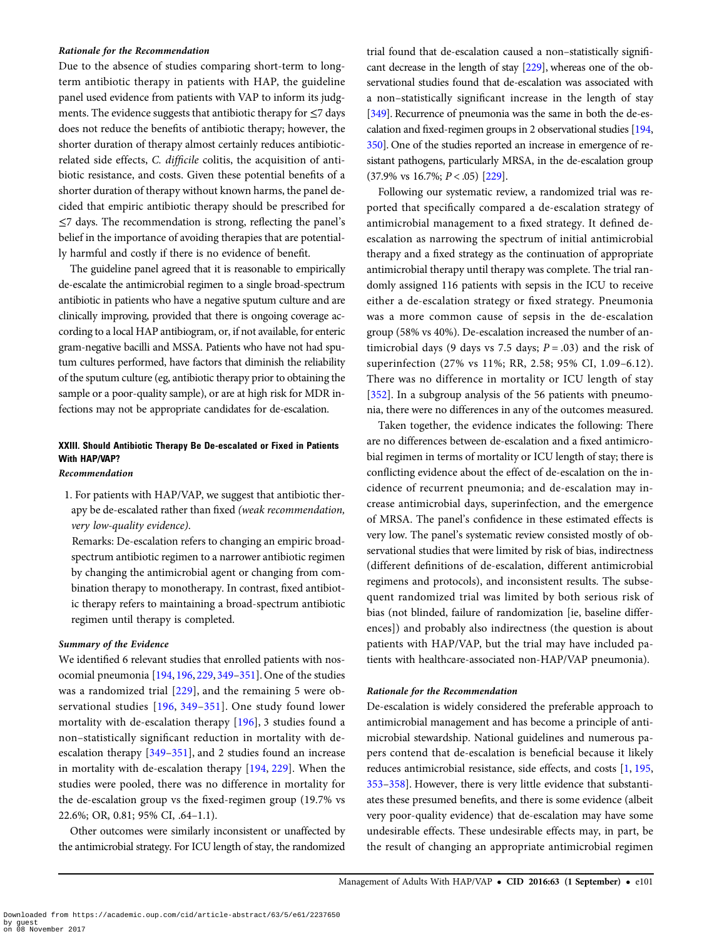#### Rationale for the Recommendation

Due to the absence of studies comparing short-term to longterm antibiotic therapy in patients with HAP, the guideline panel used evidence from patients with VAP to inform its judgments. The evidence suggests that antibiotic therapy for ≤7 days does not reduce the benefits of antibiotic therapy; however, the shorter duration of therapy almost certainly reduces antibioticrelated side effects, C. difficile colitis, the acquisition of antibiotic resistance, and costs. Given these potential benefits of a shorter duration of therapy without known harms, the panel decided that empiric antibiotic therapy should be prescribed for ≤7 days. The recommendation is strong, reflecting the panel's belief in the importance of avoiding therapies that are potentially harmful and costly if there is no evidence of benefit.

The guideline panel agreed that it is reasonable to empirically de-escalate the antimicrobial regimen to a single broad-spectrum antibiotic in patients who have a negative sputum culture and are clinically improving, provided that there is ongoing coverage according to a local HAP antibiogram, or, if not available, for enteric gram-negative bacilli and MSSA. Patients who have not had sputum cultures performed, have factors that diminish the reliability of the sputum culture (eg, antibiotic therapy prior to obtaining the sample or a poor-quality sample), or are at high risk for MDR infections may not be appropriate candidates for de-escalation.

## XXIII. Should Antibiotic Therapy Be De-escalated or Fixed in Patients With HAP/VAP?

Recommendation

1. For patients with HAP/VAP, we suggest that antibiotic therapy be de-escalated rather than fixed (weak recommendation, very low-quality evidence).

Remarks: De-escalation refers to changing an empiric broadspectrum antibiotic regimen to a narrower antibiotic regimen by changing the antimicrobial agent or changing from combination therapy to monotherapy. In contrast, fixed antibiotic therapy refers to maintaining a broad-spectrum antibiotic regimen until therapy is completed.

#### Summary of the Evidence

We identified 6 relevant studies that enrolled patients with nosocomial pneumonia [[194,](#page-46-0) [196,](#page-46-0) [229,](#page-47-0) [349](#page-50-0)–[351](#page-50-0)]. One of the studies was a randomized trial [[229\]](#page-47-0), and the remaining 5 were observational studies [[196](#page-46-0), [349](#page-50-0)–[351](#page-50-0)]. One study found lower mortality with de-escalation therapy [[196](#page-46-0)], 3 studies found a non–statistically significant reduction in mortality with deescalation therapy [[349](#page-50-0)–[351](#page-50-0)], and 2 studies found an increase in mortality with de-escalation therapy [\[194](#page-46-0), [229](#page-47-0)]. When the studies were pooled, there was no difference in mortality for the de-escalation group vs the fixed-regimen group (19.7% vs 22.6%; OR, 0.81; 95% CI, .64–1.1).

Other outcomes were similarly inconsistent or unaffected by the antimicrobial strategy. For ICU length of stay, the randomized

trial found that de-escalation caused a non–statistically significant decrease in the length of stay [[229\]](#page-47-0), whereas one of the observational studies found that de-escalation was associated with a non–statistically significant increase in the length of stay [\[349](#page-50-0)]. Recurrence of pneumonia was the same in both the de-escalation and fixed-regimen groups in 2 observational studies [[194,](#page-46-0) [350](#page-50-0)]. One of the studies reported an increase in emergence of resistant pathogens, particularly MRSA, in the de-escalation group  $(37.9\% \text{ vs } 16.7\%; P < .05)$  [\[229](#page-47-0)].

Following our systematic review, a randomized trial was reported that specifically compared a de-escalation strategy of antimicrobial management to a fixed strategy. It defined deescalation as narrowing the spectrum of initial antimicrobial therapy and a fixed strategy as the continuation of appropriate antimicrobial therapy until therapy was complete. The trial randomly assigned 116 patients with sepsis in the ICU to receive either a de-escalation strategy or fixed strategy. Pneumonia was a more common cause of sepsis in the de-escalation group (58% vs 40%). De-escalation increased the number of antimicrobial days (9 days vs 7.5 days;  $P = .03$ ) and the risk of superinfection (27% vs 11%; RR, 2.58; 95% CI, 1.09–6.12). There was no difference in mortality or ICU length of stay [\[352\]](#page-50-0). In a subgroup analysis of the 56 patients with pneumonia, there were no differences in any of the outcomes measured.

Taken together, the evidence indicates the following: There are no differences between de-escalation and a fixed antimicrobial regimen in terms of mortality or ICU length of stay; there is conflicting evidence about the effect of de-escalation on the incidence of recurrent pneumonia; and de-escalation may increase antimicrobial days, superinfection, and the emergence of MRSA. The panel's confidence in these estimated effects is very low. The panel's systematic review consisted mostly of observational studies that were limited by risk of bias, indirectness (different definitions of de-escalation, different antimicrobial regimens and protocols), and inconsistent results. The subsequent randomized trial was limited by both serious risk of bias (not blinded, failure of randomization [ie, baseline differences]) and probably also indirectness (the question is about patients with HAP/VAP, but the trial may have included patients with healthcare-associated non-HAP/VAP pneumonia).

#### Rationale for the Recommendation

De-escalation is widely considered the preferable approach to antimicrobial management and has become a principle of antimicrobial stewardship. National guidelines and numerous papers contend that de-escalation is beneficial because it likely reduces antimicrobial resistance, side effects, and costs [\[1,](#page-42-0) [195,](#page-46-0) [353](#page-50-0)–[358](#page-50-0)]. However, there is very little evidence that substantiates these presumed benefits, and there is some evidence (albeit very poor-quality evidence) that de-escalation may have some undesirable effects. These undesirable effects may, in part, be the result of changing an appropriate antimicrobial regimen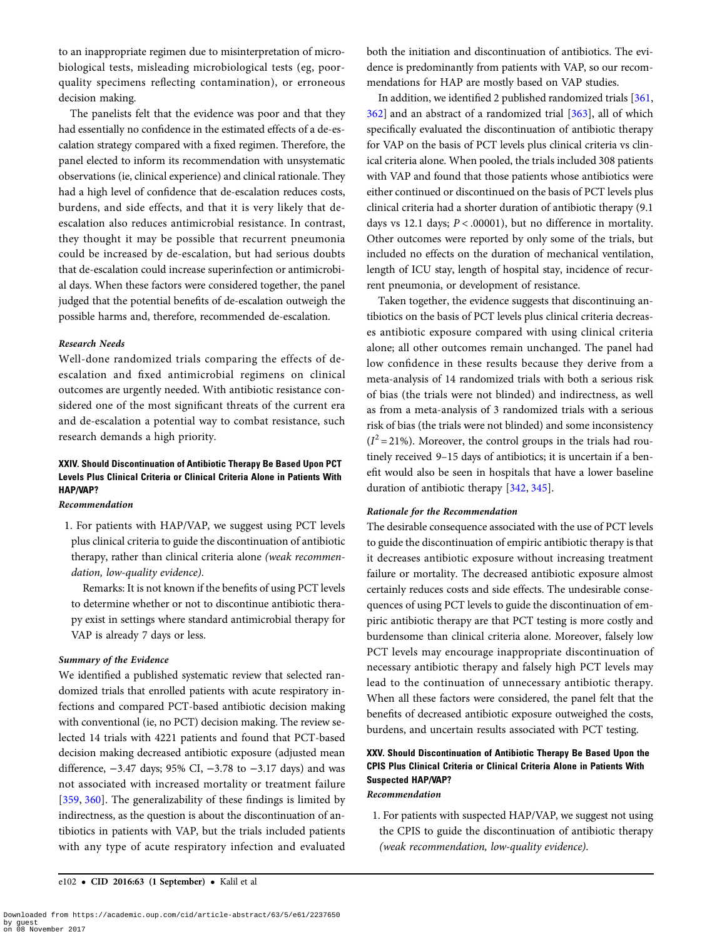to an inappropriate regimen due to misinterpretation of microbiological tests, misleading microbiological tests (eg, poorquality specimens reflecting contamination), or erroneous decision making.

The panelists felt that the evidence was poor and that they had essentially no confidence in the estimated effects of a de-escalation strategy compared with a fixed regimen. Therefore, the panel elected to inform its recommendation with unsystematic observations (ie, clinical experience) and clinical rationale. They had a high level of confidence that de-escalation reduces costs, burdens, and side effects, and that it is very likely that deescalation also reduces antimicrobial resistance. In contrast, they thought it may be possible that recurrent pneumonia could be increased by de-escalation, but had serious doubts that de-escalation could increase superinfection or antimicrobial days. When these factors were considered together, the panel judged that the potential benefits of de-escalation outweigh the possible harms and, therefore, recommended de-escalation.

## Research Needs

Well-done randomized trials comparing the effects of deescalation and fixed antimicrobial regimens on clinical outcomes are urgently needed. With antibiotic resistance considered one of the most significant threats of the current era and de-escalation a potential way to combat resistance, such research demands a high priority.

# XXIV. Should Discontinuation of Antibiotic Therapy Be Based Upon PCT Levels Plus Clinical Criteria or Clinical Criteria Alone in Patients With HAP/VAP?

## Recommendation

1. For patients with HAP/VAP, we suggest using PCT levels plus clinical criteria to guide the discontinuation of antibiotic therapy, rather than clinical criteria alone (weak recommendation, low-quality evidence).

Remarks: It is not known if the benefits of using PCT levels to determine whether or not to discontinue antibiotic therapy exist in settings where standard antimicrobial therapy for VAP is already 7 days or less.

#### Summary of the Evidence

We identified a published systematic review that selected randomized trials that enrolled patients with acute respiratory infections and compared PCT-based antibiotic decision making with conventional (ie, no PCT) decision making. The review selected 14 trials with 4221 patients and found that PCT-based decision making decreased antibiotic exposure (adjusted mean difference, −3.47 days; 95% CI, −3.78 to −3.17 days) and was not associated with increased mortality or treatment failure [\[359](#page-50-0), [360](#page-50-0)]. The generalizability of these findings is limited by indirectness, as the question is about the discontinuation of antibiotics in patients with VAP, but the trials included patients with any type of acute respiratory infection and evaluated both the initiation and discontinuation of antibiotics. The evidence is predominantly from patients with VAP, so our recommendations for HAP are mostly based on VAP studies.

In addition, we identified 2 published randomized trials [\[361,](#page-50-0) [362\]](#page-50-0) and an abstract of a randomized trial [[363](#page-50-0)], all of which specifically evaluated the discontinuation of antibiotic therapy for VAP on the basis of PCT levels plus clinical criteria vs clinical criteria alone. When pooled, the trials included 308 patients with VAP and found that those patients whose antibiotics were either continued or discontinued on the basis of PCT levels plus clinical criteria had a shorter duration of antibiotic therapy (9.1 days vs 12.1 days;  $P < .00001$ ), but no difference in mortality. Other outcomes were reported by only some of the trials, but included no effects on the duration of mechanical ventilation, length of ICU stay, length of hospital stay, incidence of recurrent pneumonia, or development of resistance.

Taken together, the evidence suggests that discontinuing antibiotics on the basis of PCT levels plus clinical criteria decreases antibiotic exposure compared with using clinical criteria alone; all other outcomes remain unchanged. The panel had low confidence in these results because they derive from a meta-analysis of 14 randomized trials with both a serious risk of bias (the trials were not blinded) and indirectness, as well as from a meta-analysis of 3 randomized trials with a serious risk of bias (the trials were not blinded) and some inconsistency  $(I^2 = 21\%)$ . Moreover, the control groups in the trials had routinely received 9–15 days of antibiotics; it is uncertain if a benefit would also be seen in hospitals that have a lower baseline duration of antibiotic therapy [\[342,](#page-50-0) [345\]](#page-50-0).

#### Rationale for the Recommendation

The desirable consequence associated with the use of PCT levels to guide the discontinuation of empiric antibiotic therapy is that it decreases antibiotic exposure without increasing treatment failure or mortality. The decreased antibiotic exposure almost certainly reduces costs and side effects. The undesirable consequences of using PCT levels to guide the discontinuation of empiric antibiotic therapy are that PCT testing is more costly and burdensome than clinical criteria alone. Moreover, falsely low PCT levels may encourage inappropriate discontinuation of necessary antibiotic therapy and falsely high PCT levels may lead to the continuation of unnecessary antibiotic therapy. When all these factors were considered, the panel felt that the benefits of decreased antibiotic exposure outweighed the costs, burdens, and uncertain results associated with PCT testing.

## XXV. Should Discontinuation of Antibiotic Therapy Be Based Upon the CPIS Plus Clinical Criteria or Clinical Criteria Alone in Patients With Suspected HAP/VAP? Recommendation

1. For patients with suspected HAP/VAP, we suggest not using the CPIS to guide the discontinuation of antibiotic therapy (weak recommendation, low-quality evidence).

e102 • CID 2016:63 (1 September) • Kalil et al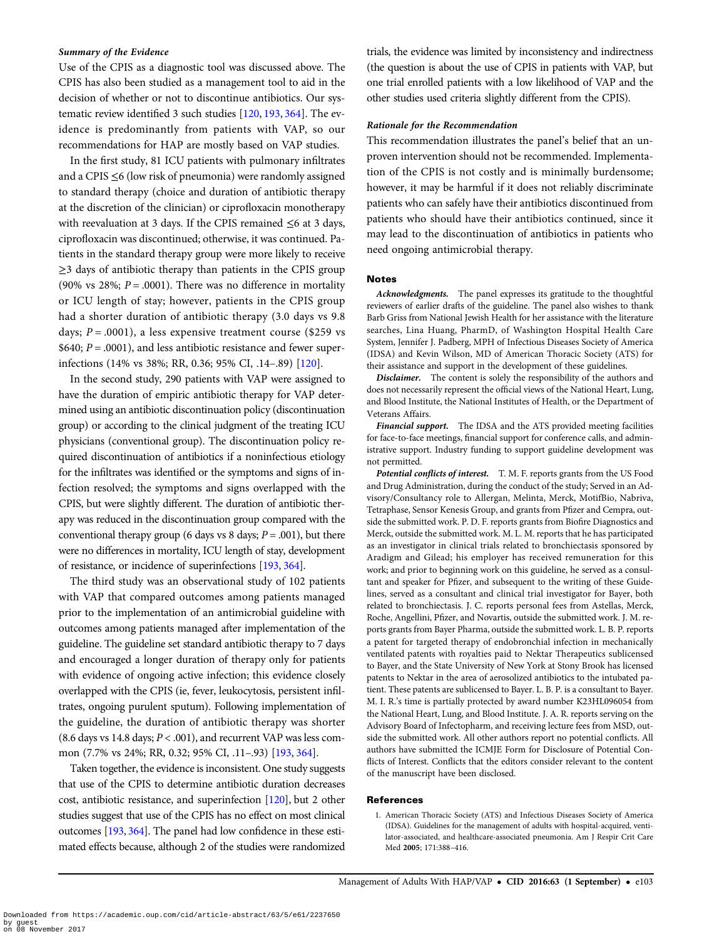#### <span id="page-42-0"></span>Summary of the Evidence

Use of the CPIS as a diagnostic tool was discussed above. The CPIS has also been studied as a management tool to aid in the decision of whether or not to discontinue antibiotics. Our systematic review identified 3 such studies [[120](#page-45-0), [193,](#page-46-0) [364](#page-50-0)]. The evidence is predominantly from patients with VAP, so our recommendations for HAP are mostly based on VAP studies.

In the first study, 81 ICU patients with pulmonary infiltrates and a CPIS ≤6 (low risk of pneumonia) were randomly assigned to standard therapy (choice and duration of antibiotic therapy at the discretion of the clinician) or ciprofloxacin monotherapy with reevaluation at 3 days. If the CPIS remained ≤6 at 3 days, ciprofloxacin was discontinued; otherwise, it was continued. Patients in the standard therapy group were more likely to receive ≥3 days of antibiotic therapy than patients in the CPIS group (90% vs 28%;  $P = .0001$ ). There was no difference in mortality or ICU length of stay; however, patients in the CPIS group had a shorter duration of antibiotic therapy (3.0 days vs 9.8 days;  $P = .0001$ ), a less expensive treatment course (\$259 vs  $$640; P = .0001$ ), and less antibiotic resistance and fewer superinfections (14% vs 38%; RR, 0.36; 95% CI, .14–.89) [\[120](#page-45-0)].

In the second study, 290 patients with VAP were assigned to have the duration of empiric antibiotic therapy for VAP determined using an antibiotic discontinuation policy (discontinuation group) or according to the clinical judgment of the treating ICU physicians (conventional group). The discontinuation policy required discontinuation of antibiotics if a noninfectious etiology for the infiltrates was identified or the symptoms and signs of infection resolved; the symptoms and signs overlapped with the CPIS, but were slightly different. The duration of antibiotic therapy was reduced in the discontinuation group compared with the conventional therapy group (6 days vs 8 days;  $P = .001$ ), but there were no differences in mortality, ICU length of stay, development of resistance, or incidence of superinfections [\[193](#page-46-0), [364\]](#page-50-0).

The third study was an observational study of 102 patients with VAP that compared outcomes among patients managed prior to the implementation of an antimicrobial guideline with outcomes among patients managed after implementation of the guideline. The guideline set standard antibiotic therapy to 7 days and encouraged a longer duration of therapy only for patients with evidence of ongoing active infection; this evidence closely overlapped with the CPIS (ie, fever, leukocytosis, persistent infiltrates, ongoing purulent sputum). Following implementation of the guideline, the duration of antibiotic therapy was shorter (8.6 days vs 14.8 days;  $P < .001$ ), and recurrent VAP was less common (7.7% vs 24%; RR, 0.32; 95% CI, .11–.93) [[193](#page-46-0), [364\]](#page-50-0).

Taken together, the evidence is inconsistent. One study suggests that use of the CPIS to determine antibiotic duration decreases cost, antibiotic resistance, and superinfection [\[120\]](#page-45-0), but 2 other studies suggest that use of the CPIS has no effect on most clinical outcomes [\[193](#page-46-0), [364](#page-50-0)]. The panel had low confidence in these estimated effects because, although 2 of the studies were randomized trials, the evidence was limited by inconsistency and indirectness (the question is about the use of CPIS in patients with VAP, but one trial enrolled patients with a low likelihood of VAP and the other studies used criteria slightly different from the CPIS).

#### Rationale for the Recommendation

This recommendation illustrates the panel's belief that an unproven intervention should not be recommended. Implementation of the CPIS is not costly and is minimally burdensome; however, it may be harmful if it does not reliably discriminate patients who can safely have their antibiotics discontinued from patients who should have their antibiotics continued, since it may lead to the discontinuation of antibiotics in patients who need ongoing antimicrobial therapy.

#### **Notes**

Acknowledgments. The panel expresses its gratitude to the thoughtful reviewers of earlier drafts of the guideline. The panel also wishes to thank Barb Griss from National Jewish Health for her assistance with the literature searches, Lina Huang, PharmD, of Washington Hospital Health Care System, Jennifer J. Padberg, MPH of Infectious Diseases Society of America (IDSA) and Kevin Wilson, MD of American Thoracic Society (ATS) for their assistance and support in the development of these guidelines.

Disclaimer. The content is solely the responsibility of the authors and does not necessarily represent the official views of the National Heart, Lung, and Blood Institute, the National Institutes of Health, or the Department of Veterans Affairs.

Financial support. The IDSA and the ATS provided meeting facilities for face-to-face meetings, financial support for conference calls, and administrative support. Industry funding to support guideline development was not permitted.

Potential conflicts of interest. T. M. F. reports grants from the US Food and Drug Administration, during the conduct of the study; Served in an Advisory/Consultancy role to Allergan, Melinta, Merck, MotifBio, Nabriva, Tetraphase, Sensor Kenesis Group, and grants from Pfizer and Cempra, outside the submitted work. P. D. F. reports grants from Biofire Diagnostics and Merck, outside the submitted work. M. L. M. reports that he has participated as an investigator in clinical trials related to bronchiectasis sponsored by Aradigm and Gilead; his employer has received remuneration for this work; and prior to beginning work on this guideline, he served as a consultant and speaker for Pfizer, and subsequent to the writing of these Guidelines, served as a consultant and clinical trial investigator for Bayer, both related to bronchiectasis. J. C. reports personal fees from Astellas, Merck, Roche, Angellini, Pfizer, and Novartis, outside the submitted work. J. M. reports grants from Bayer Pharma, outside the submitted work. L. B. P. reports a patent for targeted therapy of endobronchial infection in mechanically ventilated patents with royalties paid to Nektar Therapeutics sublicensed to Bayer, and the State University of New York at Stony Brook has licensed patents to Nektar in the area of aerosolized antibiotics to the intubated patient. These patents are sublicensed to Bayer. L. B. P. is a consultant to Bayer. M. I. R.'s time is partially protected by award number K23HL096054 from the National Heart, Lung, and Blood Institute. J. A. R. reports serving on the Advisory Board of Infectopharm, and receiving lecture fees from MSD, outside the submitted work. All other authors report no potential conflicts. All authors have submitted the ICMJE Form for Disclosure of Potential Conflicts of Interest. Conflicts that the editors consider relevant to the content of the manuscript have been disclosed.

#### References

1. American Thoracic Society (ATS) and Infectious Diseases Society of America (IDSA). Guidelines for the management of adults with hospital-acquired, ventilator-associated, and healthcare-associated pneumonia. Am J Respir Crit Care Med 2005; 171:388–416.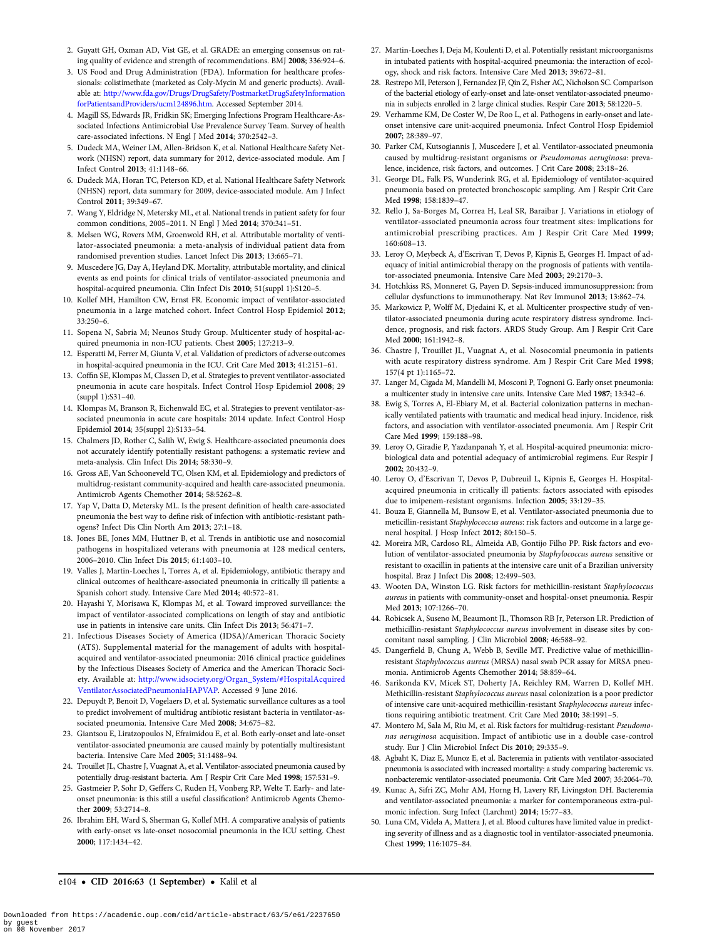- <span id="page-43-0"></span>2. Guyatt GH, Oxman AD, Vist GE, et al. GRADE: an emerging consensus on rating quality of evidence and strength of recommendations. BMJ 2008; 336:924–6.
- 3. US Food and Drug Administration (FDA). Information for healthcare professionals: colistimethate (marketed as Coly-Mycin M and generic products). Available at: [http://www.fda.gov/Drugs/DrugSafety/PostmarketDrugSafetyInformation](http://www.fda.gov/Drugs/DrugSafety/PostmarketDrugSafetyInformationforPatientsandProviders/ucm124896.htm) [forPatientsandProviders/ucm124896.htm.](http://www.fda.gov/Drugs/DrugSafety/PostmarketDrugSafetyInformationforPatientsandProviders/ucm124896.htm) Accessed September 2014.
- 4. Magill SS, Edwards JR, Fridkin SK; Emerging Infections Program Healthcare-Associated Infections Antimicrobial Use Prevalence Survey Team. Survey of health care-associated infections. N Engl J Med 2014; 370:2542–3.
- 5. Dudeck MA, Weiner LM, Allen-Bridson K, et al. National Healthcare Safety Network (NHSN) report, data summary for 2012, device-associated module. Am J Infect Control 2013; 41:1148–66.
- 6. Dudeck MA, Horan TC, Peterson KD, et al. National Healthcare Safety Network (NHSN) report, data summary for 2009, device-associated module. Am J Infect Control 2011; 39:349–67.
- 7. Wang Y, Eldridge N, Metersky ML, et al. National trends in patient safety for four common conditions, 2005–2011. N Engl J Med 2014; 370:341–51.
- 8. Melsen WG, Rovers MM, Groenwold RH, et al. Attributable mortality of ventilator-associated pneumonia: a meta-analysis of individual patient data from randomised prevention studies. Lancet Infect Dis 2013; 13:665–71.
- 9. Muscedere JG, Day A, Heyland DK. Mortality, attributable mortality, and clinical events as end points for clinical trials of ventilator-associated pneumonia and hospital-acquired pneumonia. Clin Infect Dis 2010; 51(suppl 1):S120–5.
- 10. Kollef MH, Hamilton CW, Ernst FR. Economic impact of ventilator-associated pneumonia in a large matched cohort. Infect Control Hosp Epidemiol 2012; 33:250–6.
- 11. Sopena N, Sabria M; Neunos Study Group. Multicenter study of hospital-acquired pneumonia in non-ICU patients. Chest 2005; 127:213–9.
- 12. Esperatti M, Ferrer M, Giunta V, et al. Validation of predictors of adverse outcomes in hospital-acquired pneumonia in the ICU. Crit Care Med 2013; 41:2151–61.
- 13. Coffin SE, Klompas M, Classen D, et al. Strategies to prevent ventilator-associated pneumonia in acute care hospitals. Infect Control Hosp Epidemiol 2008; 29 (suppl 1):S31–40.
- 14. Klompas M, Branson R, Eichenwald EC, et al. Strategies to prevent ventilator-associated pneumonia in acute care hospitals: 2014 update. Infect Control Hosp Epidemiol 2014; 35(suppl 2):S133–54.
- 15. Chalmers JD, Rother C, Salih W, Ewig S. Healthcare-associated pneumonia does not accurately identify potentially resistant pathogens: a systematic review and meta-analysis. Clin Infect Dis 2014; 58:330–9.
- 16. Gross AE, Van Schooneveld TC, Olsen KM, et al. Epidemiology and predictors of multidrug-resistant community-acquired and health care-associated pneumonia. Antimicrob Agents Chemother 2014; 58:5262–8.
- 17. Yap V, Datta D, Metersky ML. Is the present definition of health care-associated pneumonia the best way to define risk of infection with antibiotic-resistant pathogens? Infect Dis Clin North Am 2013; 27:1–18.
- 18. Jones BE, Jones MM, Huttner B, et al. Trends in antibiotic use and nosocomial pathogens in hospitalized veterans with pneumonia at 128 medical centers, 2006–2010. Clin Infect Dis 2015; 61:1403–10.
- 19. Valles J, Martin-Loeches I, Torres A, et al. Epidemiology, antibiotic therapy and clinical outcomes of healthcare-associated pneumonia in critically ill patients: a Spanish cohort study. Intensive Care Med 2014; 40:572–81.
- 20. Hayashi Y, Morisawa K, Klompas M, et al. Toward improved surveillance: the impact of ventilator-associated complications on length of stay and antibiotic use in patients in intensive care units. Clin Infect Dis 2013; 56:471–7.
- 21. Infectious Diseases Society of America (IDSA)/American Thoracic Society (ATS). Supplemental material for the management of adults with hospitalacquired and ventilator-associated pneumonia: 2016 clinical practice guidelines by the Infectious Diseases Society of America and the American Thoracic Society. Available at: [http://www.idsociety.org/Organ\\_System/#HospitalAcquired](http://www.idsociety.org/Organ_System/#HospitalAcquiredVentilatorAssociatedPneumoniaHAPVAP) [VentilatorAssociatedPneumoniaHAPVAP.](http://www.idsociety.org/Organ_System/#HospitalAcquiredVentilatorAssociatedPneumoniaHAPVAP) Accessed 9 June 2016.
- 22. Depuydt P, Benoit D, Vogelaers D, et al. Systematic surveillance cultures as a tool to predict involvement of multidrug antibiotic resistant bacteria in ventilator-associated pneumonia. Intensive Care Med 2008; 34:675–82.
- 23. Giantsou E, Liratzopoulos N, Efraimidou E, et al. Both early-onset and late-onset ventilator-associated pneumonia are caused mainly by potentially multiresistant bacteria. Intensive Care Med 2005; 31:1488–94.
- 24. Trouillet JL, Chastre J, Vuagnat A, et al. Ventilator-associated pneumonia caused by potentially drug-resistant bacteria. Am J Respir Crit Care Med 1998; 157:531–9.
- 25. Gastmeier P, Sohr D, Geffers C, Ruden H, Vonberg RP, Welte T. Early- and lateonset pneumonia: is this still a useful classification? Antimicrob Agents Chemother 2009; 53:2714–8.
- 26. Ibrahim EH, Ward S, Sherman G, Kollef MH. A comparative analysis of patients with early-onset vs late-onset nosocomial pneumonia in the ICU setting. Chest 2000; 117:1434–42.
- 27. Martin-Loeches I, Deja M, Koulenti D, et al. Potentially resistant microorganisms in intubated patients with hospital-acquired pneumonia: the interaction of ecology, shock and risk factors. Intensive Care Med 2013; 39:672–81.
- 28. Restrepo MI, Peterson J, Fernandez JF, Qin Z, Fisher AC, Nicholson SC. Comparison of the bacterial etiology of early-onset and late-onset ventilator-associated pneumonia in subjects enrolled in 2 large clinical studies. Respir Care 2013; 58:1220–5.
- 29. Verhamme KM, De Coster W, De Roo L, et al. Pathogens in early-onset and lateonset intensive care unit-acquired pneumonia. Infect Control Hosp Epidemiol 2007; 28:389–97.
- 30. Parker CM, Kutsogiannis J, Muscedere J, et al. Ventilator-associated pneumonia caused by multidrug-resistant organisms or Pseudomonas aeruginosa: prevalence, incidence, risk factors, and outcomes. J Crit Care 2008; 23:18–26.
- 31. George DL, Falk PS, Wunderink RG, et al. Epidemiology of ventilator-acquired pneumonia based on protected bronchoscopic sampling. Am J Respir Crit Care Med 1998; 158:1839–47.
- 32. Rello J, Sa-Borges M, Correa H, Leal SR, Baraibar J. Variations in etiology of ventilator-associated pneumonia across four treatment sites: implications for antimicrobial prescribing practices. Am J Respir Crit Care Med 1999; 160:608–13.
- 33. Leroy O, Meybeck A, d'Escrivan T, Devos P, Kipnis E, Georges H. Impact of adequacy of initial antimicrobial therapy on the prognosis of patients with ventilator-associated pneumonia. Intensive Care Med 2003; 29:2170–3.
- 34. Hotchkiss RS, Monneret G, Payen D. Sepsis-induced immunosuppression: from cellular dysfunctions to immunotherapy. Nat Rev Immunol 2013; 13:862–74.
- 35. Markowicz P, Wolff M, Djedaini K, et al. Multicenter prospective study of ventilator-associated pneumonia during acute respiratory distress syndrome. Incidence, prognosis, and risk factors. ARDS Study Group. Am J Respir Crit Care Med 2000; 161:1942–8.
- 36. Chastre J, Trouillet JL, Vuagnat A, et al. Nosocomial pneumonia in patients with acute respiratory distress syndrome. Am J Respir Crit Care Med 1998; 157(4 pt 1):1165–72.
- 37. Langer M, Cigada M, Mandelli M, Mosconi P, Tognoni G. Early onset pneumonia: a multicenter study in intensive care units. Intensive Care Med 1987; 13:342–6.
- 38. Ewig S, Torres A, El-Ebiary M, et al. Bacterial colonization patterns in mechanically ventilated patients with traumatic and medical head injury. Incidence, risk factors, and association with ventilator-associated pneumonia. Am J Respir Crit Care Med 1999; 159:188–98.
- 39. Leroy O, Giradie P, Yazdanpanah Y, et al. Hospital-acquired pneumonia: microbiological data and potential adequacy of antimicrobial regimens. Eur Respir J 2002; 20:432–9.
- 40. Leroy O, d'Escrivan T, Devos P, Dubreuil L, Kipnis E, Georges H. Hospitalacquired pneumonia in critically ill patients: factors associated with episodes due to imipenem-resistant organisms. Infection 2005; 33:129–35.
- 41. Bouza E, Giannella M, Bunsow E, et al. Ventilator-associated pneumonia due to meticillin-resistant Staphylococcus aureus: risk factors and outcome in a large general hospital. J Hosp Infect 2012; 80:150–5.
- 42. Moreira MR, Cardoso RL, Almeida AB, Gontijo Filho PP. Risk factors and evolution of ventilator-associated pneumonia by Staphylococcus aureus sensitive or resistant to oxacillin in patients at the intensive care unit of a Brazilian university hospital. Braz J Infect Dis 2008; 12:499–503.
- 43. Wooten DA, Winston LG. Risk factors for methicillin-resistant Staphylococcus aureus in patients with community-onset and hospital-onset pneumonia. Respir Med 2013; 107:1266–70.
- 44. Robicsek A, Suseno M, Beaumont JL, Thomson RB Jr, Peterson LR. Prediction of methicillin-resistant Staphylococcus aureus involvement in disease sites by concomitant nasal sampling. J Clin Microbiol 2008; 46:588–92.
- 45. Dangerfield B, Chung A, Webb B, Seville MT. Predictive value of methicillinresistant Staphylococcus aureus (MRSA) nasal swab PCR assay for MRSA pneumonia. Antimicrob Agents Chemother 2014; 58:859–64.
- 46. Sarikonda KV, Micek ST, Doherty JA, Reichley RM, Warren D, Kollef MH. Methicillin-resistant Staphylococcus aureus nasal colonization is a poor predictor of intensive care unit-acquired methicillin-resistant Staphylococcus aureus infections requiring antibiotic treatment. Crit Care Med 2010; 38:1991–5.
- 47. Montero M, Sala M, Riu M, et al. Risk factors for multidrug-resistant Pseudomonas aeruginosa acquisition. Impact of antibiotic use in a double case-control study. Eur J Clin Microbiol Infect Dis 2010; 29:335–9.
- 48. Agbaht K, Diaz E, Munoz E, et al. Bacteremia in patients with ventilator-associated pneumonia is associated with increased mortality: a study comparing bacteremic vs. nonbacteremic ventilator-associated pneumonia. Crit Care Med 2007; 35:2064–70.
- 49. Kunac A, Sifri ZC, Mohr AM, Horng H, Lavery RF, Livingston DH. Bacteremia and ventilator-associated pneumonia: a marker for contemporaneous extra-pulmonic infection. Surg Infect (Larchmt) 2014; 15:77–83.
- 50. Luna CM, Videla A, Mattera J, et al. Blood cultures have limited value in predicting severity of illness and as a diagnostic tool in ventilator-associated pneumonia. Chest 1999; 116:1075–84.

e104 • CID 2016:63 (1 September) • Kalil et al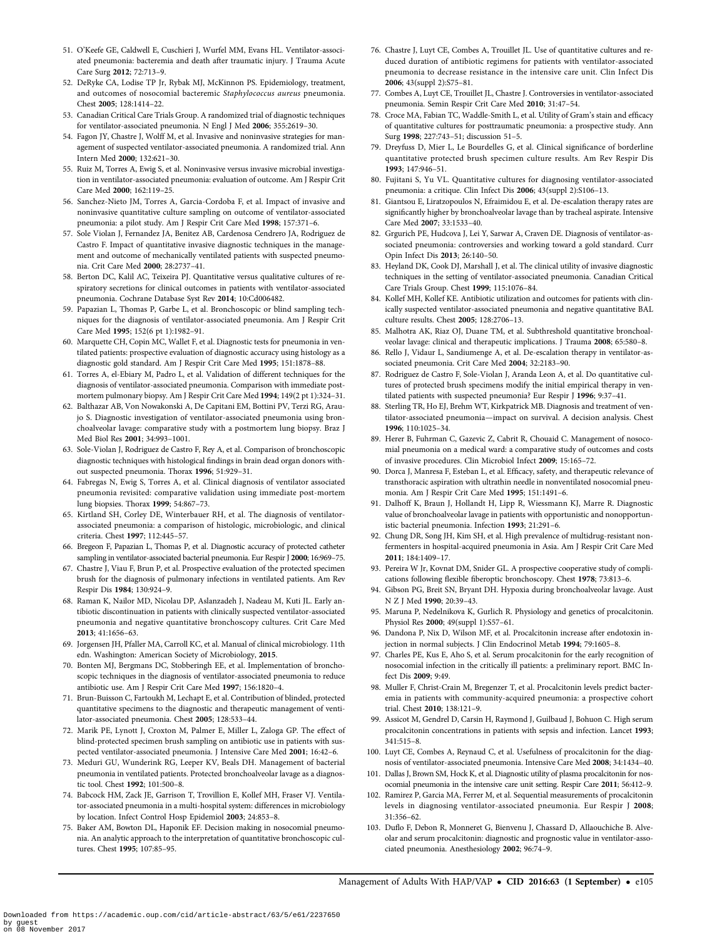- <span id="page-44-0"></span>51. O'Keefe GE, Caldwell E, Cuschieri J, Wurfel MM, Evans HL. Ventilator-associated pneumonia: bacteremia and death after traumatic injury. J Trauma Acute Care Surg 2012; 72:713–9.
- 52. DeRyke CA, Lodise TP Jr, Rybak MJ, McKinnon PS. Epidemiology, treatment, and outcomes of nosocomial bacteremic Staphylococcus aureus pneumonia. Chest 2005; 128:1414–22.
- 53. Canadian Critical Care Trials Group. A randomized trial of diagnostic techniques for ventilator-associated pneumonia. N Engl J Med 2006; 355:2619–30.
- 54. Fagon JY, Chastre J, Wolff M, et al. Invasive and noninvasive strategies for management of suspected ventilator-associated pneumonia. A randomized trial. Ann Intern Med 2000; 132:621–30.
- 55. Ruiz M, Torres A, Ewig S, et al. Noninvasive versus invasive microbial investigation in ventilator-associated pneumonia: evaluation of outcome. Am J Respir Crit Care Med 2000; 162:119–25.
- 56. Sanchez-Nieto JM, Torres A, Garcia-Cordoba F, et al. Impact of invasive and noninvasive quantitative culture sampling on outcome of ventilator-associated pneumonia: a pilot study. Am J Respir Crit Care Med 1998; 157:371–6.
- 57. Sole Violan J, Fernandez JA, Benitez AB, Cardenosa Cendrero JA, Rodriguez de Castro F. Impact of quantitative invasive diagnostic techniques in the management and outcome of mechanically ventilated patients with suspected pneumonia. Crit Care Med 2000; 28:2737–41.
- 58. Berton DC, Kalil AC, Teixeira PJ. Quantitative versus qualitative cultures of respiratory secretions for clinical outcomes in patients with ventilator-associated pneumonia. Cochrane Database Syst Rev 2014; 10:Cd006482.
- 59. Papazian L, Thomas P, Garbe L, et al. Bronchoscopic or blind sampling techniques for the diagnosis of ventilator-associated pneumonia. Am J Respir Crit Care Med 1995; 152(6 pt 1):1982–91.
- 60. Marquette CH, Copin MC, Wallet F, et al. Diagnostic tests for pneumonia in ventilated patients: prospective evaluation of diagnostic accuracy using histology as a diagnostic gold standard. Am J Respir Crit Care Med 1995; 151:1878–88.
- 61. Torres A, el-Ebiary M, Padro L, et al. Validation of different techniques for the diagnosis of ventilator-associated pneumonia. Comparison with immediate postmortem pulmonary biopsy. Am J Respir Crit Care Med 1994; 149(2 pt 1):324–31.
- 62. Balthazar AB, Von Nowakonski A, De Capitani EM, Bottini PV, Terzi RG, Araujo S. Diagnostic investigation of ventilator-associated pneumonia using bronchoalveolar lavage: comparative study with a postmortem lung biopsy. Braz J Med Biol Res 2001; 34:993–1001.
- 63. Sole-Violan J, Rodriguez de Castro F, Rey A, et al. Comparison of bronchoscopic diagnostic techniques with histological findings in brain dead organ donors without suspected pneumonia. Thorax 1996; 51:929–31.
- 64. Fabregas N, Ewig S, Torres A, et al. Clinical diagnosis of ventilator associated pneumonia revisited: comparative validation using immediate post-mortem lung biopsies. Thorax 1999; 54:867–73.
- 65. Kirtland SH, Corley DE, Winterbauer RH, et al. The diagnosis of ventilatorassociated pneumonia: a comparison of histologic, microbiologic, and clinical criteria. Chest 1997; 112:445–57.
- 66. Bregeon F, Papazian L, Thomas P, et al. Diagnostic accuracy of protected catheter sampling in ventilator-associated bacterial pneumonia. Eur Respir J 2000; 16:969–75.
- 67. Chastre J, Viau F, Brun P, et al. Prospective evaluation of the protected specimen brush for the diagnosis of pulmonary infections in ventilated patients. Am Rev Respir Dis 1984; 130:924–9.
- 68. Raman K, Nailor MD, Nicolau DP, Aslanzadeh J, Nadeau M, Kuti JL. Early antibiotic discontinuation in patients with clinically suspected ventilator-associated pneumonia and negative quantitative bronchoscopy cultures. Crit Care Med 2013; 41:1656–63.
- 69. Jorgensen JH, Pfaller MA, Carroll KC, et al. Manual of clinical microbiology. 11th edn. Washington: American Society of Microbiology, 2015.
- 70. Bonten MJ, Bergmans DC, Stobberingh EE, et al. Implementation of bronchoscopic techniques in the diagnosis of ventilator-associated pneumonia to reduce antibiotic use. Am J Respir Crit Care Med 1997; 156:1820–4.
- 71. Brun-Buisson C, Fartoukh M, Lechapt E, et al. Contribution of blinded, protected quantitative specimens to the diagnostic and therapeutic management of ventilator-associated pneumonia. Chest 2005; 128:533–44.
- 72. Marik PE, Lynott J, Croxton M, Palmer E, Miller L, Zaloga GP. The effect of blind-protected specimen brush sampling on antibiotic use in patients with suspected ventilator-associated pneumonia. J Intensive Care Med 2001; 16:42–6.
- 73. Meduri GU, Wunderink RG, Leeper KV, Beals DH. Management of bacterial pneumonia in ventilated patients. Protected bronchoalveolar lavage as a diagnostic tool. Chest 1992; 101:500–8.
- 74. Babcock HM, Zack JE, Garrison T, Trovillion E, Kollef MH, Fraser VJ. Ventilator-associated pneumonia in a multi-hospital system: differences in microbiology by location. Infect Control Hosp Epidemiol 2003; 24:853–8.
- 75. Baker AM, Bowton DL, Haponik EF. Decision making in nosocomial pneumonia. An analytic approach to the interpretation of quantitative bronchoscopic cultures. Chest 1995; 107:85–95.
- 76. Chastre J, Luyt CE, Combes A, Trouillet JL. Use of quantitative cultures and reduced duration of antibiotic regimens for patients with ventilator-associated pneumonia to decrease resistance in the intensive care unit. Clin Infect Dis 2006; 43(suppl 2):S75–81.
- 77. Combes A, Luyt CE, Trouillet JL, Chastre J. Controversies in ventilator-associated pneumonia. Semin Respir Crit Care Med 2010; 31:47–54.
- 78. Croce MA, Fabian TC, Waddle-Smith L, et al. Utility of Gram's stain and efficacy of quantitative cultures for posttraumatic pneumonia: a prospective study. Ann Surg 1998; 227:743–51; discussion 51–5.
- 79. Dreyfuss D, Mier L, Le Bourdelles G, et al. Clinical significance of borderline quantitative protected brush specimen culture results. Am Rev Respir Dis 1993; 147:946–51.
- 80. Fujitani S, Yu VL. Quantitative cultures for diagnosing ventilator-associated pneumonia: a critique. Clin Infect Dis 2006; 43(suppl 2):S106–13.
- 81. Giantsou E, Liratzopoulos N, Efraimidou E, et al. De-escalation therapy rates are significantly higher by bronchoalveolar lavage than by tracheal aspirate. Intensive Care Med 2007; 33:1533–40.
- 82. Grgurich PE, Hudcova J, Lei Y, Sarwar A, Craven DE. Diagnosis of ventilator-associated pneumonia: controversies and working toward a gold standard. Curr Opin Infect Dis 2013; 26:140–50.
- 83. Heyland DK, Cook DJ, Marshall J, et al. The clinical utility of invasive diagnostic techniques in the setting of ventilator-associated pneumonia. Canadian Critical Care Trials Group. Chest 1999; 115:1076–84.
- 84. Kollef MH, Kollef KE. Antibiotic utilization and outcomes for patients with clinically suspected ventilator-associated pneumonia and negative quantitative BAL culture results. Chest 2005; 128:2706–13.
- 85. Malhotra AK, Riaz OJ, Duane TM, et al. Subthreshold quantitative bronchoalveolar lavage: clinical and therapeutic implications. J Trauma 2008; 65:580–8.
- 86. Rello J, Vidaur L, Sandiumenge A, et al. De-escalation therapy in ventilator-associated pneumonia. Crit Care Med 2004; 32:2183–90.
- 87. Rodriguez de Castro F, Sole-Violan J, Aranda Leon A, et al. Do quantitative cultures of protected brush specimens modify the initial empirical therapy in ventilated patients with suspected pneumonia? Eur Respir J 1996; 9:37–41.
- Sterling TR, Ho EJ, Brehm WT, Kirkpatrick MB. Diagnosis and treatment of ventilator-associated pneumonia—impact on survival. A decision analysis. Chest 1996; 110:1025–34.
- 89. Herer B, Fuhrman C, Gazevic Z, Cabrit R, Chouaid C. Management of nosocomial pneumonia on a medical ward: a comparative study of outcomes and costs of invasive procedures. Clin Microbiol Infect 2009; 15:165–72.
- 90. Dorca J, Manresa F, Esteban L, et al. Efficacy, safety, and therapeutic relevance of transthoracic aspiration with ultrathin needle in nonventilated nosocomial pneumonia. Am J Respir Crit Care Med 1995; 151:1491–6.
- 91. Dalhoff K, Braun J, Hollandt H, Lipp R, Wiessmann KJ, Marre R. Diagnostic value of bronchoalveolar lavage in patients with opportunistic and nonopportunistic bacterial pneumonia. Infection 1993; 21:291–6.
- 92. Chung DR, Song JH, Kim SH, et al. High prevalence of multidrug-resistant nonfermenters in hospital-acquired pneumonia in Asia. Am J Respir Crit Care Med 2011; 184:1409–17.
- 93. Pereira W Jr, Kovnat DM, Snider GL. A prospective cooperative study of complications following flexible fiberoptic bronchoscopy. Chest 1978; 73:813–6.
- 94. Gibson PG, Breit SN, Bryant DH. Hypoxia during bronchoalveolar lavage. Aust N Z J Med 1990; 20:39–43.
- 95. Maruna P, Nedelnikova K, Gurlich R. Physiology and genetics of procalcitonin. Physiol Res 2000; 49(suppl 1):S57–61.
- 96. Dandona P, Nix D, Wilson MF, et al. Procalcitonin increase after endotoxin injection in normal subjects. J Clin Endocrinol Metab 1994; 79:1605–8.
- 97. Charles PE, Kus E, Aho S, et al. Serum procalcitonin for the early recognition of nosocomial infection in the critically ill patients: a preliminary report. BMC Infect Dis 2009; 9:49.
- 98. Muller F, Christ-Crain M, Bregenzer T, et al. Procalcitonin levels predict bacteremia in patients with community-acquired pneumonia: a prospective cohort trial. Chest 2010; 138:121–9.
- 99. Assicot M, Gendrel D, Carsin H, Raymond J, Guilbaud J, Bohuon C. High serum procalcitonin concentrations in patients with sepsis and infection. Lancet 1993; 341:515–8.
- 100. Luyt CE, Combes A, Reynaud C, et al. Usefulness of procalcitonin for the diagnosis of ventilator-associated pneumonia. Intensive Care Med 2008; 34:1434–40.
- 101. Dallas J, Brown SM, Hock K, et al. Diagnostic utility of plasma procalcitonin for nosocomial pneumonia in the intensive care unit setting. Respir Care 2011; 56:412–9.
- 102. Ramirez P, Garcia MA, Ferrer M, et al. Sequential measurements of procalcitonin levels in diagnosing ventilator-associated pneumonia. Eur Respir J 2008; 31:356–62.
- 103. Duflo F, Debon R, Monneret G, Bienvenu J, Chassard D, Allaouchiche B. Alveolar and serum procalcitonin: diagnostic and prognostic value in ventilator-associated pneumonia. Anesthesiology 2002; 96:74–9.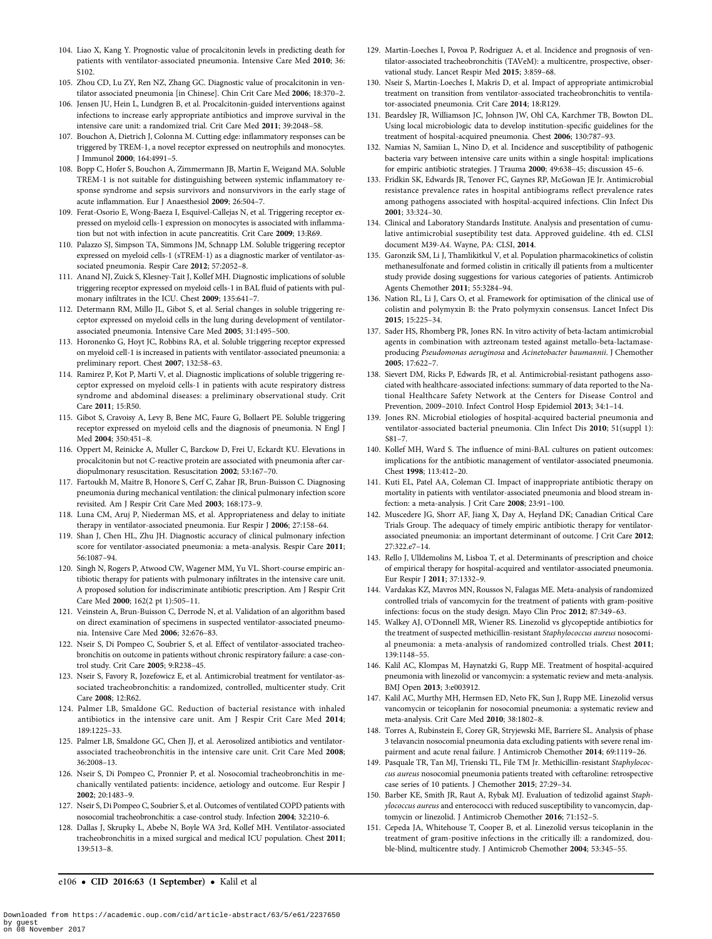- <span id="page-45-0"></span>104. Liao X, Kang Y. Prognostic value of procalcitonin levels in predicting death for patients with ventilator-associated pneumonia. Intensive Care Med 2010; 36: S102.
- 105. Zhou CD, Lu ZY, Ren NZ, Zhang GC. Diagnostic value of procalcitonin in ventilator associated pneumonia [in Chinese]. Chin Crit Care Med 2006; 18:370–2.
- 106. Jensen JU, Hein L, Lundgren B, et al. Procalcitonin-guided interventions against infections to increase early appropriate antibiotics and improve survival in the intensive care unit: a randomized trial. Crit Care Med 2011; 39:2048–58.
- 107. Bouchon A, Dietrich J, Colonna M. Cutting edge: inflammatory responses can be triggered by TREM-1, a novel receptor expressed on neutrophils and monocytes. J Immunol 2000; 164:4991–5.
- 108. Bopp C, Hofer S, Bouchon A, Zimmermann JB, Martin E, Weigand MA. Soluble TREM-1 is not suitable for distinguishing between systemic inflammatory response syndrome and sepsis survivors and nonsurvivors in the early stage of acute inflammation. Eur J Anaesthesiol 2009; 26:504–7.
- 109. Ferat-Osorio E, Wong-Baeza I, Esquivel-Callejas N, et al. Triggering receptor expressed on myeloid cells-1 expression on monocytes is associated with inflammation but not with infection in acute pancreatitis. Crit Care 2009; 13:R69.
- 110. Palazzo SJ, Simpson TA, Simmons JM, Schnapp LM. Soluble triggering receptor expressed on myeloid cells-1 (sTREM-1) as a diagnostic marker of ventilator-associated pneumonia. Respir Care 2012; 57:2052–8.
- 111. Anand NJ, Zuick S, Klesney-Tait J, Kollef MH. Diagnostic implications of soluble triggering receptor expressed on myeloid cells-1 in BAL fluid of patients with pulmonary infiltrates in the ICU. Chest 2009; 135:641–7.
- 112. Determann RM, Millo JL, Gibot S, et al. Serial changes in soluble triggering receptor expressed on myeloid cells in the lung during development of ventilatorassociated pneumonia. Intensive Care Med 2005; 31:1495–500.
- 113. Horonenko G, Hoyt JC, Robbins RA, et al. Soluble triggering receptor expressed on myeloid cell-1 is increased in patients with ventilator-associated pneumonia: a preliminary report. Chest 2007; 132:58–63.
- 114. Ramirez P, Kot P, Marti V, et al. Diagnostic implications of soluble triggering receptor expressed on myeloid cells-1 in patients with acute respiratory distress syndrome and abdominal diseases: a preliminary observational study. Crit Care 2011; 15:R50.
- 115. Gibot S, Cravoisy A, Levy B, Bene MC, Faure G, Bollaert PE. Soluble triggering receptor expressed on myeloid cells and the diagnosis of pneumonia. N Engl J Med 2004; 350:451–8.
- 116. Oppert M, Reinicke A, Muller C, Barckow D, Frei U, Eckardt KU. Elevations in procalcitonin but not C-reactive protein are associated with pneumonia after cardiopulmonary resuscitation. Resuscitation 2002; 53:167–70.
- 117. Fartoukh M, Maitre B, Honore S, Cerf C, Zahar JR, Brun-Buisson C. Diagnosing pneumonia during mechanical ventilation: the clinical pulmonary infection score revisited. Am J Respir Crit Care Med 2003; 168:173–9.
- 118. Luna CM, Aruj P, Niederman MS, et al. Appropriateness and delay to initiate therapy in ventilator-associated pneumonia. Eur Respir J 2006; 27:158–64.
- 119. Shan J, Chen HL, Zhu JH. Diagnostic accuracy of clinical pulmonary infection score for ventilator-associated pneumonia: a meta-analysis. Respir Care 2011; 56:1087–94.
- 120. Singh N, Rogers P, Atwood CW, Wagener MM, Yu VL. Short-course empiric antibiotic therapy for patients with pulmonary infiltrates in the intensive care unit. A proposed solution for indiscriminate antibiotic prescription. Am J Respir Crit Care Med 2000; 162(2 pt 1):505–11.
- 121. Veinstein A, Brun-Buisson C, Derrode N, et al. Validation of an algorithm based on direct examination of specimens in suspected ventilator-associated pneumonia. Intensive Care Med 2006; 32:676–83.
- 122. Nseir S, Di Pompeo C, Soubrier S, et al. Effect of ventilator-associated tracheobronchitis on outcome in patients without chronic respiratory failure: a case-control study. Crit Care 2005; 9:R238–45.
- 123. Nseir S, Favory R, Jozefowicz E, et al. Antimicrobial treatment for ventilator-associated tracheobronchitis: a randomized, controlled, multicenter study. Crit Care 2008; 12:R62.
- 124. Palmer LB, Smaldone GC. Reduction of bacterial resistance with inhaled antibiotics in the intensive care unit. Am J Respir Crit Care Med 2014; 189:1225–33.
- 125. Palmer LB, Smaldone GC, Chen JJ, et al. Aerosolized antibiotics and ventilatorassociated tracheobronchitis in the intensive care unit. Crit Care Med 2008; 36:2008–13.
- 126. Nseir S, Di Pompeo C, Pronnier P, et al. Nosocomial tracheobronchitis in mechanically ventilated patients: incidence, aetiology and outcome. Eur Respir J 2002; 20:1483–9.
- 127. Nseir S, Di Pompeo C, Soubrier S, et al. Outcomes of ventilated COPD patients with nosocomial tracheobronchitis: a case-control study. Infection 2004; 32:210–6.
- 128. Dallas J, Skrupky L, Abebe N, Boyle WA 3rd, Kollef MH. Ventilator-associated tracheobronchitis in a mixed surgical and medical ICU population. Chest 2011; 139:513–8.
- 129. Martin-Loeches I, Povoa P, Rodriguez A, et al. Incidence and prognosis of ventilator-associated tracheobronchitis (TAVeM): a multicentre, prospective, observational study. Lancet Respir Med 2015; 3:859–68.
- 130. Nseir S, Martin-Loeches I, Makris D, et al. Impact of appropriate antimicrobial treatment on transition from ventilator-associated tracheobronchitis to ventilator-associated pneumonia. Crit Care 2014; 18:R129.
- 131. Beardsley JR, Williamson JC, Johnson JW, Ohl CA, Karchmer TB, Bowton DL. Using local microbiologic data to develop institution-specific guidelines for the treatment of hospital-acquired pneumonia. Chest 2006; 130:787–93.
- 132. Namias N, Samiian L, Nino D, et al. Incidence and susceptibility of pathogenic bacteria vary between intensive care units within a single hospital: implications for empiric antibiotic strategies. J Trauma 2000; 49:638–45; discussion 45–6.
- 133. Fridkin SK, Edwards JR, Tenover FC, Gaynes RP, McGowan JE Jr. Antimicrobial resistance prevalence rates in hospital antibiograms reflect prevalence rates among pathogens associated with hospital-acquired infections. Clin Infect Dis 2001; 33:324–30.
- 134. Clinical and Laboratory Standards Institute. Analysis and presentation of cumulative antimicrobial suseptibility test data. Approved guideline. 4th ed. CLSI document M39-A4. Wayne, PA: CLSI, 2014.
- 135. Garonzik SM, Li J, Thamlikitkul V, et al. Population pharmacokinetics of colistin methanesulfonate and formed colistin in critically ill patients from a multicenter study provide dosing suggestions for various categories of patients. Antimicrob Agents Chemother 2011; 55:3284–94.
- 136. Nation RL, Li J, Cars O, et al. Framework for optimisation of the clinical use of colistin and polymyxin B: the Prato polymyxin consensus. Lancet Infect Dis 2015; 15:225–34.
- 137. Sader HS, Rhomberg PR, Jones RN. In vitro activity of beta-lactam antimicrobial agents in combination with aztreonam tested against metallo-beta-lactamaseproducing Pseudomonas aeruginosa and Acinetobacter baumannii. J Chemother 2005; 17:622–7.
- 138. Sievert DM, Ricks P, Edwards JR, et al. Antimicrobial-resistant pathogens associated with healthcare-associated infections: summary of data reported to the National Healthcare Safety Network at the Centers for Disease Control and Prevention, 2009–2010. Infect Control Hosp Epidemiol 2013; 34:1–14.
- 139. Jones RN. Microbial etiologies of hospital-acquired bacterial pneumonia and ventilator-associated bacterial pneumonia. Clin Infect Dis 2010; 51(suppl 1): S81–7.
- 140. Kollef MH, Ward S. The influence of mini-BAL cultures on patient outcomes: implications for the antibiotic management of ventilator-associated pneumonia. Chest 1998; 113:412–20.
- 141. Kuti EL, Patel AA, Coleman CI. Impact of inappropriate antibiotic therapy on mortality in patients with ventilator-associated pneumonia and blood stream infection: a meta-analysis. J Crit Care 2008; 23:91–100.
- 142. Muscedere JG, Shorr AF, Jiang X, Day A, Heyland DK; Canadian Critical Care Trials Group. The adequacy of timely empiric antibiotic therapy for ventilatorassociated pneumonia: an important determinant of outcome. J Crit Care 2012; 27:322.e7–14.
- 143. Rello J, Ulldemolins M, Lisboa T, et al. Determinants of prescription and choice of empirical therapy for hospital-acquired and ventilator-associated pneumonia. Eur Respir J 2011; 37:1332–9.
- 144. Vardakas KZ, Mavros MN, Roussos N, Falagas ME. Meta-analysis of randomized controlled trials of vancomycin for the treatment of patients with gram-positive infections: focus on the study design. Mayo Clin Proc 2012; 87:349–63.
- 145. Walkey AJ, O'Donnell MR, Wiener RS. Linezolid vs glycopeptide antibiotics for the treatment of suspected methicillin-resistant Staphylococcus aureus nosocomial pneumonia: a meta-analysis of randomized controlled trials. Chest 2011; 139:1148–55.
- 146. Kalil AC, Klompas M, Haynatzki G, Rupp ME. Treatment of hospital-acquired pneumonia with linezolid or vancomycin: a systematic review and meta-analysis. BMJ Open 2013; 3:e003912.
- 147. Kalil AC, Murthy MH, Hermsen ED, Neto FK, Sun J, Rupp ME. Linezolid versus vancomycin or teicoplanin for nosocomial pneumonia: a systematic review and meta-analysis. Crit Care Med 2010; 38:1802–8.
- 148. Torres A, Rubinstein E, Corey GR, Stryjewski ME, Barriere SL. Analysis of phase 3 telavancin nosocomial pneumonia data excluding patients with severe renal impairment and acute renal failure. J Antimicrob Chemother 2014; 69:1119–26.
- 149. Pasquale TR, Tan MJ, Trienski TL, File TM Jr. Methicillin-resistant Staphylococcus aureus nosocomial pneumonia patients treated with ceftaroline: retrospective case series of 10 patients. J Chemother 2015; 27:29–34.
- 150. Barber KE, Smith JR, Raut A, Rybak MJ. Evaluation of tedizolid against Staphylococcus aureus and enterococci with reduced susceptibility to vancomycin, daptomycin or linezolid. J Antimicrob Chemother 2016; 71:152–5.
- 151. Cepeda JA, Whitehouse T, Cooper B, et al. Linezolid versus teicoplanin in the treatment of gram-positive infections in the critically ill: a randomized, double-blind, multicentre study. J Antimicrob Chemother 2004; 53:345–55.

e106 • CID 2016:63 (1 September) • Kalil et al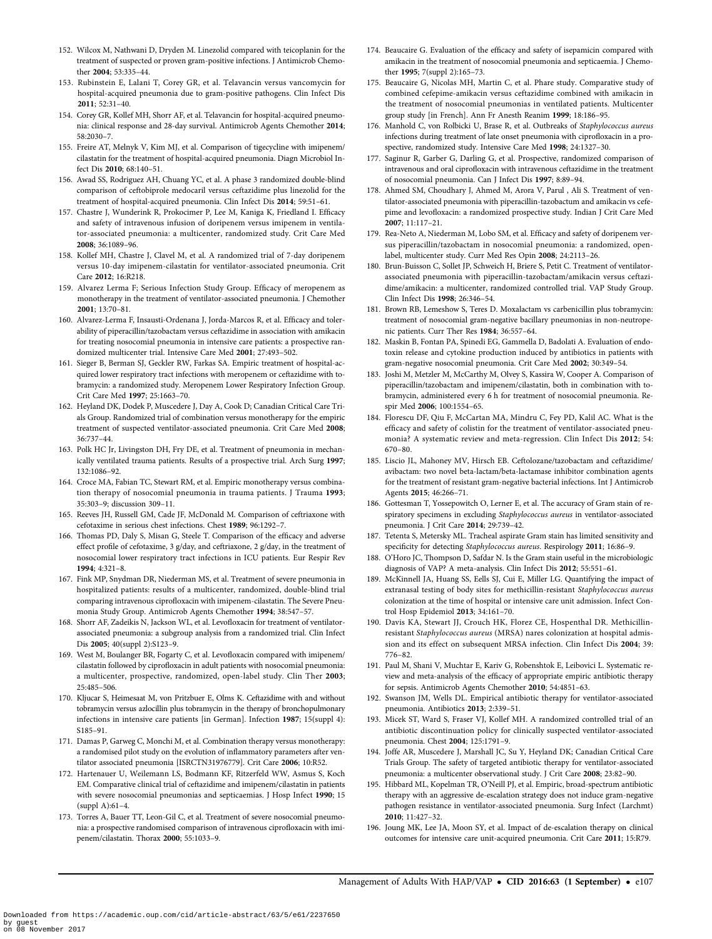- <span id="page-46-0"></span>152. Wilcox M, Nathwani D, Dryden M. Linezolid compared with teicoplanin for the treatment of suspected or proven gram-positive infections. J Antimicrob Chemother 2004; 53:335–44.
- 153. Rubinstein E, Lalani T, Corey GR, et al. Telavancin versus vancomycin for hospital-acquired pneumonia due to gram-positive pathogens. Clin Infect Dis 2011; 52:31–40.
- 154. Corey GR, Kollef MH, Shorr AF, et al. Telavancin for hospital-acquired pneumonia: clinical response and 28-day survival. Antimicrob Agents Chemother 2014; 58:2030–7.
- 155. Freire AT, Melnyk V, Kim MJ, et al. Comparison of tigecycline with imipenem/ cilastatin for the treatment of hospital-acquired pneumonia. Diagn Microbiol Infect Dis 2010; 68:140–51.
- 156. Awad SS, Rodriguez AH, Chuang YC, et al. A phase 3 randomized double-blind comparison of ceftobiprole medocaril versus ceftazidime plus linezolid for the treatment of hospital-acquired pneumonia. Clin Infect Dis 2014; 59:51–61.
- 157. Chastre J, Wunderink R, Prokocimer P, Lee M, Kaniga K, Friedland I. Efficacy and safety of intravenous infusion of doripenem versus imipenem in ventilator-associated pneumonia: a multicenter, randomized study. Crit Care Med 2008; 36:1089–96.
- 158. Kollef MH, Chastre J, Clavel M, et al. A randomized trial of 7-day doripenem versus 10-day imipenem-cilastatin for ventilator-associated pneumonia. Crit Care 2012; 16:R218.
- 159. Alvarez Lerma F; Serious Infection Study Group. Efficacy of meropenem as monotherapy in the treatment of ventilator-associated pneumonia. J Chemother 2001; 13:70–81.
- 160. Alvarez-Lerma F, Insausti-Ordenana J, Jorda-Marcos R, et al. Efficacy and tolerability of piperacillin/tazobactam versus ceftazidime in association with amikacin for treating nosocomial pneumonia in intensive care patients: a prospective randomized multicenter trial. Intensive Care Med 2001; 27:493–502.
- 161. Sieger B, Berman SJ, Geckler RW, Farkas SA. Empiric treatment of hospital-acquired lower respiratory tract infections with meropenem or ceftazidime with tobramycin: a randomized study. Meropenem Lower Respiratory Infection Group. Crit Care Med 1997; 25:1663–70.
- 162. Heyland DK, Dodek P, Muscedere J, Day A, Cook D; Canadian Critical Care Trials Group. Randomized trial of combination versus monotherapy for the empiric treatment of suspected ventilator-associated pneumonia. Crit Care Med 2008; 36:737–44.
- 163. Polk HC Jr, Livingston DH, Fry DE, et al. Treatment of pneumonia in mechanically ventilated trauma patients. Results of a prospective trial. Arch Surg 1997; 132:1086–92.
- 164. Croce MA, Fabian TC, Stewart RM, et al. Empiric monotherapy versus combination therapy of nosocomial pneumonia in trauma patients. J Trauma 1993; 35:303–9; discussion 309–11.
- 165. Reeves JH, Russell GM, Cade JF, McDonald M. Comparison of ceftriaxone with cefotaxime in serious chest infections. Chest 1989; 96:1292–7.
- 166. Thomas PD, Daly S, Misan G, Steele T. Comparison of the efficacy and adverse effect profile of cefotaxime, 3 g/day, and ceftriaxone, 2 g/day, in the treatment of nosocomial lower respiratory tract infections in ICU patients. Eur Respir Rev 1994; 4:321–8.
- 167. Fink MP, Snydman DR, Niederman MS, et al. Treatment of severe pneumonia in hospitalized patients: results of a multicenter, randomized, double-blind trial comparing intravenous ciprofloxacin with imipenem-cilastatin. The Severe Pneumonia Study Group. Antimicrob Agents Chemother 1994; 38:547–57.
- 168. Shorr AF, Zadeikis N, Jackson WL, et al. Levofloxacin for treatment of ventilatorassociated pneumonia: a subgroup analysis from a randomized trial. Clin Infect Dis 2005; 40(suppl 2):S123–9.
- 169. West M, Boulanger BR, Fogarty C, et al. Levofloxacin compared with imipenem/ cilastatin followed by ciprofloxacin in adult patients with nosocomial pneumonia: a multicenter, prospective, randomized, open-label study. Clin Ther 2003; 25:485–506.
- 170. Kljucar S, Heimesaat M, von Pritzbuer E, Olms K. Ceftazidime with and without tobramycin versus azlocillin plus tobramycin in the therapy of bronchopulmonary infections in intensive care patients [in German]. Infection 1987; 15(suppl 4): S185–91.
- 171. Damas P, Garweg C, Monchi M, et al. Combination therapy versus monotherapy: a randomised pilot study on the evolution of inflammatory parameters after ventilator associated pneumonia [ISRCTN31976779]. Crit Care 2006; 10:R52.
- 172. Hartenauer U, Weilemann LS, Bodmann KF, Ritzerfeld WW, Asmus S, Koch EM. Comparative clinical trial of ceftazidime and imipenem/cilastatin in patients with severe nosocomial pneumonias and septicaemias. J Hosp Infect 1990; 15 (suppl A):61–4.
- 173. Torres A, Bauer TT, Leon-Gil C, et al. Treatment of severe nosocomial pneumonia: a prospective randomised comparison of intravenous ciprofloxacin with imipenem/cilastatin. Thorax 2000; 55:1033–9.
- 174. Beaucaire G. Evaluation of the efficacy and safety of isepamicin compared with amikacin in the treatment of nosocomial pneumonia and septicaemia. J Chemother 1995; 7(suppl 2):165–73.
- 175. Beaucaire G, Nicolas MH, Martin C, et al. Phare study. Comparative study of combined cefepime-amikacin versus ceftazidime combined with amikacin in the treatment of nosocomial pneumonias in ventilated patients. Multicenter group study [in French]. Ann Fr Anesth Reanim 1999; 18:186–95.
- 176. Manhold C, von Rolbicki U, Brase R, et al. Outbreaks of Staphylococcus aureus infections during treatment of late onset pneumonia with ciprofloxacin in a prospective, randomized study. Intensive Care Med 1998; 24:1327–30.
- 177. Saginur R, Garber G, Darling G, et al. Prospective, randomized comparison of intravenous and oral ciprofloxacin with intravenous ceftazidime in the treatment of nosocomial pneumonia. Can J Infect Dis 1997; 8:89–94.
- 178. Ahmed SM, Choudhary J, Ahmed M, Arora V, Parul , Ali S. Treatment of ventilator-associated pneumonia with piperacillin-tazobactum and amikacin vs cefepime and levofloxacin: a randomized prospective study. Indian J Crit Care Med 2007; 11:117–21.
- 179. Rea-Neto A, Niederman M, Lobo SM, et al. Efficacy and safety of doripenem versus piperacillin/tazobactam in nosocomial pneumonia: a randomized, openlabel, multicenter study. Curr Med Res Opin 2008; 24:2113–26.
- 180. Brun-Buisson C, Sollet JP, Schweich H, Briere S, Petit C. Treatment of ventilatorassociated pneumonia with piperacillin-tazobactam/amikacin versus ceftazidime/amikacin: a multicenter, randomized controlled trial. VAP Study Group. Clin Infect Dis 1998; 26:346–54.
- 181. Brown RB, Lemeshow S, Teres D. Moxalactam vs carbenicillin plus tobramycin: treatment of nosocomial gram-negative bacillary pneumonias in non-neutropenic patients. Curr Ther Res 1984; 36:557–64.
- 182. Maskin B, Fontan PA, Spinedi EG, Gammella D, Badolati A. Evaluation of endotoxin release and cytokine production induced by antibiotics in patients with gram-negative nosocomial pneumonia. Crit Care Med 2002; 30:349–54.
- 183. Joshi M, Metzler M, McCarthy M, Olvey S, Kassira W, Cooper A. Comparison of piperacillin/tazobactam and imipenem/cilastatin, both in combination with tobramycin, administered every 6 h for treatment of nosocomial pneumonia. Respir Med 2006; 100:1554–65.
- 184. Florescu DF, Qiu F, McCartan MA, Mindru C, Fey PD, Kalil AC. What is the efficacy and safety of colistin for the treatment of ventilator-associated pneumonia? A systematic review and meta-regression. Clin Infect Dis 2012; 54: 670–80.
- 185. Liscio JL, Mahoney MV, Hirsch EB. Ceftolozane/tazobactam and ceftazidime/ avibactam: two novel beta-lactam/beta-lactamase inhibitor combination agents for the treatment of resistant gram-negative bacterial infections. Int J Antimicrob Agents 2015; 46:266–71.
- 186. Gottesman T, Yossepowitch O, Lerner E, et al. The accuracy of Gram stain of respiratory specimens in excluding Staphylococcus aureus in ventilator-associated pneumonia. J Crit Care 2014; 29:739–42.
- 187. Tetenta S, Metersky ML. Tracheal aspirate Gram stain has limited sensitivity and specificity for detecting Staphylococcus aureus. Respirology 2011; 16:86-9.
- 188. O'Horo JC, Thompson D, Safdar N. Is the Gram stain useful in the microbiologic diagnosis of VAP? A meta-analysis. Clin Infect Dis 2012; 55:551–61.
- 189. McKinnell JA, Huang SS, Eells SJ, Cui E, Miller LG. Quantifying the impact of extranasal testing of body sites for methicillin-resistant Staphylococcus aureus colonization at the time of hospital or intensive care unit admission. Infect Control Hosp Epidemiol 2013; 34:161–70.
- 190. Davis KA, Stewart JJ, Crouch HK, Florez CE, Hospenthal DR. Methicillinresistant Staphylococcus aureus (MRSA) nares colonization at hospital admission and its effect on subsequent MRSA infection. Clin Infect Dis 2004; 39: 776–82.
- 191. Paul M, Shani V, Muchtar E, Kariv G, Robenshtok E, Leibovici L. Systematic review and meta-analysis of the efficacy of appropriate empiric antibiotic therapy for sepsis. Antimicrob Agents Chemother 2010; 54:4851–63.
- 192. Swanson JM, Wells DL. Empirical antibiotic therapy for ventilator-associated pneumonia. Antibiotics 2013; 2:339–51.
- 193. Micek ST, Ward S, Fraser VJ, Kollef MH. A randomized controlled trial of an antibiotic discontinuation policy for clinically suspected ventilator-associated pneumonia. Chest 2004; 125:1791–9.
- 194. Joffe AR, Muscedere J, Marshall JC, Su Y, Heyland DK; Canadian Critical Care Trials Group. The safety of targeted antibiotic therapy for ventilator-associated pneumonia: a multicenter observational study. J Crit Care 2008; 23:82–90.
- 195. Hibbard ML, Kopelman TR, O'Neill PJ, et al. Empiric, broad-spectrum antibiotic therapy with an aggressive de-escalation strategy does not induce gram-negative pathogen resistance in ventilator-associated pneumonia. Surg Infect (Larchmt) 2010; 11:427–32.
- 196. Joung MK, Lee JA, Moon SY, et al. Impact of de-escalation therapy on clinical outcomes for intensive care unit-acquired pneumonia. Crit Care 2011; 15:R79.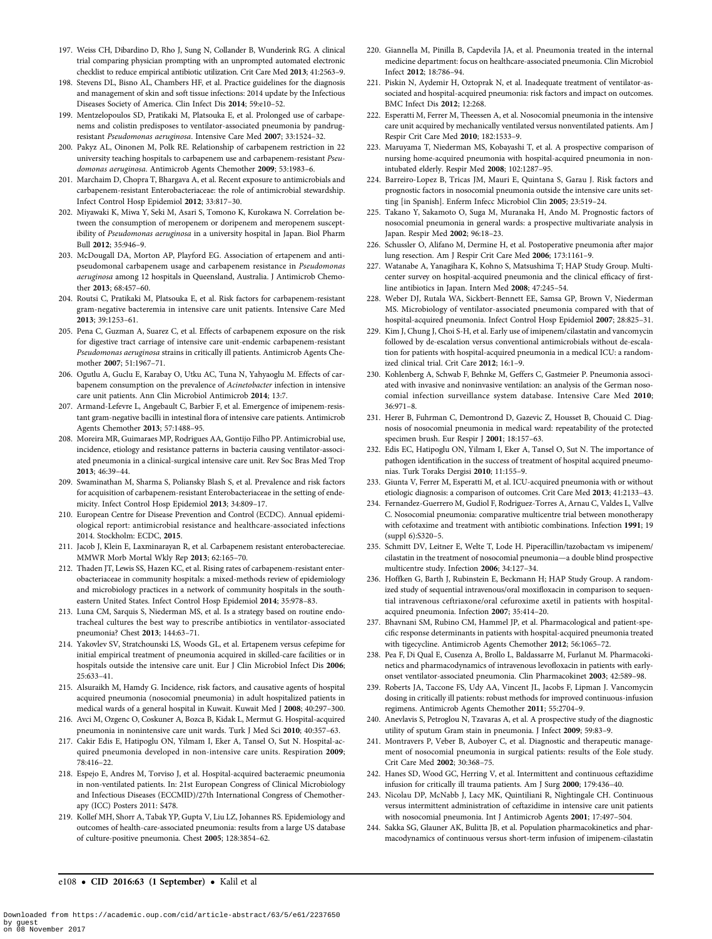- <span id="page-47-0"></span>197. Weiss CH, Dibardino D, Rho J, Sung N, Collander B, Wunderink RG. A clinical trial comparing physician prompting with an unprompted automated electronic checklist to reduce empirical antibiotic utilization. Crit Care Med 2013; 41:2563–9.
- 198. Stevens DL, Bisno AL, Chambers HF, et al. Practice guidelines for the diagnosis and management of skin and soft tissue infections: 2014 update by the Infectious Diseases Society of America. Clin Infect Dis 2014; 59:e10–52.
- 199. Mentzelopoulos SD, Pratikaki M, Platsouka E, et al. Prolonged use of carbapenems and colistin predisposes to ventilator-associated pneumonia by pandrugresistant Pseudomonas aeruginosa. Intensive Care Med 2007; 33:1524–32.
- 200. Pakyz AL, Oinonen M, Polk RE. Relationship of carbapenem restriction in 22 university teaching hospitals to carbapenem use and carbapenem-resistant Pseudomonas aeruginosa. Antimicrob Agents Chemother 2009; 53:1983–6.
- 201. Marchaim D, Chopra T, Bhargava A, et al. Recent exposure to antimicrobials and carbapenem-resistant Enterobacteriaceae: the role of antimicrobial stewardship. Infect Control Hosp Epidemiol 2012; 33:817–30.
- 202. Miyawaki K, Miwa Y, Seki M, Asari S, Tomono K, Kurokawa N. Correlation between the consumption of meropenem or doripenem and meropenem susceptibility of Pseudomonas aeruginosa in a university hospital in Japan. Biol Pharm Bull 2012; 35:946–9.
- 203. McDougall DA, Morton AP, Playford EG. Association of ertapenem and antipseudomonal carbapenem usage and carbapenem resistance in Pseudomonas aeruginosa among 12 hospitals in Queensland, Australia. J Antimicrob Chemother 2013; 68:457–60.
- 204. Routsi C, Pratikaki M, Platsouka E, et al. Risk factors for carbapenem-resistant gram-negative bacteremia in intensive care unit patients. Intensive Care Med 2013; 39:1253–61.
- 205. Pena C, Guzman A, Suarez C, et al. Effects of carbapenem exposure on the risk for digestive tract carriage of intensive care unit-endemic carbapenem-resistant Pseudomonas aeruginosa strains in critically ill patients. Antimicrob Agents Chemother 2007; 51:1967–71.
- 206. Ogutlu A, Guclu E, Karabay O, Utku AC, Tuna N, Yahyaoglu M. Effects of carbapenem consumption on the prevalence of Acinetobacter infection in intensive care unit patients. Ann Clin Microbiol Antimicrob 2014; 13:7.
- 207. Armand-Lefevre L, Angebault C, Barbier F, et al. Emergence of imipenem-resistant gram-negative bacilli in intestinal flora of intensive care patients. Antimicrob Agents Chemother 2013; 57:1488–95.
- 208. Moreira MR, Guimaraes MP, Rodrigues AA, Gontijo Filho PP. Antimicrobial use, incidence, etiology and resistance patterns in bacteria causing ventilator-associated pneumonia in a clinical-surgical intensive care unit. Rev Soc Bras Med Trop 2013; 46:39–44.
- 209. Swaminathan M, Sharma S, Poliansky Blash S, et al. Prevalence and risk factors for acquisition of carbapenem-resistant Enterobacteriaceae in the setting of endemicity. Infect Control Hosp Epidemiol 2013; 34:809–17.
- 210. European Centre for Disease Prevention and Control (ECDC). Annual epidemiological report: antimicrobial resistance and healthcare-associated infections 2014. Stockholm: ECDC, 2015.
- 211. Jacob J, Klein E, Laxminarayan R, et al. Carbapenem resistant enterobactereciae. MMWR Morb Mortal Wkly Rep 2013; 62:165–70.
- 212. Thaden JT, Lewis SS, Hazen KC, et al. Rising rates of carbapenem-resistant enterobacteriaceae in community hospitals: a mixed-methods review of epidemiology and microbiology practices in a network of community hospitals in the southeastern United States. Infect Control Hosp Epidemiol 2014; 35:978–83.
- 213. Luna CM, Sarquis S, Niederman MS, et al. Is a strategy based on routine endotracheal cultures the best way to prescribe antibiotics in ventilator-associated pneumonia? Chest 2013; 144:63–71.
- 214. Yakovlev SV, Stratchounski LS, Woods GL, et al. Ertapenem versus cefepime for initial empirical treatment of pneumonia acquired in skilled-care facilities or in hospitals outside the intensive care unit. Eur J Clin Microbiol Infect Dis 2006; 25:633–41.
- 215. Alsuraikh M, Hamdy G. Incidence, risk factors, and causative agents of hospital acquired pneumonia (nosocomial pneumonia) in adult hospitalized patients in medical wards of a general hospital in Kuwait. Kuwait Med J 2008; 40:297–300.
- 216. Avci M, Ozgenc O, Coskuner A, Bozca B, Kidak L, Mermut G. Hospital-acquired pneumonia in nonintensive care unit wards. Turk J Med Sci 2010; 40:357–63.
- 217. Cakir Edis E, Hatipoglu ON, Yilmam I, Eker A, Tansel O, Sut N. Hospital-acquired pneumonia developed in non-intensive care units. Respiration 2009; 78:416–22.
- 218. Espejo E, Andres M, Torviso J, et al. Hospital-acquired bacteraemic pneumonia in non-ventilated patients. In: 21st European Congress of Clinical Microbiology and Infectious Diseases (ECCMID)/27th International Congress of Chemotherapy (ICC) Posters 2011: S478.
- 219. Kollef MH, Shorr A, Tabak YP, Gupta V, Liu LZ, Johannes RS. Epidemiology and outcomes of health-care-associated pneumonia: results from a large US database of culture-positive pneumonia. Chest 2005; 128:3854–62.
- 220. Giannella M, Pinilla B, Capdevila JA, et al. Pneumonia treated in the internal medicine department: focus on healthcare-associated pneumonia. Clin Microbiol Infect 2012; 18:786–94.
- 221. Piskin N, Aydemir H, Oztoprak N, et al. Inadequate treatment of ventilator-associated and hospital-acquired pneumonia: risk factors and impact on outcomes. BMC Infect Dis 2012; 12:268.
- 222. Esperatti M, Ferrer M, Theessen A, et al. Nosocomial pneumonia in the intensive care unit acquired by mechanically ventilated versus nonventilated patients. Am J Respir Crit Care Med 2010; 182:1533–9.
- 223. Maruyama T, Niederman MS, Kobayashi T, et al. A prospective comparison of nursing home-acquired pneumonia with hospital-acquired pneumonia in nonintubated elderly. Respir Med 2008; 102:1287–95.
- 224. Barreiro-Lopez B, Tricas JM, Mauri E, Quintana S, Garau J. Risk factors and prognostic factors in nosocomial pneumonia outside the intensive care units setting [in Spanish]. Enferm Infecc Microbiol Clin 2005; 23:519–24.
- 225. Takano Y, Sakamoto O, Suga M, Muranaka H, Ando M. Prognostic factors of nosocomial pneumonia in general wards: a prospective multivariate analysis in Japan. Respir Med 2002; 96:18–23.
- 226. Schussler O, Alifano M, Dermine H, et al. Postoperative pneumonia after major lung resection. Am J Respir Crit Care Med 2006; 173:1161–9.
- 227. Watanabe A, Yanagihara K, Kohno S, Matsushima T; HAP Study Group. Multicenter survey on hospital-acquired pneumonia and the clinical efficacy of firstline antibiotics in Japan. Intern Med 2008; 47:245–54.
- 228. Weber DJ, Rutala WA, Sickbert-Bennett EE, Samsa GP, Brown V, Niederman MS. Microbiology of ventilator-associated pneumonia compared with that of hospital-acquired pneumonia. Infect Control Hosp Epidemiol 2007; 28:825–31.
- 229. Kim J, Chung J, Choi S-H, et al. Early use of imipenem/cilastatin and vancomycin followed by de-escalation versus conventional antimicrobials without de-escalation for patients with hospital-acquired pneumonia in a medical ICU: a randomized clinical trial. Crit Care 2012; 16:1–9.
- 230. Kohlenberg A, Schwab F, Behnke M, Geffers C, Gastmeier P. Pneumonia associated with invasive and noninvasive ventilation: an analysis of the German nosocomial infection surveillance system database. Intensive Care Med 2010; 36:971–8.
- 231. Herer B, Fuhrman C, Demontrond D, Gazevic Z, Housset B, Chouaid C. Diagnosis of nosocomial pneumonia in medical ward: repeatability of the protected specimen brush. Eur Respir J 2001; 18:157-63.
- 232. Edis EC, Hatipoglu ON, Yilmam I, Eker A, Tansel O, Sut N. The importance of pathogen identification in the success of treatment of hospital acquired pneumonias. Turk Toraks Dergisi 2010; 11:155–9.
- 233. Giunta V, Ferrer M, Esperatti M, et al. ICU-acquired pneumonia with or without etiologic diagnosis: a comparison of outcomes. Crit Care Med 2013; 41:2133–43.
- 234. Fernandez-Guerrero M, Gudiol F, Rodriguez-Torres A, Arnau C, Valdes L, Vallve C. Nosocomial pneumonia: comparative multicentre trial between monotherapy with cefotaxime and treatment with antibiotic combinations. Infection 1991; 19 (suppl 6):S320–5.
- 235. Schmitt DV, Leitner E, Welte T, Lode H. Piperacillin/tazobactam vs imipenem/ cilastatin in the treatment of nosocomial pneumonia—a double blind prospective multicentre study. Infection 2006; 34:127–34.
- 236. Hoffken G, Barth J, Rubinstein E, Beckmann H; HAP Study Group. A randomized study of sequential intravenous/oral moxifloxacin in comparison to sequential intravenous ceftriaxone/oral cefuroxime axetil in patients with hospitalacquired pneumonia. Infection 2007; 35:414–20.
- 237. Bhavnani SM, Rubino CM, Hammel JP, et al. Pharmacological and patient-specific response determinants in patients with hospital-acquired pneumonia treated with tigecycline. Antimicrob Agents Chemother 2012; 56:1065–72.
- 238. Pea F, Di Qual E, Cusenza A, Brollo L, Baldassarre M, Furlanut M. Pharmacokinetics and pharmacodynamics of intravenous levofloxacin in patients with earlyonset ventilator-associated pneumonia. Clin Pharmacokinet 2003; 42:589–98.
- 239. Roberts JA, Taccone FS, Udy AA, Vincent JL, Jacobs F, Lipman J. Vancomycin dosing in critically ill patients: robust methods for improved continuous-infusion regimens. Antimicrob Agents Chemother 2011; 55:2704–9.
- 240. Anevlavis S, Petroglou N, Tzavaras A, et al. A prospective study of the diagnostic utility of sputum Gram stain in pneumonia. J Infect 2009; 59:83–9.
- 241. Montravers P, Veber B, Auboyer C, et al. Diagnostic and therapeutic management of nosocomial pneumonia in surgical patients: results of the Eole study. Crit Care Med 2002; 30:368–75.
- 242. Hanes SD, Wood GC, Herring V, et al. Intermittent and continuous ceftazidime infusion for critically ill trauma patients. Am J Surg 2000; 179:436–40.
- 243. Nicolau DP, McNabb J, Lacy MK, Quintiliani R, Nightingale CH. Continuous versus intermittent administration of ceftazidime in intensive care unit patients with nosocomial pneumonia. Int J Antimicrob Agents 2001; 17:497–504.
- 244. Sakka SG, Glauner AK, Bulitta JB, et al. Population pharmacokinetics and pharmacodynamics of continuous versus short-term infusion of imipenem-cilastatin

e108 • CID 2016:63 (1 September) • Kalil et al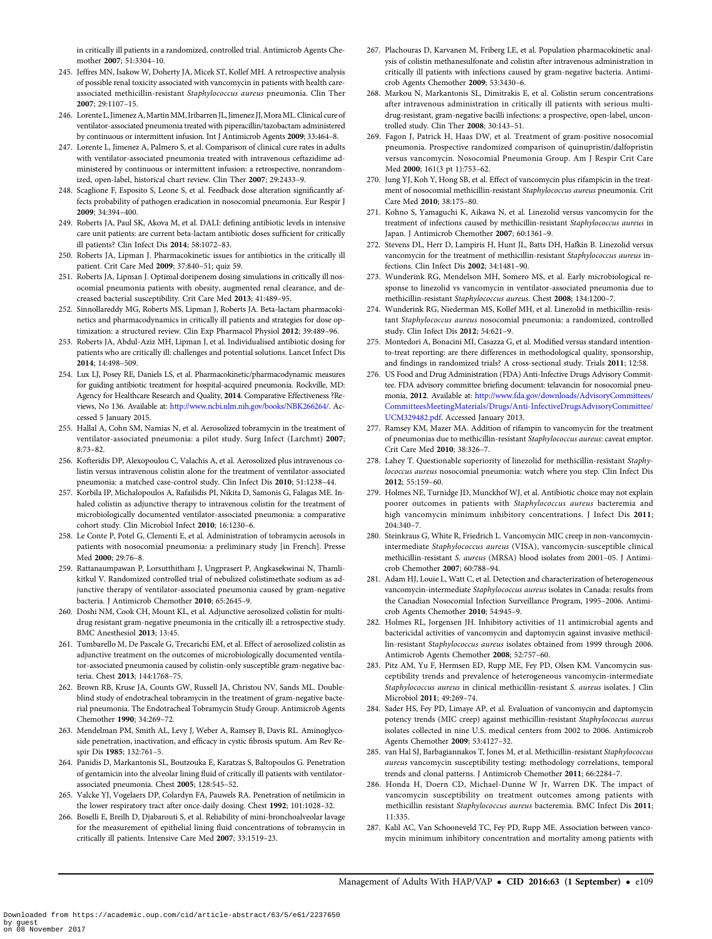<span id="page-48-0"></span>in critically ill patients in a randomized, controlled trial. Antimicrob Agents Chemother 2007; 51:3304–10.

- 245. Jeffres MN, Isakow W, Doherty JA, Micek ST, Kollef MH. A retrospective analysis of possible renal toxicity associated with vancomycin in patients with health careassociated methicillin-resistant Staphylococcus aureus pneumonia. Clin Ther 2007; 29:1107–15.
- 246. Lorente L, Jimenez A, Martin MM, Iribarren JL, Jimenez JJ, Mora ML. Clinical cure of ventilator-associated pneumonia treated with piperacillin/tazobactam administered by continuous or intermittent infusion. Int J Antimicrob Agents 2009; 33:464–8.
- 247. Lorente L, Jimenez A, Palmero S, et al. Comparison of clinical cure rates in adults with ventilator-associated pneumonia treated with intravenous ceftazidime administered by continuous or intermittent infusion: a retrospective, nonrandomized, open-label, historical chart review. Clin Ther 2007; 29:2433–9.
- 248. Scaglione F, Esposito S, Leone S, et al. Feedback dose alteration significantly affects probability of pathogen eradication in nosocomial pneumonia. Eur Respir J 2009; 34:394–400.
- 249. Roberts JA, Paul SK, Akova M, et al. DALI: defining antibiotic levels in intensive care unit patients: are current beta-lactam antibiotic doses sufficient for critically ill patients? Clin Infect Dis 2014; 58:1072–83.
- 250. Roberts JA, Lipman J. Pharmacokinetic issues for antibiotics in the critically ill patient. Crit Care Med 2009; 37:840–51; quiz 59.
- 251. Roberts JA, Lipman J. Optimal doripenem dosing simulations in critically ill nosocomial pneumonia patients with obesity, augmented renal clearance, and decreased bacterial susceptibility. Crit Care Med 2013; 41:489–95.
- 252. Sinnollareddy MG, Roberts MS, Lipman J, Roberts JA. Beta-lactam pharmacokinetics and pharmacodynamics in critically ill patients and strategies for dose optimization: a structured review. Clin Exp Pharmacol Physiol 2012; 39:489–96.
- 253. Roberts JA, Abdul-Aziz MH, Lipman J, et al. Individualised antibiotic dosing for patients who are critically ill: challenges and potential solutions. Lancet Infect Dis 2014; 14:498–509.
- 254. Lux LJ, Posey RE, Daniels LS, et al. Pharmacokinetic/pharmacodynamic measures for guiding antibiotic treatment for hospital-acquired pneumonia. Rockville, MD: Agency for Healthcare Research and Quality, 2014. Comparative Effectiveness ?Reviews, No 136. Available at: <http://www.ncbi.nlm.nih.gov/books/NBK266264/>. Accessed 5 January 2015.
- 255. Hallal A, Cohn SM, Namias N, et al. Aerosolized tobramycin in the treatment of ventilator-associated pneumonia: a pilot study. Surg Infect (Larchmt) 2007; 8:73–82.
- 256. Kofteridis DP, Alexopoulou C, Valachis A, et al. Aerosolized plus intravenous colistin versus intravenous colistin alone for the treatment of ventilator-associated pneumonia: a matched case-control study. Clin Infect Dis 2010; 51:1238–44.
- 257. Korbila IP, Michalopoulos A, Rafailidis PI, Nikita D, Samonis G, Falagas ME. Inhaled colistin as adjunctive therapy to intravenous colistin for the treatment of microbiologically documented ventilator-associated pneumonia: a comparative cohort study. Clin Microbiol Infect 2010; 16:1230–6.
- 258. Le Conte P, Potel G, Clementi E, et al. Administration of tobramycin aerosols in patients with nosocomial pneumonia: a preliminary study [in French]. Presse Med 2000; 29:76–8.
- 259. Rattanaumpawan P, Lorsutthitham J, Ungprasert P, Angkasekwinai N, Thamlikitkul V. Randomized controlled trial of nebulized colistimethate sodium as adjunctive therapy of ventilator-associated pneumonia caused by gram-negative bacteria. J Antimicrob Chemother 2010; 65:2645–9.
- 260. Doshi NM, Cook CH, Mount KL, et al. Adjunctive aerosolized colistin for multidrug resistant gram-negative pneumonia in the critically ill: a retrospective study. BMC Anesthesiol 2013; 13:45.
- 261. Tumbarello M, De Pascale G, Trecarichi EM, et al. Effect of aerosolized colistin as adjunctive treatment on the outcomes of microbiologically documented ventilator-associated pneumonia caused by colistin-only susceptible gram-negative bacteria. Chest 2013; 144:1768–75.
- 262. Brown RB, Kruse JA, Counts GW, Russell JA, Christou NV, Sands ML. Doubleblind study of endotracheal tobramycin in the treatment of gram-negative bacterial pneumonia. The Endotracheal Tobramycin Study Group. Antimicrob Agents Chemother 1990; 34:269–72.
- 263. Mendelman PM, Smith AL, Levy J, Weber A, Ramsey B, Davis RL. Aminoglycoside penetration, inactivation, and efficacy in cystic fibrosis sputum. Am Rev Respir Dis 1985; 132:761–5.
- 264. Panidis D, Markantonis SL, Boutzouka E, Karatzas S, Baltopoulos G. Penetration of gentamicin into the alveolar lining fluid of critically ill patients with ventilatorassociated pneumonia. Chest 2005; 128:545–52.
- 265. Valcke YJ, Vogelaers DP, Colardyn FA, Pauwels RA. Penetration of netilmicin in the lower respiratory tract after once-daily dosing. Chest 1992; 101:1028–32.
- 266. Boselli E, Breilh D, Djabarouti S, et al. Reliability of mini-bronchoalveolar lavage for the measurement of epithelial lining fluid concentrations of tobramycin in critically ill patients. Intensive Care Med 2007; 33:1519–23.
- 267. Plachouras D, Karvanen M, Friberg LE, et al. Population pharmacokinetic analysis of colistin methanesulfonate and colistin after intravenous administration in critically ill patients with infections caused by gram-negative bacteria. Antimicrob Agents Chemother 2009; 53:3430–6.
- 268. Markou N, Markantonis SL, Dimitrakis E, et al. Colistin serum concentrations after intravenous administration in critically ill patients with serious multidrug-resistant, gram-negative bacilli infections: a prospective, open-label, uncontrolled study. Clin Ther 2008; 30:143–51.
- 269. Fagon J, Patrick H, Haas DW, et al. Treatment of gram-positive nosocomial pneumonia. Prospective randomized comparison of quinupristin/dalfopristin versus vancomycin. Nosocomial Pneumonia Group. Am J Respir Crit Care Med 2000; 161(3 pt 1):753–62.
- 270. Jung YJ, Koh Y, Hong SB, et al. Effect of vancomycin plus rifampicin in the treatment of nosocomial methicillin-resistant Staphylococcus aureus pneumonia. Crit Care Med 2010; 38:175–80.
- 271. Kohno S, Yamaguchi K, Aikawa N, et al. Linezolid versus vancomycin for the treatment of infections caused by methicillin-resistant Staphylococcus aureus in Japan. J Antimicrob Chemother 2007; 60:1361–9.
- 272. Stevens DL, Herr D, Lampiris H, Hunt JL, Batts DH, Hafkin B. Linezolid versus vancomycin for the treatment of methicillin-resistant Staphylococcus aureus infections. Clin Infect Dis 2002; 34:1481–90.
- 273. Wunderink RG, Mendelson MH, Somero MS, et al. Early microbiological response to linezolid vs vancomycin in ventilator-associated pneumonia due to methicillin-resistant Staphylococcus aureus. Chest 2008; 134:1200–7.
- 274. Wunderink RG, Niederman MS, Kollef MH, et al. Linezolid in methicillin-resistant Staphylococcus aureus nosocomial pneumonia: a randomized, controlled study. Clin Infect Dis 2012; 54:621–9.
- 275. Montedori A, Bonacini MI, Casazza G, et al. Modified versus standard intentionto-treat reporting: are there differences in methodological quality, sponsorship, and findings in randomized trials? A cross-sectional study. Trials 2011; 12:58.
- 276. US Food and Drug Administration (FDA) Anti-Infective Drugs Advisory Committee. FDA advisory committee briefing document: telavancin for nosocomial pneumonia, 2012. Available at: [http://www.fda.gov/downloads/AdvisoryCommittees/](http://www.fda.gov/downloads/AdvisoryCommittees/CommitteesMeetingMaterials/Drugs/Anti-InfectiveDrugsAdvisoryCommittee/UCM329482.pdf) [CommitteesMeetingMaterials/Drugs/Anti-InfectiveDrugsAdvisoryCommittee/](http://www.fda.gov/downloads/AdvisoryCommittees/CommitteesMeetingMaterials/Drugs/Anti-InfectiveDrugsAdvisoryCommittee/UCM329482.pdf) [UCM329482.pdf.](http://www.fda.gov/downloads/AdvisoryCommittees/CommitteesMeetingMaterials/Drugs/Anti-InfectiveDrugsAdvisoryCommittee/UCM329482.pdf) Accessed January 2013.
- 277. Ramsey KM, Mazer MA. Addition of rifampin to vancomycin for the treatment of pneumonias due to methicillin-resistant Staphylococcus aureus: caveat emptor. Crit Care Med 2010; 38:326–7.
- 278. Lahey T. Questionable superiority of linezolid for methicillin-resistant Staphylococcus aureus nosocomial pneumonia: watch where you step. Clin Infect Dis 2012; 55:159–60.
- 279. Holmes NE, Turnidge JD, Munckhof WJ, et al. Antibiotic choice may not explain poorer outcomes in patients with Staphylococcus aureus bacteremia and high vancomycin minimum inhibitory concentrations. J Infect Dis 2011; 204:340–7.
- 280. Steinkraus G, White R, Friedrich L. Vancomycin MIC creep in non-vancomycinintermediate Staphylococcus aureus (VISA), vancomycin-susceptible clinical methicillin-resistant S. aureus (MRSA) blood isolates from 2001–05. J Antimicrob Chemother 2007; 60:788–94.
- 281. Adam HJ, Louie L, Watt C, et al. Detection and characterization of heterogeneous vancomycin-intermediate Staphylococcus aureus isolates in Canada: results from the Canadian Nosocomial Infection Surveillance Program, 1995–2006. Antimicrob Agents Chemother 2010; 54:945–9.
- 282. Holmes RL, Jorgensen JH. Inhibitory activities of 11 antimicrobial agents and bactericidal activities of vancomycin and daptomycin against invasive methicillin-resistant Staphylococcus aureus isolates obtained from 1999 through 2006. Antimicrob Agents Chemother 2008; 52:757–60.
- 283. Pitz AM, Yu F, Hermsen ED, Rupp ME, Fey PD, Olsen KM. Vancomycin susceptibility trends and prevalence of heterogeneous vancomycin-intermediate Staphylococcus aureus in clinical methicillin-resistant S. aureus isolates. J Clin Microbiol 2011; 49:269–74.
- 284. Sader HS, Fey PD, Limaye AP, et al. Evaluation of vancomycin and daptomycin potency trends (MIC creep) against methicillin-resistant Staphylococcus aureus isolates collected in nine U.S. medical centers from 2002 to 2006. Antimicrob Agents Chemother 2009; 53:4127–32.
- 285. van Hal SJ, Barbagiannakos T, Jones M, et al. Methicillin-resistant Staphylococcus aureus vancomycin susceptibility testing: methodology correlations, temporal trends and clonal patterns. J Antimicrob Chemother 2011; 66:2284–7.
- 286. Honda H, Doern CD, Michael-Dunne W Jr, Warren DK. The impact of vancomycin susceptibility on treatment outcomes among patients with methicillin resistant Staphylococcus aureus bacteremia. BMC Infect Dis 2011; 11:335.
- 287. Kalil AC, Van Schooneveld TC, Fey PD, Rupp ME. Association between vancomycin minimum inhibitory concentration and mortality among patients with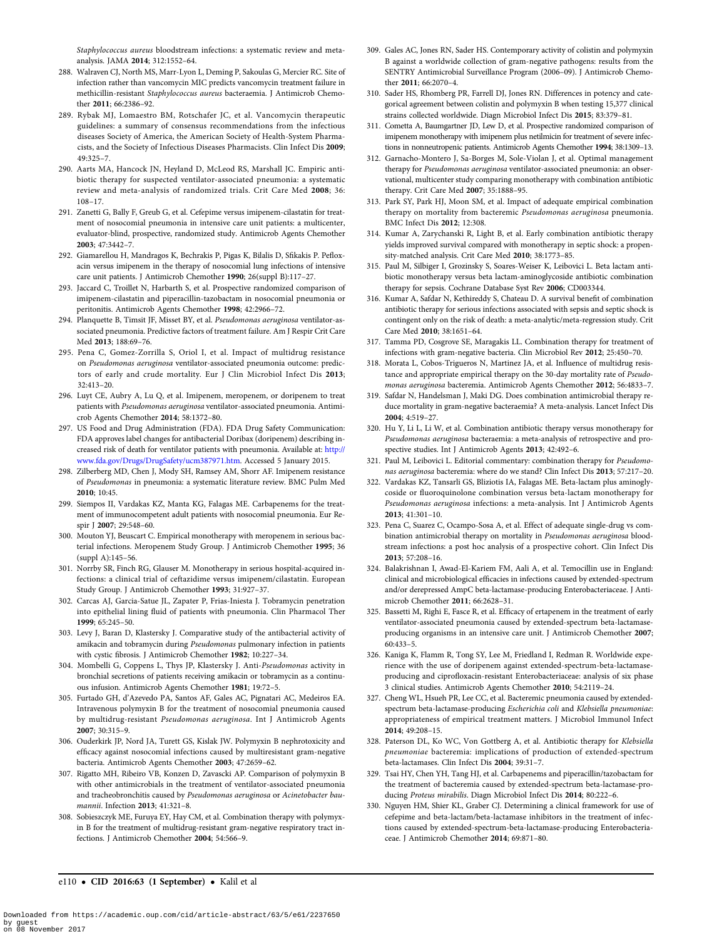<span id="page-49-0"></span>Staphylococcus aureus bloodstream infections: a systematic review and metaanalysis. JAMA 2014; 312:1552–64.

- 288. Walraven CJ, North MS, Marr-Lyon L, Deming P, Sakoulas G, Mercier RC. Site of infection rather than vancomycin MIC predicts vancomycin treatment failure in methicillin-resistant Staphylococcus aureus bacteraemia. J Antimicrob Chemother 2011; 66:2386–92.
- 289. Rybak MJ, Lomaestro BM, Rotschafer JC, et al. Vancomycin therapeutic guidelines: a summary of consensus recommendations from the infectious diseases Society of America, the American Society of Health-System Pharmacists, and the Society of Infectious Diseases Pharmacists. Clin Infect Dis 2009; 49:325–7.
- 290. Aarts MA, Hancock JN, Heyland D, McLeod RS, Marshall JC. Empiric antibiotic therapy for suspected ventilator-associated pneumonia: a systematic review and meta-analysis of randomized trials. Crit Care Med 2008; 36: 108–17.
- 291. Zanetti G, Bally F, Greub G, et al. Cefepime versus imipenem-cilastatin for treatment of nosocomial pneumonia in intensive care unit patients: a multicenter, evaluator-blind, prospective, randomized study. Antimicrob Agents Chemother 2003; 47:3442–7.
- 292. Giamarellou H, Mandragos K, Bechrakis P, Pigas K, Bilalis D, Sfikakis P. Pefloxacin versus imipenem in the therapy of nosocomial lung infections of intensive care unit patients. J Antimicrob Chemother 1990; 26(suppl B):117–27.
- 293. Jaccard C, Troillet N, Harbarth S, et al. Prospective randomized comparison of imipenem-cilastatin and piperacillin-tazobactam in nosocomial pneumonia or peritonitis. Antimicrob Agents Chemother 1998; 42:2966–72.
- 294. Planquette B, Timsit JF, Misset BY, et al. Pseudomonas aeruginosa ventilator-associated pneumonia. Predictive factors of treatment failure. Am J Respir Crit Care Med 2013; 188:69–76.
- 295. Pena C, Gomez-Zorrilla S, Oriol I, et al. Impact of multidrug resistance on Pseudomonas aeruginosa ventilator-associated pneumonia outcome: predictors of early and crude mortality. Eur J Clin Microbiol Infect Dis 2013; 32:413–20.
- 296. Luyt CE, Aubry A, Lu Q, et al. Imipenem, meropenem, or doripenem to treat patients with Pseudomonas aeruginosa ventilator-associated pneumonia. Antimicrob Agents Chemother 2014; 58:1372–80.
- 297. US Food and Drug Administration (FDA). FDA Drug Safety Communication: FDA approves label changes for antibacterial Doribax (doripenem) describing increased risk of death for ventilator patients with pneumonia. Available at: [http://](http://www.fda.gov/Drugs/DrugSafety/ucm387971.htm) [www.fda.gov/Drugs/DrugSafety/ucm387971.htm](http://www.fda.gov/Drugs/DrugSafety/ucm387971.htm). Accessed 5 January 2015.
- 298. Zilberberg MD, Chen J, Mody SH, Ramsey AM, Shorr AF. Imipenem resistance of Pseudomonas in pneumonia: a systematic literature review. BMC Pulm Med 2010; 10:45.
- 299. Siempos II, Vardakas KZ, Manta KG, Falagas ME. Carbapenems for the treatment of immunocompetent adult patients with nosocomial pneumonia. Eur Respir J 2007; 29:548–60.
- 300. Mouton YJ, Beuscart C. Empirical monotherapy with meropenem in serious bacterial infections. Meropenem Study Group. J Antimicrob Chemother 1995; 36 (suppl A):145–56.
- 301. Norrby SR, Finch RG, Glauser M. Monotherapy in serious hospital-acquired infections: a clinical trial of ceftazidime versus imipenem/cilastatin. European Study Group. J Antimicrob Chemother 1993; 31:927–37.
- 302. Carcas AJ, Garcia-Satue JL, Zapater P, Frias-Iniesta J. Tobramycin penetration into epithelial lining fluid of patients with pneumonia. Clin Pharmacol Ther 1999; 65:245–50.
- 303. Levy J, Baran D, Klastersky J. Comparative study of the antibacterial activity of amikacin and tobramycin during Pseudomonas pulmonary infection in patients with cystic fibrosis. J Antimicrob Chemother 1982; 10:227–34.
- 304. Mombelli G, Coppens L, Thys JP, Klastersky J. Anti-Pseudomonas activity in bronchial secretions of patients receiving amikacin or tobramycin as a continuous infusion. Antimicrob Agents Chemother 1981; 19:72–5.
- 305. Furtado GH, d'Azevedo PA, Santos AF, Gales AC, Pignatari AC, Medeiros EA. Intravenous polymyxin B for the treatment of nosocomial pneumonia caused by multidrug-resistant Pseudomonas aeruginosa. Int J Antimicrob Agents 2007; 30:315–9.
- 306. Ouderkirk JP, Nord JA, Turett GS, Kislak JW. Polymyxin B nephrotoxicity and efficacy against nosocomial infections caused by multiresistant gram-negative bacteria. Antimicrob Agents Chemother 2003; 47:2659–62.
- 307. Rigatto MH, Ribeiro VB, Konzen D, Zavascki AP. Comparison of polymyxin B with other antimicrobials in the treatment of ventilator-associated pneumonia and tracheobronchitis caused by Pseudomonas aeruginosa or Acinetobacter baumannii. Infection 2013; 41:321–8.
- 308. Sobieszczyk ME, Furuya EY, Hay CM, et al. Combination therapy with polymyxin B for the treatment of multidrug-resistant gram-negative respiratory tract infections. J Antimicrob Chemother 2004; 54:566–9.
- 309. Gales AC, Jones RN, Sader HS. Contemporary activity of colistin and polymyxin B against a worldwide collection of gram-negative pathogens: results from the SENTRY Antimicrobial Surveillance Program (2006–09). J Antimicrob Chemother 2011; 66:2070–4.
- 310. Sader HS, Rhomberg PR, Farrell DJ, Jones RN. Differences in potency and categorical agreement between colistin and polymyxin B when testing 15,377 clinical strains collected worldwide. Diagn Microbiol Infect Dis 2015; 83:379–81.
- 311. Cometta A, Baumgartner JD, Lew D, et al. Prospective randomized comparison of imipenem monotherapy with imipenem plus netilmicin for treatment of severe infections in nonneutropenic patients. Antimicrob Agents Chemother 1994; 38:1309–13.
- 312. Garnacho-Montero J, Sa-Borges M, Sole-Violan J, et al. Optimal management therapy for Pseudomonas aeruginosa ventilator-associated pneumonia: an observational, multicenter study comparing monotherapy with combination antibiotic therapy. Crit Care Med 2007; 35:1888–95.
- 313. Park SY, Park HJ, Moon SM, et al. Impact of adequate empirical combination therapy on mortality from bacteremic Pseudomonas aeruginosa pneumonia. BMC Infect Dis 2012; 12:308.
- 314. Kumar A, Zarychanski R, Light B, et al. Early combination antibiotic therapy yields improved survival compared with monotherapy in septic shock: a propensity-matched analysis. Crit Care Med 2010; 38:1773–85.
- 315. Paul M, Silbiger I, Grozinsky S, Soares-Weiser K, Leibovici L. Beta lactam antibiotic monotherapy versus beta lactam-aminoglycoside antibiotic combination therapy for sepsis. Cochrane Database Syst Rev 2006; CD003344.
- 316. Kumar A, Safdar N, Kethireddy S, Chateau D. A survival benefit of combination antibiotic therapy for serious infections associated with sepsis and septic shock is contingent only on the risk of death: a meta-analytic/meta-regression study. Crit Care Med 2010; 38:1651–64.
- 317. Tamma PD, Cosgrove SE, Maragakis LL. Combination therapy for treatment of infections with gram-negative bacteria. Clin Microbiol Rev 2012; 25:450–70.
- 318. Morata L, Cobos-Trigueros N, Martinez JA, et al. Influence of multidrug resistance and appropriate empirical therapy on the 30-day mortality rate of Pseudomonas aeruginosa bacteremia. Antimicrob Agents Chemother 2012; 56:4833–7.
- 319. Safdar N, Handelsman J, Maki DG. Does combination antimicrobial therapy reduce mortality in gram-negative bacteraemia? A meta-analysis. Lancet Infect Dis 2004; 4:519–27.
- 320. Hu Y, Li L, Li W, et al. Combination antibiotic therapy versus monotherapy for Pseudomonas aeruginosa bacteraemia: a meta-analysis of retrospective and prospective studies. Int J Antimicrob Agents 2013; 42:492-6.
- 321. Paul M, Leibovici L. Editorial commentary: combination therapy for Pseudomonas aeruginosa bacteremia: where do we stand? Clin Infect Dis 2013; 57:217–20.
- 322. Vardakas KZ, Tansarli GS, Bliziotis IA, Falagas ME. Beta-lactam plus aminoglycoside or fluoroquinolone combination versus beta-lactam monotherapy for Pseudomonas aeruginosa infections: a meta-analysis. Int J Antimicrob Agents 2013; 41:301–10.
- 323. Pena C, Suarez C, Ocampo-Sosa A, et al. Effect of adequate single-drug vs combination antimicrobial therapy on mortality in Pseudomonas aeruginosa bloodstream infections: a post hoc analysis of a prospective cohort. Clin Infect Dis 2013; 57:208–16.
- 324. Balakrishnan I, Awad-El-Kariem FM, Aali A, et al. Temocillin use in England: clinical and microbiological efficacies in infections caused by extended-spectrum and/or derepressed AmpC beta-lactamase-producing Enterobacteriaceae. J Antimicrob Chemother 2011; 66:2628–31.
- 325. Bassetti M, Righi E, Fasce R, et al. Efficacy of ertapenem in the treatment of early ventilator-associated pneumonia caused by extended-spectrum beta-lactamaseproducing organisms in an intensive care unit. J Antimicrob Chemother 2007; 60:433–5.
- 326. Kaniga K, Flamm R, Tong SY, Lee M, Friedland I, Redman R. Worldwide experience with the use of doripenem against extended-spectrum-beta-lactamaseproducing and ciprofloxacin-resistant Enterobacteriaceae: analysis of six phase 3 clinical studies. Antimicrob Agents Chemother 2010; 54:2119–24.
- 327. Cheng WL, Hsueh PR, Lee CC, et al. Bacteremic pneumonia caused by extendedspectrum beta-lactamase-producing Escherichia coli and Klebsiella pneumoniae: appropriateness of empirical treatment matters. J Microbiol Immunol Infect 2014; 49:208–15.
- 328. Paterson DL, Ko WC, Von Gottberg A, et al. Antibiotic therapy for Klebsiella pneumoniae bacteremia: implications of production of extended-spectrum beta-lactamases. Clin Infect Dis 2004; 39:31–7.
- 329. Tsai HY, Chen YH, Tang HJ, et al. Carbapenems and piperacillin/tazobactam for the treatment of bacteremia caused by extended-spectrum beta-lactamase-producing Proteus mirabilis. Diagn Microbiol Infect Dis 2014; 80:222–6.
- 330. Nguyen HM, Shier KL, Graber CJ. Determining a clinical framework for use of cefepime and beta-lactam/beta-lactamase inhibitors in the treatment of infections caused by extended-spectrum-beta-lactamase-producing Enterobacteriaceae. J Antimicrob Chemother 2014; 69:871–80.

e110 • CID 2016:63 (1 September) • Kalil et al